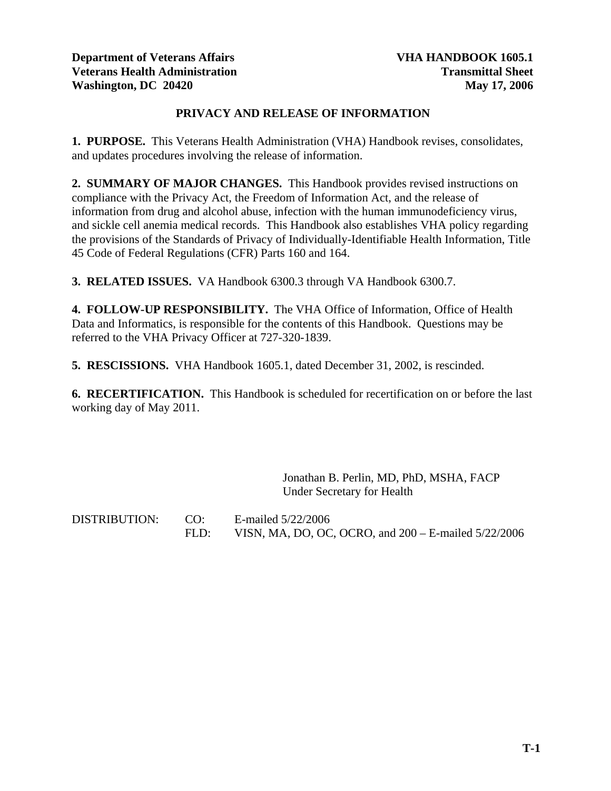## **PRIVACY AND RELEASE OF INFORMATION**

**1. PURPOSE.** This Veterans Health Administration (VHA) Handbook revises, consolidates, and updates procedures involving the release of information.

**2. SUMMARY OF MAJOR CHANGES.** This Handbook provides revised instructions on compliance with the Privacy Act, the Freedom of Information Act, and the release of information from drug and alcohol abuse, infection with the human immunodeficiency virus, and sickle cell anemia medical records. This Handbook also establishes VHA policy regarding the provisions of the Standards of Privacy of Individually-Identifiable Health Information, Title 45 Code of Federal Regulations (CFR) Parts 160 and 164.

**3. RELATED ISSUES.** VA Handbook 6300.3 through VA Handbook 6300.7.

**4. FOLLOW-UP RESPONSIBILITY.** The VHA Office of Information, Office of Health Data and Informatics, is responsible for the contents of this Handbook. Questions may be referred to the VHA Privacy Officer at 727-320-1839.

**5. RESCISSIONS.** VHA Handbook 1605.1, dated December 31, 2002, is rescinded.

**6. RECERTIFICATION.** This Handbook is scheduled for recertification on or before the last working day of May 2011.

> Jonathan B. Perlin, MD, PhD, MSHA, FACP Under Secretary for Health

DISTRIBUTION: CO: E-mailed 5/22/2006 FLD: VISN, MA, DO, OC, OCRO, and 200 – E-mailed 5/22/2006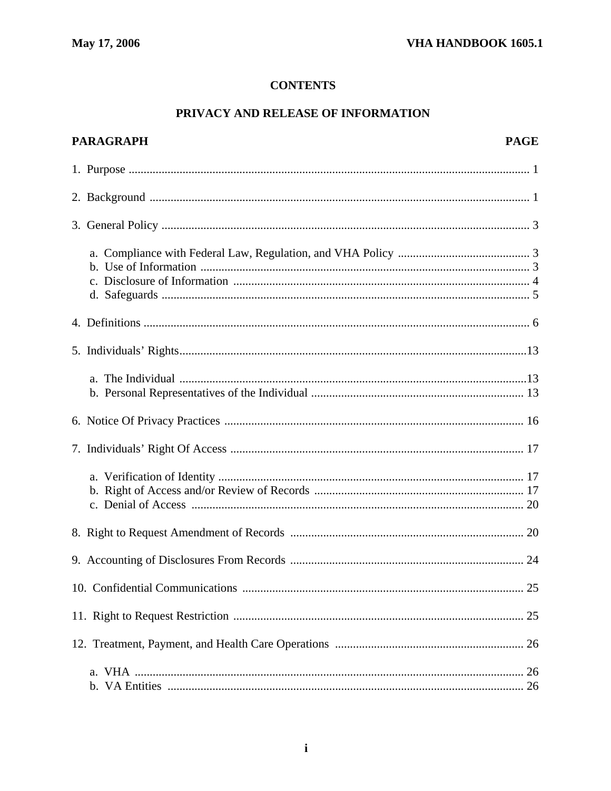## **CONTENTS**

## PRIVACY AND RELEASE OF INFORMATION

| <b>PARAGRAPH</b> | <b>PAGE</b> |
|------------------|-------------|
|                  |             |
|                  |             |
|                  |             |
|                  |             |
|                  |             |
|                  |             |
|                  |             |
|                  |             |
|                  |             |
|                  |             |
|                  |             |
|                  |             |
|                  |             |
|                  |             |
|                  |             |
|                  |             |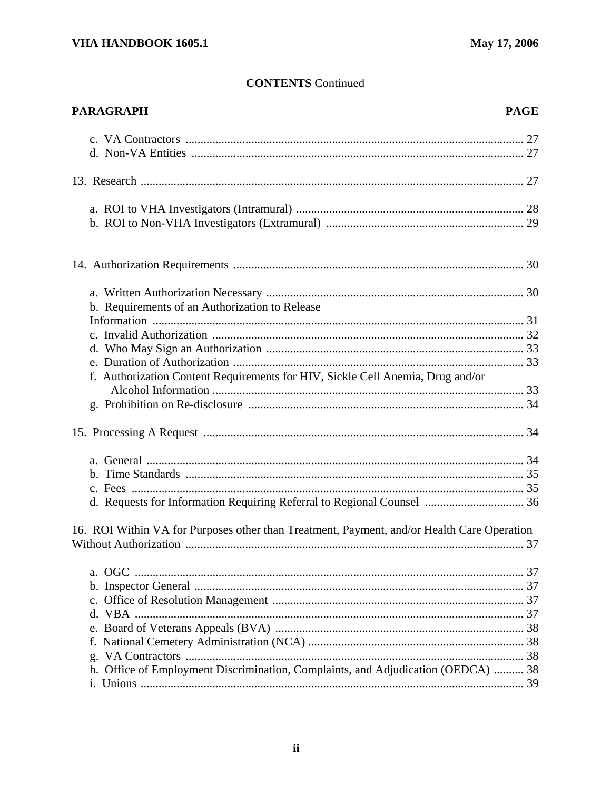| <b>PARAGRAPH</b>                                                                           | <b>PAGE</b> |
|--------------------------------------------------------------------------------------------|-------------|
|                                                                                            |             |
|                                                                                            |             |
|                                                                                            |             |
|                                                                                            |             |
|                                                                                            |             |
|                                                                                            |             |
| b. Requirements of an Authorization to Release                                             |             |
|                                                                                            |             |
|                                                                                            |             |
|                                                                                            |             |
|                                                                                            |             |
| f. Authorization Content Requirements for HIV, Sickle Cell Anemia, Drug and/or             |             |
|                                                                                            |             |
|                                                                                            |             |
|                                                                                            |             |
|                                                                                            |             |
|                                                                                            |             |
|                                                                                            |             |
| d. Requests for Information Requiring Referral to Regional Counsel  36                     |             |
| 16. ROI Within VA for Purposes other than Treatment, Payment, and/or Health Care Operation |             |
|                                                                                            |             |
|                                                                                            |             |
|                                                                                            |             |
|                                                                                            |             |
|                                                                                            |             |
|                                                                                            |             |
|                                                                                            |             |
|                                                                                            |             |
| h. Office of Employment Discrimination, Complaints, and Adjudication (OEDCA)  38           |             |
|                                                                                            |             |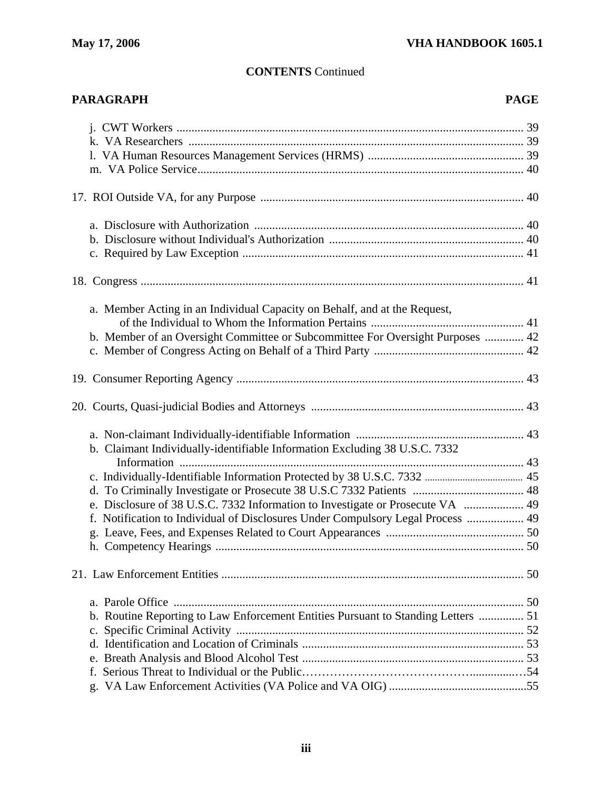# **PARAGRAPH PAGE 2012 PAGE 2013 PAGE 2013 PAGE 2014 PAGE 2014 PAGE 2014 PAGE 2014 PAGE** j. CWT Workers .................................................................................................................... 39 k. VA Researchers ................................................................................................................ 39 l. VA Human Resources Management Services (HRMS) .................................................... 39 m. VA Police Service............................................................................................................. 40 17. ROI Outside VA, for any Purpose ........................................................................................ 40 a. Disclosure with Authorization .......................................................................................... 40 b. Disclosure without Individual's Authorization ................................................................. 40 c. Required by Law Exception .............................................................................................. 41 18. Congress ................................................................................................................................ 41 a. Member Acting in an Individual Capacity on Behalf, and at the Request, of the Individual to Whom the Information Pertains ................................................... 41 b. Member of an Oversight Committee or Subcommittee For Oversight Purposes ............. 42 c. Member of Congress Acting on Behalf of a Third Party .................................................. 42 19. Consumer Reporting Agency ................................................................................................ 43 20. Courts, Quasi-judicial Bodies and Attorneys ....................................................................... 43 a. Non-claimant Individually-identifiable Information ........................................................ 43 b. Claimant Individually-identifiable Information Excluding 38 U.S.C. 7332 Information ................................................................................................................... 43 c. Individually-Identifiable Information Protected by 38 U.S.C. 7332 ....................................... 45 d. To Criminally Investigate or Prosecute 38 U.S.C 7332 Patients ..................................... 48 e. Disclosure of 38 U.S.C. 7332 Information to Investigate or Prosecute VA .................... 49 f. Notification to Individual of Disclosures Under Compulsory Legal Process ................... 49 g. Leave, Fees, and Expenses Related to Court Appearances .............................................. 50 h. Competency Hearings ....................................................................................................... 50 21. Law Enforcement Entities ..................................................................................................... 50 a. Parole Office ..................................................................................................................... 50 b. Routine Reporting to Law Enforcement Entities Pursuant to Standing Letters ............... 51 c. Specific Criminal Activity ................................................................................................ 52 d. Identification and Location of Criminals .......................................................................... 53 e. Breath Analysis and Blood Alcohol Test .......................................................................... 53 f. Serious Threat to Individual or the Public……………………………………...............…54 g. VA Law Enforcement Activities (VA Police and VA OIG) ..............................................55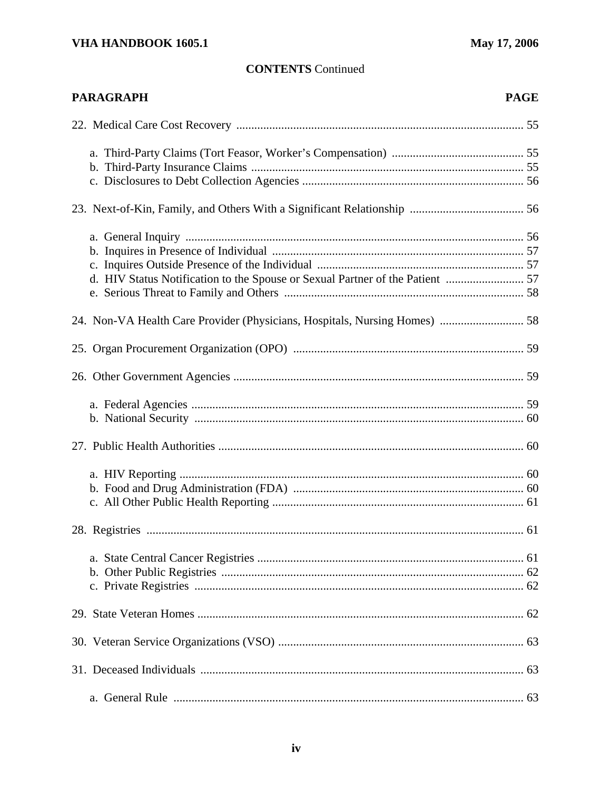| <b>PARAGRAPH</b>                                                           | <b>PAGE</b> |
|----------------------------------------------------------------------------|-------------|
|                                                                            |             |
|                                                                            |             |
|                                                                            |             |
|                                                                            |             |
|                                                                            |             |
|                                                                            |             |
|                                                                            |             |
|                                                                            |             |
|                                                                            |             |
|                                                                            |             |
| 24. Non-VA Health Care Provider (Physicians, Hospitals, Nursing Homes)  58 |             |
|                                                                            |             |
|                                                                            |             |
|                                                                            |             |
|                                                                            |             |
|                                                                            |             |
|                                                                            |             |
|                                                                            |             |
|                                                                            |             |
|                                                                            |             |
|                                                                            |             |
|                                                                            |             |
|                                                                            |             |
|                                                                            |             |
|                                                                            |             |
|                                                                            |             |
|                                                                            |             |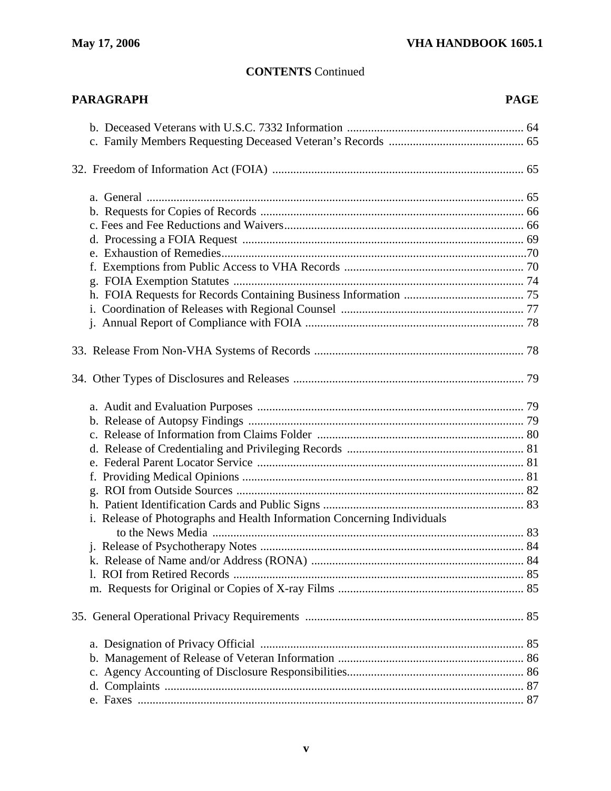| <b>PARAGRAPH</b>                                                        | <b>PAGE</b> |
|-------------------------------------------------------------------------|-------------|
|                                                                         |             |
|                                                                         |             |
|                                                                         |             |
|                                                                         |             |
|                                                                         |             |
|                                                                         |             |
|                                                                         |             |
|                                                                         |             |
|                                                                         |             |
|                                                                         |             |
|                                                                         |             |
|                                                                         |             |
|                                                                         |             |
|                                                                         |             |
|                                                                         |             |
|                                                                         |             |
|                                                                         |             |
|                                                                         |             |
|                                                                         |             |
|                                                                         |             |
|                                                                         |             |
|                                                                         |             |
|                                                                         |             |
| i. Release of Photographs and Health Information Concerning Individuals |             |
|                                                                         |             |
|                                                                         |             |
|                                                                         |             |
|                                                                         |             |
|                                                                         |             |
|                                                                         |             |
|                                                                         |             |
|                                                                         |             |
|                                                                         |             |
|                                                                         |             |
|                                                                         |             |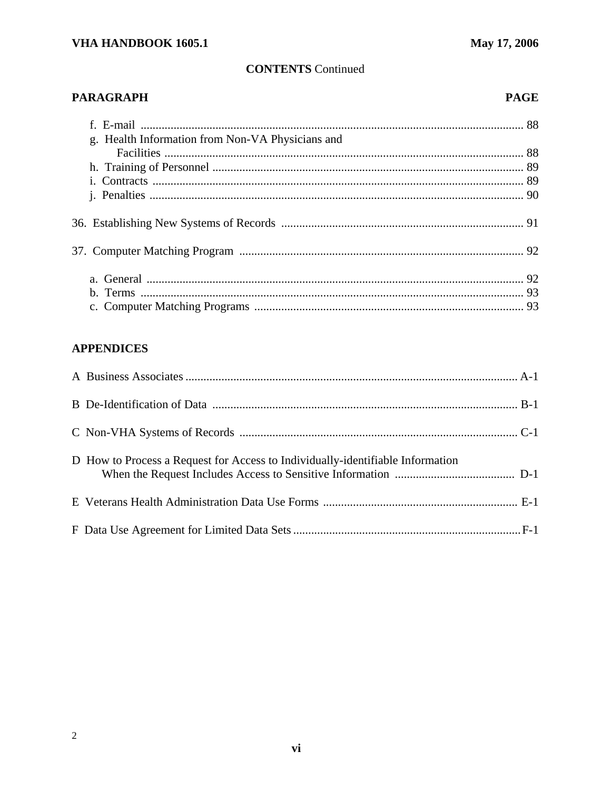## **PARAGRAPH**

## **PAGE**

| g. Health Information from Non-VA Physicians and |  |
|--------------------------------------------------|--|
|                                                  |  |
|                                                  |  |
|                                                  |  |
|                                                  |  |
|                                                  |  |
|                                                  |  |
|                                                  |  |
|                                                  |  |

## **APPENDICES**

| D How to Process a Request for Access to Individually-identifiable Information |  |
|--------------------------------------------------------------------------------|--|
|                                                                                |  |
|                                                                                |  |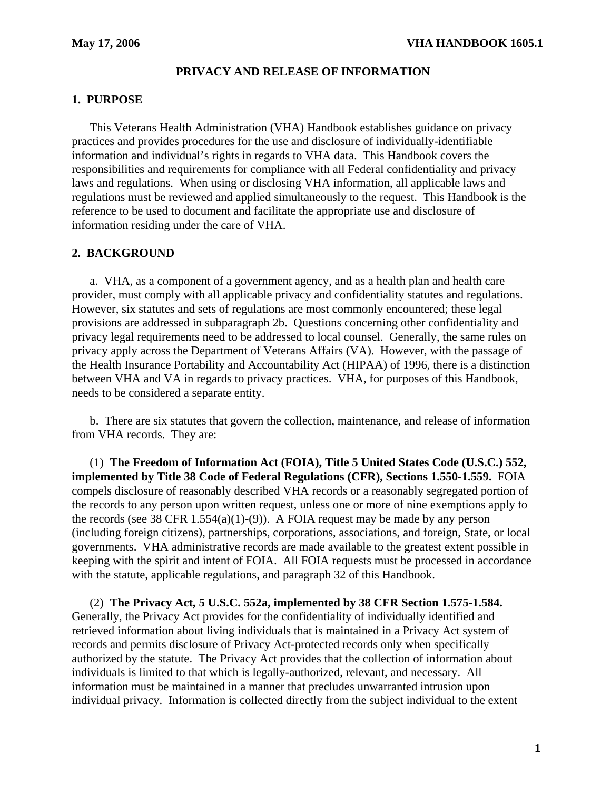## **PRIVACY AND RELEASE OF INFORMATION**

## **1. PURPOSE**

This Veterans Health Administration (VHA) Handbook establishes guidance on privacy practices and provides procedures for the use and disclosure of individually-identifiable information and individual's rights in regards to VHA data. This Handbook covers the responsibilities and requirements for compliance with all Federal confidentiality and privacy laws and regulations. When using or disclosing VHA information, all applicable laws and regulations must be reviewed and applied simultaneously to the request. This Handbook is the reference to be used to document and facilitate the appropriate use and disclosure of information residing under the care of VHA.

## **2. BACKGROUND**

a. VHA, as a component of a government agency, and as a health plan and health care provider, must comply with all applicable privacy and confidentiality statutes and regulations. However, six statutes and sets of regulations are most commonly encountered; these legal provisions are addressed in subparagraph 2b. Questions concerning other confidentiality and privacy legal requirements need to be addressed to local counsel. Generally, the same rules on privacy apply across the Department of Veterans Affairs (VA). However, with the passage of the Health Insurance Portability and Accountability Act (HIPAA) of 1996, there is a distinction between VHA and VA in regards to privacy practices. VHA, for purposes of this Handbook, needs to be considered a separate entity.

b. There are six statutes that govern the collection, maintenance, and release of information from VHA records. They are:

(1) **The Freedom of Information Act (FOIA), Title 5 United States Code (U.S.C.) 552, implemented by Title 38 Code of Federal Regulations (CFR), Sections 1.550-1.559.** FOIA compels disclosure of reasonably described VHA records or a reasonably segregated portion of the records to any person upon written request, unless one or more of nine exemptions apply to the records (see 38 CFR 1.554(a)(1)-(9)). A FOIA request may be made by any person (including foreign citizens), partnerships, corporations, associations, and foreign, State, or local governments. VHA administrative records are made available to the greatest extent possible in keeping with the spirit and intent of FOIA. All FOIA requests must be processed in accordance with the statute, applicable regulations, and paragraph 32 of this Handbook.

(2) **The Privacy Act, 5 U.S.C. 552a, implemented by 38 CFR Section 1.575-1.584.**  Generally, the Privacy Act provides for the confidentiality of individually identified and retrieved information about living individuals that is maintained in a Privacy Act system of records and permits disclosure of Privacy Act-protected records only when specifically authorized by the statute. The Privacy Act provides that the collection of information about individuals is limited to that which is legally-authorized, relevant, and necessary. All information must be maintained in a manner that precludes unwarranted intrusion upon individual privacy. Information is collected directly from the subject individual to the extent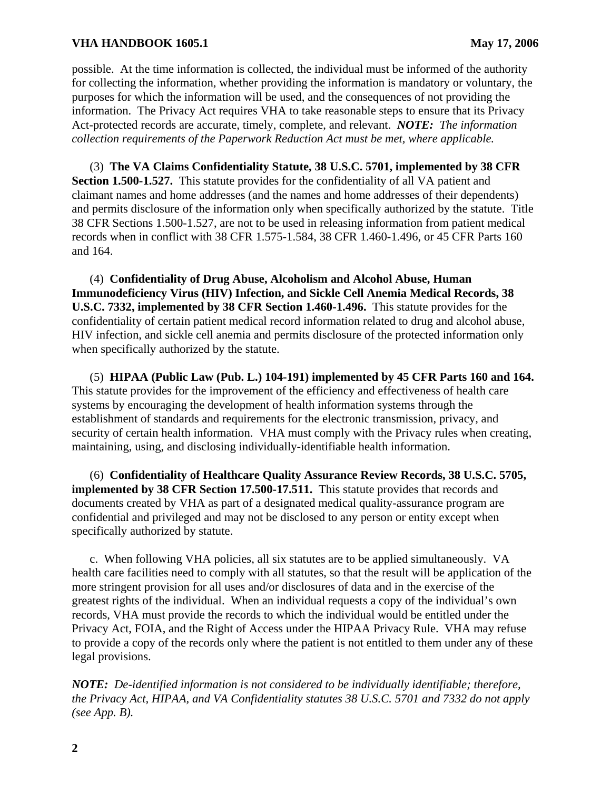possible. At the time information is collected, the individual must be informed of the authority for collecting the information, whether providing the information is mandatory or voluntary, the purposes for which the information will be used, and the consequences of not providing the information. The Privacy Act requires VHA to take reasonable steps to ensure that its Privacy Act-protected records are accurate, timely, complete, and relevant. *NOTE: The information collection requirements of the Paperwork Reduction Act must be met, where applicable.* 

(3) **The VA Claims Confidentiality Statute, 38 U.S.C. 5701, implemented by 38 CFR Section 1.500-1.527.** This statute provides for the confidentiality of all VA patient and claimant names and home addresses (and the names and home addresses of their dependents) and permits disclosure of the information only when specifically authorized by the statute. Title 38 CFR Sections 1.500-1.527, are not to be used in releasing information from patient medical records when in conflict with 38 CFR 1.575-1.584, 38 CFR 1.460-1.496, or 45 CFR Parts 160 and 164.

(4) **Confidentiality of Drug Abuse, Alcoholism and Alcohol Abuse, Human Immunodeficiency Virus (HIV) Infection, and Sickle Cell Anemia Medical Records, 38 U.S.C. 7332, implemented by 38 CFR Section 1.460-1.496.** This statute provides for the confidentiality of certain patient medical record information related to drug and alcohol abuse, HIV infection, and sickle cell anemia and permits disclosure of the protected information only when specifically authorized by the statute.

(5) **HIPAA (Public Law (Pub. L.) 104-191) implemented by 45 CFR Parts 160 and 164.**  This statute provides for the improvement of the efficiency and effectiveness of health care systems by encouraging the development of health information systems through the establishment of standards and requirements for the electronic transmission, privacy, and security of certain health information. VHA must comply with the Privacy rules when creating, maintaining, using, and disclosing individually-identifiable health information.

(6) **Confidentiality of Healthcare Quality Assurance Review Records, 38 U.S.C. 5705, implemented by 38 CFR Section 17.500-17.511.** This statute provides that records and documents created by VHA as part of a designated medical quality-assurance program are confidential and privileged and may not be disclosed to any person or entity except when specifically authorized by statute.

c. When following VHA policies, all six statutes are to be applied simultaneously. VA health care facilities need to comply with all statutes, so that the result will be application of the more stringent provision for all uses and/or disclosures of data and in the exercise of the greatest rights of the individual. When an individual requests a copy of the individual's own records, VHA must provide the records to which the individual would be entitled under the Privacy Act, FOIA, and the Right of Access under the HIPAA Privacy Rule. VHA may refuse to provide a copy of the records only where the patient is not entitled to them under any of these legal provisions.

*NOTE: De-identified information is not considered to be individually identifiable; therefore, the Privacy Act, HIPAA, and VA Confidentiality statutes 38 U.S.C. 5701 and 7332 do not apply (see App. B).*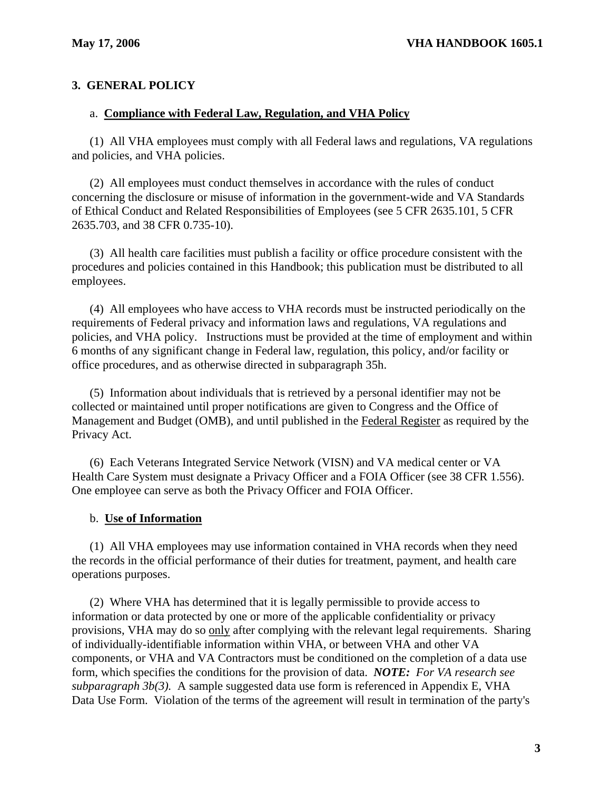## **3. GENERAL POLICY**

#### a. **Compliance with Federal Law, Regulation, and VHA Policy**

(1) All VHA employees must comply with all Federal laws and regulations, VA regulations and policies, and VHA policies.

(2) All employees must conduct themselves in accordance with the rules of conduct concerning the disclosure or misuse of information in the government-wide and VA Standards of Ethical Conduct and Related Responsibilities of Employees (see 5 CFR 2635.101, 5 CFR 2635.703, and 38 CFR 0.735-10).

(3) All health care facilities must publish a facility or office procedure consistent with the procedures and policies contained in this Handbook; this publication must be distributed to all employees.

(4) All employees who have access to VHA records must be instructed periodically on the requirements of Federal privacy and information laws and regulations, VA regulations and policies, and VHA policy. Instructions must be provided at the time of employment and within 6 months of any significant change in Federal law, regulation, this policy, and/or facility or office procedures, and as otherwise directed in subparagraph 35h.

(5) Information about individuals that is retrieved by a personal identifier may not be collected or maintained until proper notifications are given to Congress and the Office of Management and Budget (OMB), and until published in the Federal Register as required by the Privacy Act.

(6) Each Veterans Integrated Service Network (VISN) and VA medical center or VA Health Care System must designate a Privacy Officer and a FOIA Officer (see 38 CFR 1.556). One employee can serve as both the Privacy Officer and FOIA Officer.

## b. **Use of Information**

(1) All VHA employees may use information contained in VHA records when they need the records in the official performance of their duties for treatment, payment, and health care operations purposes.

(2) Where VHA has determined that it is legally permissible to provide access to information or data protected by one or more of the applicable confidentiality or privacy provisions, VHA may do so only after complying with the relevant legal requirements. Sharing of individually-identifiable information within VHA, or between VHA and other VA components, or VHA and VA Contractors must be conditioned on the completion of a data use form, which specifies the conditions for the provision of data. *NOTE: For VA research see subparagraph 3b(3).* A sample suggested data use form is referenced in Appendix E, VHA Data Use Form. Violation of the terms of the agreement will result in termination of the party's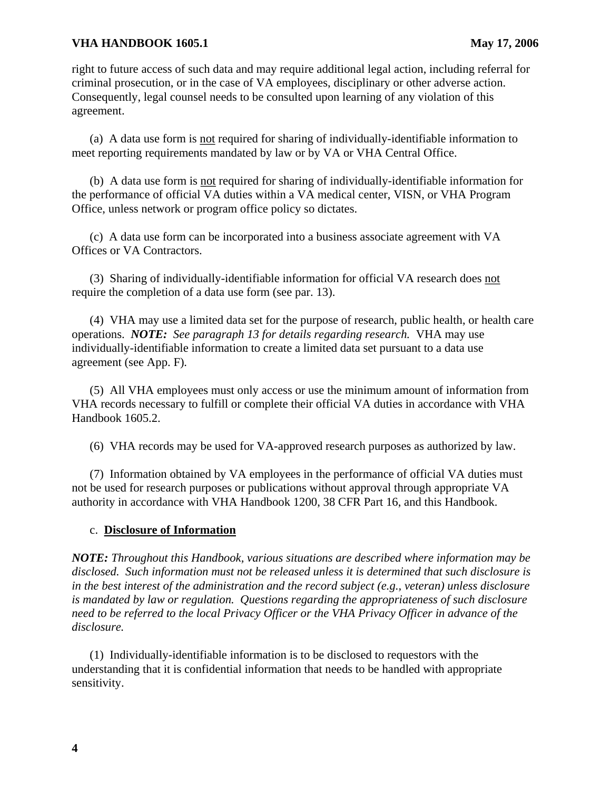right to future access of such data and may require additional legal action, including referral for criminal prosecution, or in the case of VA employees, disciplinary or other adverse action. Consequently, legal counsel needs to be consulted upon learning of any violation of this agreement.

(a) A data use form is not required for sharing of individually-identifiable information to meet reporting requirements mandated by law or by VA or VHA Central Office.

(b) A data use form is not required for sharing of individually-identifiable information for the performance of official VA duties within a VA medical center, VISN, or VHA Program Office, unless network or program office policy so dictates.

(c) A data use form can be incorporated into a business associate agreement with VA Offices or VA Contractors.

(3) Sharing of individually-identifiable information for official VA research does not require the completion of a data use form (see par. 13).

(4) VHA may use a limited data set for the purpose of research, public health, or health care operations. *NOTE: See paragraph 13 for details regarding research.* VHA may use individually-identifiable information to create a limited data set pursuant to a data use agreement (see App. F)*.* 

(5) All VHA employees must only access or use the minimum amount of information from VHA records necessary to fulfill or complete their official VA duties in accordance with VHA Handbook 1605.2.

(6) VHA records may be used for VA-approved research purposes as authorized by law.

(7) Information obtained by VA employees in the performance of official VA duties must not be used for research purposes or publications without approval through appropriate VA authority in accordance with VHA Handbook 1200, 38 CFR Part 16, and this Handbook.

## c. **Disclosure of Information**

*NOTE: Throughout this Handbook, various situations are described where information may be disclosed. Such information must not be released unless it is determined that such disclosure is in the best interest of the administration and the record subject (e.g., veteran) unless disclosure is mandated by law or regulation. Questions regarding the appropriateness of such disclosure need to be referred to the local Privacy Officer or the VHA Privacy Officer in advance of the disclosure.* 

(1) Individually-identifiable information is to be disclosed to requestors with the understanding that it is confidential information that needs to be handled with appropriate sensitivity.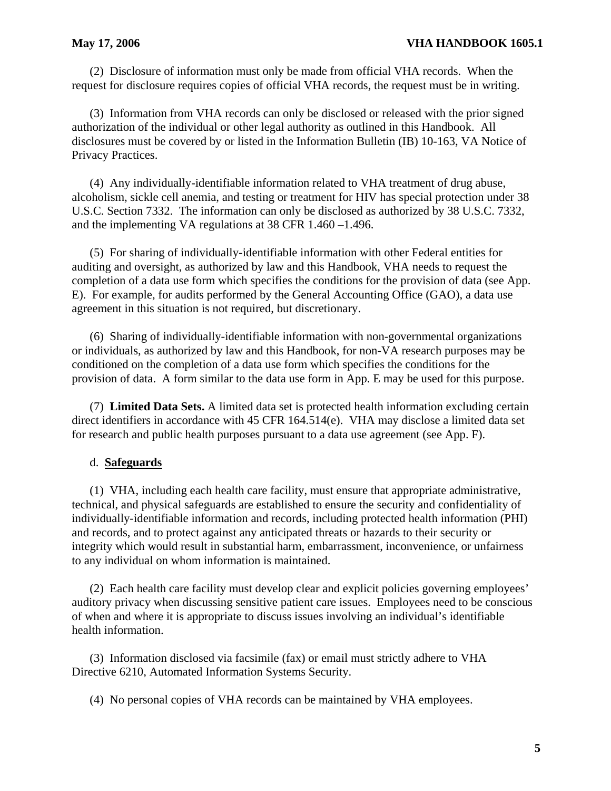(2) Disclosure of information must only be made from official VHA records. When the request for disclosure requires copies of official VHA records, the request must be in writing.

(3) Information from VHA records can only be disclosed or released with the prior signed authorization of the individual or other legal authority as outlined in this Handbook. All disclosures must be covered by or listed in the Information Bulletin (IB) 10-163, VA Notice of Privacy Practices.

(4) Any individually-identifiable information related to VHA treatment of drug abuse, alcoholism, sickle cell anemia, and testing or treatment for HIV has special protection under 38 U.S.C. Section 7332. The information can only be disclosed as authorized by 38 U.S.C. 7332, and the implementing VA regulations at 38 CFR 1.460 –1.496.

(5) For sharing of individually-identifiable information with other Federal entities for auditing and oversight, as authorized by law and this Handbook, VHA needs to request the completion of a data use form which specifies the conditions for the provision of data (see App. E). For example, for audits performed by the General Accounting Office (GAO), a data use agreement in this situation is not required, but discretionary.

(6) Sharing of individually-identifiable information with non-governmental organizations or individuals, as authorized by law and this Handbook, for non-VA research purposes may be conditioned on the completion of a data use form which specifies the conditions for the provision of data. A form similar to the data use form in App. E may be used for this purpose.

(7) **Limited Data Sets.** A limited data set is protected health information excluding certain direct identifiers in accordance with 45 CFR 164.514(e). VHA may disclose a limited data set for research and public health purposes pursuant to a data use agreement (see App. F).

## d. **Safeguards**

(1) VHA, including each health care facility, must ensure that appropriate administrative, technical, and physical safeguards are established to ensure the security and confidentiality of individually-identifiable information and records, including protected health information (PHI) and records, and to protect against any anticipated threats or hazards to their security or integrity which would result in substantial harm, embarrassment, inconvenience, or unfairness to any individual on whom information is maintained.

(2) Each health care facility must develop clear and explicit policies governing employees' auditory privacy when discussing sensitive patient care issues. Employees need to be conscious of when and where it is appropriate to discuss issues involving an individual's identifiable health information.

(3) Information disclosed via facsimile (fax) or email must strictly adhere to VHA Directive 6210, Automated Information Systems Security.

(4) No personal copies of VHA records can be maintained by VHA employees.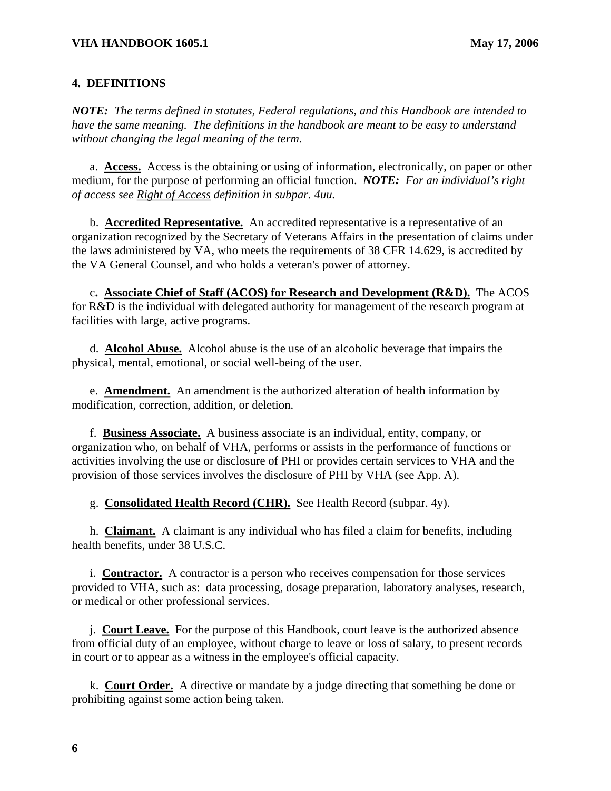## **4. DEFINITIONS**

*NOTE: The terms defined in statutes, Federal regulations, and this Handbook are intended to have the same meaning. The definitions in the handbook are meant to be easy to understand without changing the legal meaning of the term.* 

a. **Access.** Access is the obtaining or using of information, electronically, on paper or other medium, for the purpose of performing an official function. *NOTE: For an individual's right of access see Right of Access definition in subpar. 4uu.* 

b. **Accredited Representative.** An accredited representative is a representative of an organization recognized by the Secretary of Veterans Affairs in the presentation of claims under the laws administered by VA, who meets the requirements of 38 CFR 14.629, is accredited by the VA General Counsel, and who holds a veteran's power of attorney.

c**. Associate Chief of Staff (ACOS) for Research and Development (R&D).** The ACOS for R&D is the individual with delegated authority for management of the research program at facilities with large, active programs.

d. **Alcohol Abuse.** Alcohol abuse is the use of an alcoholic beverage that impairs the physical, mental, emotional, or social well-being of the user.

e. **Amendment.** An amendment is the authorized alteration of health information by modification, correction, addition, or deletion.

f. **Business Associate.** A business associate is an individual, entity, company, or organization who, on behalf of VHA, performs or assists in the performance of functions or activities involving the use or disclosure of PHI or provides certain services to VHA and the provision of those services involves the disclosure of PHI by VHA (see App. A).

g. **Consolidated Health Record (CHR).** See Health Record (subpar. 4y).

h. **Claimant.** A claimant is any individual who has filed a claim for benefits, including health benefits, under 38 U.S.C.

i. **Contractor.** A contractor is a person who receives compensation for those services provided to VHA, such as: data processing, dosage preparation, laboratory analyses, research, or medical or other professional services.

j. **Court Leave.** For the purpose of this Handbook, court leave is the authorized absence from official duty of an employee, without charge to leave or loss of salary, to present records in court or to appear as a witness in the employee's official capacity.

k. **Court Order.** A directive or mandate by a judge directing that something be done or prohibiting against some action being taken.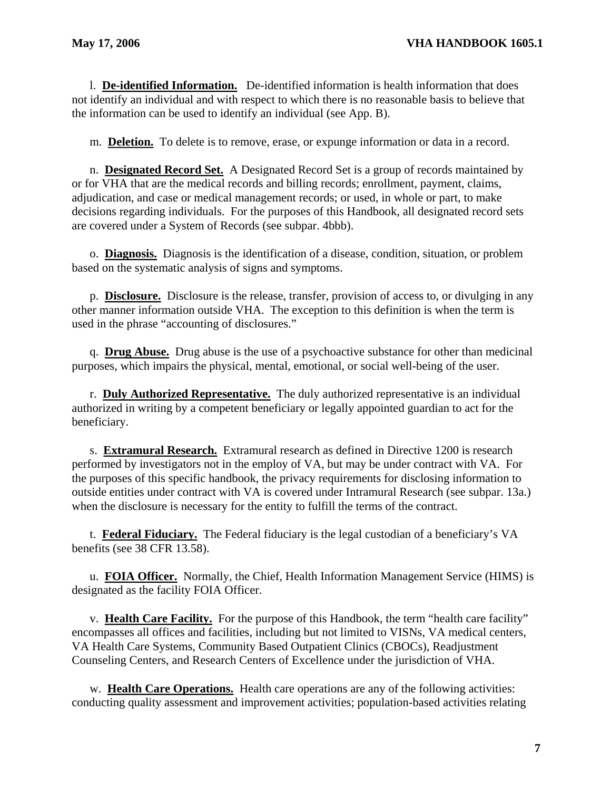l. **De-identified Information.** De-identified information is health information that does not identify an individual and with respect to which there is no reasonable basis to believe that the information can be used to identify an individual (see App. B).

m. **Deletion.** To delete is to remove, erase, or expunge information or data in a record.

n. **Designated Record Set.** A Designated Record Set is a group of records maintained by or for VHA that are the medical records and billing records; enrollment, payment, claims, adjudication, and case or medical management records; or used, in whole or part, to make decisions regarding individuals. For the purposes of this Handbook, all designated record sets are covered under a System of Records (see subpar. 4bbb).

 o. **Diagnosis.** Diagnosis is the identification of a disease, condition, situation, or problem based on the systematic analysis of signs and symptoms.

p. **Disclosure.** Disclosure is the release, transfer, provision of access to, or divulging in any other manner information outside VHA. The exception to this definition is when the term is used in the phrase "accounting of disclosures."

q. **Drug Abuse.** Drug abuse is the use of a psychoactive substance for other than medicinal purposes, which impairs the physical, mental, emotional, or social well-being of the user.

r. **Duly Authorized Representative.** The duly authorized representative is an individual authorized in writing by a competent beneficiary or legally appointed guardian to act for the beneficiary.

s. **Extramural Research.** Extramural research as defined in Directive 1200 is research performed by investigators not in the employ of VA, but may be under contract with VA. For the purposes of this specific handbook, the privacy requirements for disclosing information to outside entities under contract with VA is covered under Intramural Research (see subpar. 13a.) when the disclosure is necessary for the entity to fulfill the terms of the contract.

t. **Federal Fiduciary.** The Federal fiduciary is the legal custodian of a beneficiary's VA benefits (see 38 CFR 13.58).

u. **FOIA Officer.** Normally, the Chief, Health Information Management Service (HIMS) is designated as the facility FOIA Officer.

v. **Health Care Facility.** For the purpose of this Handbook, the term "health care facility" encompasses all offices and facilities, including but not limited to VISNs, VA medical centers, VA Health Care Systems, Community Based Outpatient Clinics (CBOCs), Readjustment Counseling Centers, and Research Centers of Excellence under the jurisdiction of VHA.

w. **Health Care Operations.** Health care operations are any of the following activities: conducting quality assessment and improvement activities; population-based activities relating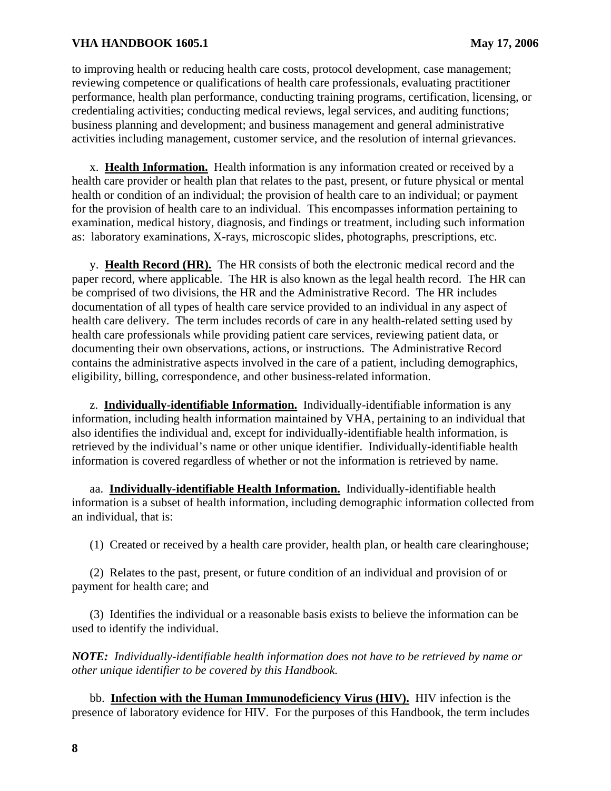to improving health or reducing health care costs, protocol development, case management; reviewing competence or qualifications of health care professionals, evaluating practitioner performance, health plan performance, conducting training programs, certification, licensing, or credentialing activities; conducting medical reviews, legal services, and auditing functions; business planning and development; and business management and general administrative activities including management, customer service, and the resolution of internal grievances.

x. **Health Information.** Health information is any information created or received by a health care provider or health plan that relates to the past, present, or future physical or mental health or condition of an individual; the provision of health care to an individual; or payment for the provision of health care to an individual. This encompasses information pertaining to examination, medical history, diagnosis, and findings or treatment, including such information as: laboratory examinations, X-rays, microscopic slides, photographs, prescriptions, etc.

y. **Health Record (HR).** The HR consists of both the electronic medical record and the paper record, where applicable. The HR is also known as the legal health record. The HR can be comprised of two divisions, the HR and the Administrative Record. The HR includes documentation of all types of health care service provided to an individual in any aspect of health care delivery. The term includes records of care in any health-related setting used by health care professionals while providing patient care services, reviewing patient data, or documenting their own observations, actions, or instructions. The Administrative Record contains the administrative aspects involved in the care of a patient, including demographics, eligibility, billing, correspondence, and other business-related information.

z. **Individually-identifiable Information.** Individually-identifiable information is any information, including health information maintained by VHA, pertaining to an individual that also identifies the individual and, except for individually-identifiable health information, is retrieved by the individual's name or other unique identifier. Individually-identifiable health information is covered regardless of whether or not the information is retrieved by name.

aa. **Individually-identifiable Health Information.** Individually-identifiable health information is a subset of health information, including demographic information collected from an individual, that is:

(1) Created or received by a health care provider, health plan, or health care clearinghouse;

(2) Relates to the past, present, or future condition of an individual and provision of or payment for health care; and

(3) Identifies the individual or a reasonable basis exists to believe the information can be used to identify the individual.

*NOTE: Individually-identifiable health information does not have to be retrieved by name or other unique identifier to be covered by this Handbook.* 

bb. **Infection with the Human Immunodeficiency Virus (HIV).** HIV infection is the presence of laboratory evidence for HIV. For the purposes of this Handbook, the term includes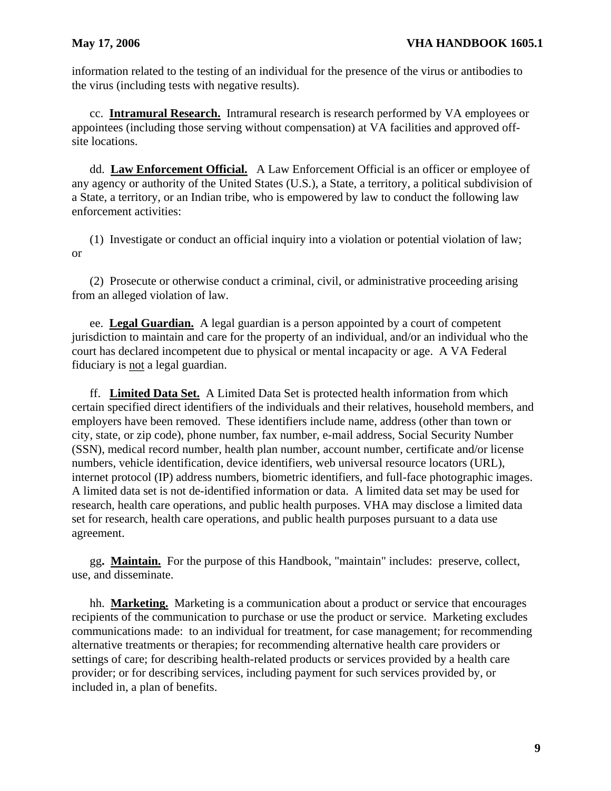information related to the testing of an individual for the presence of the virus or antibodies to the virus (including tests with negative results).

cc. **Intramural Research.** Intramural research is research performed by VA employees or appointees (including those serving without compensation) at VA facilities and approved offsite locations.

dd. **Law Enforcement Official.** A Law Enforcement Official is an officer or employee of any agency or authority of the United States (U.S.), a State, a territory, a political subdivision of a State, a territory, or an Indian tribe, who is empowered by law to conduct the following law enforcement activities:

(1) Investigate or conduct an official inquiry into a violation or potential violation of law; or

(2) Prosecute or otherwise conduct a criminal, civil, or administrative proceeding arising from an alleged violation of law.

ee. **Legal Guardian.** A legal guardian is a person appointed by a court of competent jurisdiction to maintain and care for the property of an individual, and/or an individual who the court has declared incompetent due to physical or mental incapacity or age. A VA Federal fiduciary is not a legal guardian.

ff. **Limited Data Set.** A Limited Data Set is protected health information from which certain specified direct identifiers of the individuals and their relatives, household members, and employers have been removed. These identifiers include name, address (other than town or city, state, or zip code), phone number, fax number, e-mail address, Social Security Number (SSN), medical record number, health plan number, account number, certificate and/or license numbers, vehicle identification, device identifiers, web universal resource locators (URL), internet protocol (IP) address numbers, biometric identifiers, and full-face photographic images. A limited data set is not de-identified information or data. A limited data set may be used for research, health care operations, and public health purposes. VHA may disclose a limited data set for research, health care operations, and public health purposes pursuant to a data use agreement.

 gg**. Maintain.** For the purpose of this Handbook, "maintain" includes: preserve, collect, use, and disseminate.

hh. **Marketing.** Marketing is a communication about a product or service that encourages recipients of the communication to purchase or use the product or service. Marketing excludes communications made: to an individual for treatment, for case management; for recommending alternative treatments or therapies; for recommending alternative health care providers or settings of care; for describing health-related products or services provided by a health care provider; or for describing services, including payment for such services provided by, or included in, a plan of benefits.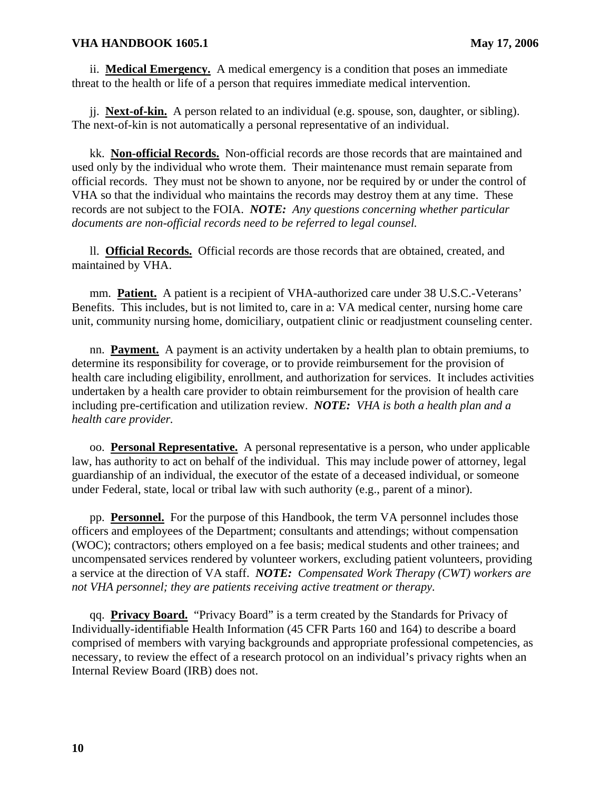ii. **Medical Emergency.** A medical emergency is a condition that poses an immediate threat to the health or life of a person that requires immediate medical intervention.

jj. **Next-of-kin.** A person related to an individual (e.g. spouse, son, daughter, or sibling). The next-of-kin is not automatically a personal representative of an individual.

kk. **Non-official Records.** Non-official records are those records that are maintained and used only by the individual who wrote them. Their maintenance must remain separate from official records. They must not be shown to anyone, nor be required by or under the control of VHA so that the individual who maintains the records may destroy them at any time. These records are not subject to the FOIA. *NOTE: Any questions concerning whether particular documents are non-official records need to be referred to legal counsel.* 

ll. **Official Records.** Official records are those records that are obtained, created, and maintained by VHA.

mm. **Patient.** A patient is a recipient of VHA-authorized care under 38 U.S.C.-Veterans' Benefits. This includes, but is not limited to, care in a: VA medical center, nursing home care unit, community nursing home, domiciliary, outpatient clinic or readjustment counseling center.

nn. **Payment.** A payment is an activity undertaken by a health plan to obtain premiums, to determine its responsibility for coverage, or to provide reimbursement for the provision of health care including eligibility, enrollment, and authorization for services. It includes activities undertaken by a health care provider to obtain reimbursement for the provision of health care including pre-certification and utilization review. *NOTE: VHA is both a health plan and a health care provider.* 

oo. **Personal Representative.** A personal representative is a person, who under applicable law, has authority to act on behalf of the individual. This may include power of attorney, legal guardianship of an individual, the executor of the estate of a deceased individual, or someone under Federal, state, local or tribal law with such authority (e.g., parent of a minor).

pp. **Personnel.** For the purpose of this Handbook, the term VA personnel includes those officers and employees of the Department; consultants and attendings; without compensation (WOC); contractors; others employed on a fee basis; medical students and other trainees; and uncompensated services rendered by volunteer workers, excluding patient volunteers, providing a service at the direction of VA staff. *NOTE: Compensated Work Therapy (CWT) workers are not VHA personnel; they are patients receiving active treatment or therapy.* 

qq. **Privacy Board.** "Privacy Board" is a term created by the Standards for Privacy of Individually-identifiable Health Information (45 CFR Parts 160 and 164) to describe a board comprised of members with varying backgrounds and appropriate professional competencies, as necessary, to review the effect of a research protocol on an individual's privacy rights when an Internal Review Board (IRB) does not.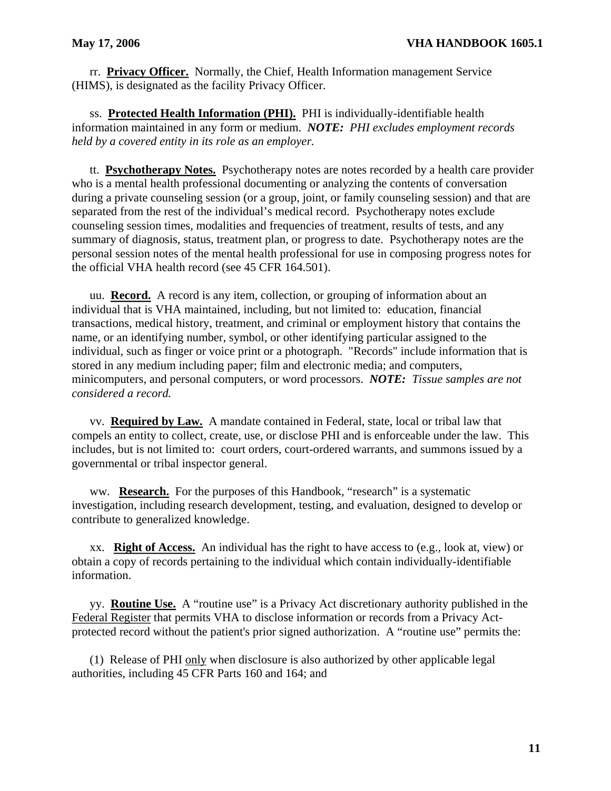rr. **Privacy Officer.** Normally, the Chief, Health Information management Service (HIMS), is designated as the facility Privacy Officer.

ss. **Protected Health Information (PHI).** PHI is individually-identifiable health information maintained in any form or medium. *NOTE: PHI excludes employment records held by a covered entity in its role as an employer.* 

tt. **Psychotherapy Notes.** Psychotherapy notes are notes recorded by a health care provider who is a mental health professional documenting or analyzing the contents of conversation during a private counseling session (or a group, joint, or family counseling session) and that are separated from the rest of the individual's medical record. Psychotherapy notes exclude counseling session times, modalities and frequencies of treatment, results of tests, and any summary of diagnosis, status, treatment plan, or progress to date. Psychotherapy notes are the personal session notes of the mental health professional for use in composing progress notes for the official VHA health record (see 45 CFR 164.501).

uu. **Record.** A record is any item, collection, or grouping of information about an individual that is VHA maintained, including, but not limited to: education, financial transactions, medical history, treatment, and criminal or employment history that contains the name, or an identifying number, symbol, or other identifying particular assigned to the individual, such as finger or voice print or a photograph. "Records" include information that is stored in any medium including paper; film and electronic media; and computers, minicomputers, and personal computers, or word processors. *NOTE: Tissue samples are not considered a record.* 

vv. **Required by Law.** A mandate contained in Federal, state, local or tribal law that compels an entity to collect, create, use, or disclose PHI and is enforceable under the law. This includes, but is not limited to: court orders, court-ordered warrants, and summons issued by a governmental or tribal inspector general.

ww. **Research.** For the purposes of this Handbook, "research" is a systematic investigation, including research development, testing, and evaluation, designed to develop or contribute to generalized knowledge.

xx. **Right of Access.** An individual has the right to have access to (e.g., look at, view) or obtain a copy of records pertaining to the individual which contain individually-identifiable information.

 yy. **Routine Use.** A "routine use" is a Privacy Act discretionary authority published in the Federal Register that permits VHA to disclose information or records from a Privacy Actprotected record without the patient's prior signed authorization. A "routine use" permits the:

(1) Release of PHI only when disclosure is also authorized by other applicable legal authorities, including 45 CFR Parts 160 and 164; and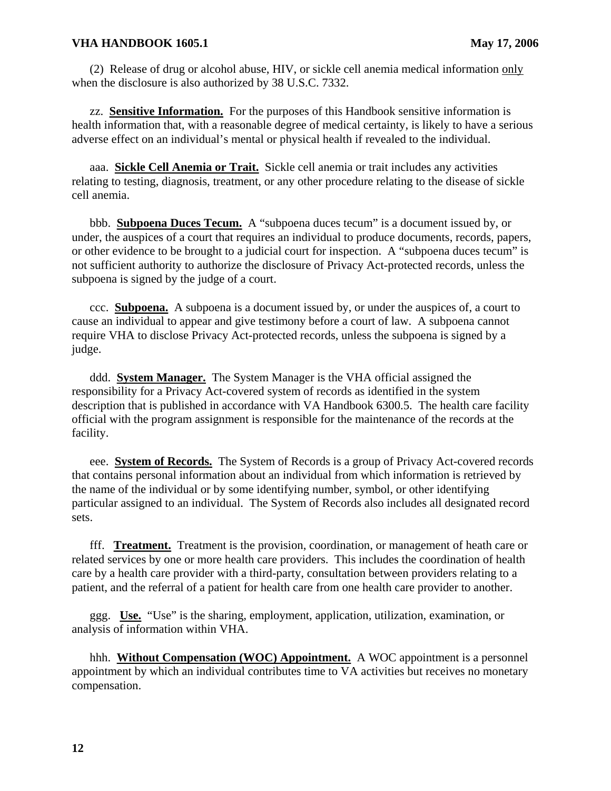(2) Release of drug or alcohol abuse, HIV, or sickle cell anemia medical information only when the disclosure is also authorized by 38 U.S.C. 7332.

zz. **Sensitive Information.** For the purposes of this Handbook sensitive information is health information that, with a reasonable degree of medical certainty, is likely to have a serious adverse effect on an individual's mental or physical health if revealed to the individual.

 aaa. **Sickle Cell Anemia or Trait.** Sickle cell anemia or trait includes any activities relating to testing, diagnosis, treatment, or any other procedure relating to the disease of sickle cell anemia.

bbb. **Subpoena Duces Tecum.** A "subpoena duces tecum" is a document issued by, or under, the auspices of a court that requires an individual to produce documents, records, papers, or other evidence to be brought to a judicial court for inspection. A "subpoena duces tecum" is not sufficient authority to authorize the disclosure of Privacy Act-protected records, unless the subpoena is signed by the judge of a court.

ccc. **Subpoena.** A subpoena is a document issued by, or under the auspices of, a court to cause an individual to appear and give testimony before a court of law. A subpoena cannot require VHA to disclose Privacy Act-protected records, unless the subpoena is signed by a judge.

ddd. **System Manager.** The System Manager is the VHA official assigned the responsibility for a Privacy Act-covered system of records as identified in the system description that is published in accordance with VA Handbook 6300.5. The health care facility official with the program assignment is responsible for the maintenance of the records at the facility.

eee. **System of Records.** The System of Records is a group of Privacy Act-covered records that contains personal information about an individual from which information is retrieved by the name of the individual or by some identifying number, symbol, or other identifying particular assigned to an individual. The System of Records also includes all designated record sets.

fff. **Treatment.** Treatment is the provision, coordination, or management of heath care or related services by one or more health care providers. This includes the coordination of health care by a health care provider with a third-party, consultation between providers relating to a patient, and the referral of a patient for health care from one health care provider to another.

ggg. **Use.** "Use" is the sharing, employment, application, utilization, examination, or analysis of information within VHA.

hhh. **Without Compensation (WOC) Appointment.** A WOC appointment is a personnel appointment by which an individual contributes time to VA activities but receives no monetary compensation.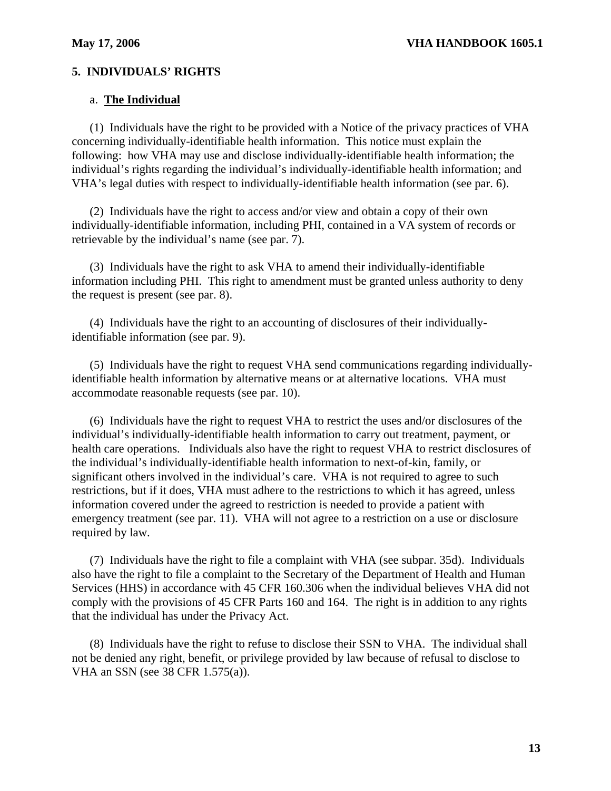## **5. INDIVIDUALS' RIGHTS**

#### a. **The Individual**

(1) Individuals have the right to be provided with a Notice of the privacy practices of VHA concerning individually-identifiable health information. This notice must explain the following: how VHA may use and disclose individually-identifiable health information; the individual's rights regarding the individual's individually-identifiable health information; and VHA's legal duties with respect to individually-identifiable health information (see par. 6).

(2) Individuals have the right to access and/or view and obtain a copy of their own individually-identifiable information, including PHI, contained in a VA system of records or retrievable by the individual's name (see par. 7).

(3) Individuals have the right to ask VHA to amend their individually-identifiable information including PHI. This right to amendment must be granted unless authority to deny the request is present (see par. 8).

(4) Individuals have the right to an accounting of disclosures of their individuallyidentifiable information (see par. 9).

(5) Individuals have the right to request VHA send communications regarding individuallyidentifiable health information by alternative means or at alternative locations. VHA must accommodate reasonable requests (see par. 10).

(6) Individuals have the right to request VHA to restrict the uses and/or disclosures of the individual's individually-identifiable health information to carry out treatment, payment, or health care operations. Individuals also have the right to request VHA to restrict disclosures of the individual's individually-identifiable health information to next-of-kin, family, or significant others involved in the individual's care. VHA is not required to agree to such restrictions, but if it does, VHA must adhere to the restrictions to which it has agreed, unless information covered under the agreed to restriction is needed to provide a patient with emergency treatment (see par. 11). VHA will not agree to a restriction on a use or disclosure required by law.

(7) Individuals have the right to file a complaint with VHA (see subpar. 35d). Individuals also have the right to file a complaint to the Secretary of the Department of Health and Human Services (HHS) in accordance with 45 CFR 160.306 when the individual believes VHA did not comply with the provisions of 45 CFR Parts 160 and 164. The right is in addition to any rights that the individual has under the Privacy Act.

(8) Individuals have the right to refuse to disclose their SSN to VHA. The individual shall not be denied any right, benefit, or privilege provided by law because of refusal to disclose to VHA an SSN (see 38 CFR 1.575(a)).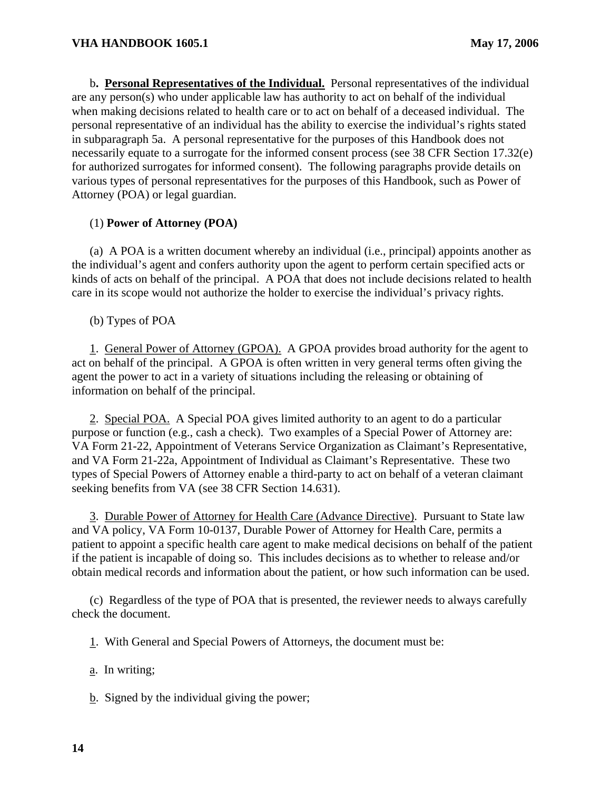b**. Personal Representatives of the Individual.** Personal representatives of the individual are any person(s) who under applicable law has authority to act on behalf of the individual when making decisions related to health care or to act on behalf of a deceased individual. The personal representative of an individual has the ability to exercise the individual's rights stated in subparagraph 5a. A personal representative for the purposes of this Handbook does not necessarily equate to a surrogate for the informed consent process (see 38 CFR Section 17.32(e) for authorized surrogates for informed consent). The following paragraphs provide details on various types of personal representatives for the purposes of this Handbook, such as Power of Attorney (POA) or legal guardian.

## (1) **Power of Attorney (POA)**

(a) A POA is a written document whereby an individual (i.e., principal) appoints another as the individual's agent and confers authority upon the agent to perform certain specified acts or kinds of acts on behalf of the principal. A POA that does not include decisions related to health care in its scope would not authorize the holder to exercise the individual's privacy rights.

(b) Types of POA

agent the power to act in a variety of situations including the releasing or obtaining of 1. General Power of Attorney (GPOA). A GPOA provides broad authority for the agent to act on behalf of the principal. A GPOA is often written in very general terms often giving the information on behalf of the principal.

2. Special POA. A Special POA gives limited authority to an agent to do a particular purpose or function (e.g., cash a check). Two examples of a Special Power of Attorney are: VA Form 21-22, Appointment of Veterans Service Organization as Claimant's Representative, and VA Form 21-22a, Appointment of Individual as Claimant's Representative. These two types of Special Powers of Attorney enable a third-party to act on behalf of a veteran claimant seeking benefits from VA (see 38 CFR Section 14.631).

3. Durable Power of Attorney for Health Care (Advance Directive). Pursuant to State law and VA policy, VA Form 10-0137, Durable Power of Attorney for Health Care, permits a patient to appoint a specific health care agent to make medical decisions on behalf of the patient if the patient is incapable of doing so. This includes decisions as to whether to release and/or obtain medical records and information about the patient, or how such information can be used.

(c) Regardless of the type of POA that is presented, the reviewer needs to always carefully check the document.

1. With General and Special Powers of Attorneys, the document must be:

a. In writing;

b. Signed by the individual giving the power;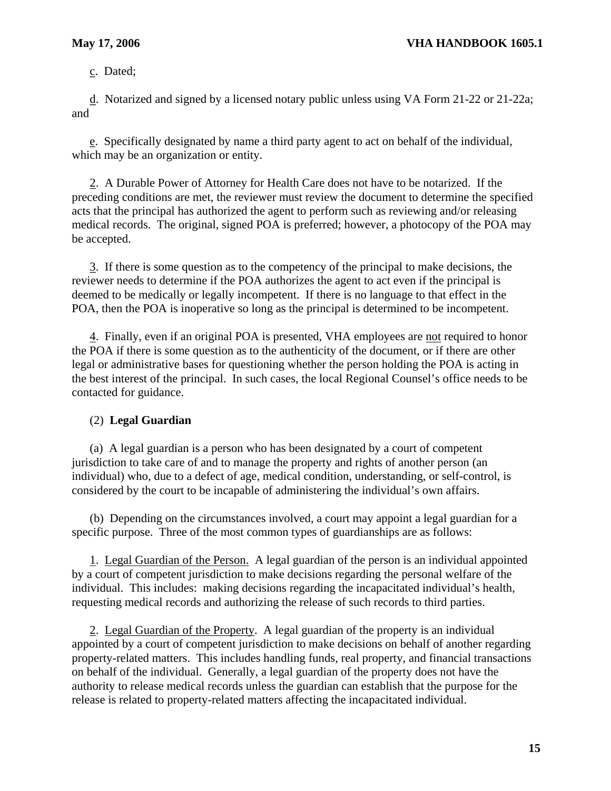c. Dated;

d. Notarized and signed by a licensed notary public unless using VA Form 21-22 or 21-22a; and

e. Specifically designated by name a third party agent to act on behalf of the individual, which may be an organization or entity.

2. A Durable Power of Attorney for Health Care does not have to be notarized. If the preceding conditions are met, the reviewer must review the document to determine the specified acts that the principal has authorized the agent to perform such as reviewing and/or releasing medical records. The original, signed POA is preferred; however, a photocopy of the POA may be accepted.

3. If there is some question as to the competency of the principal to make decisions, the reviewer needs to determine if the POA authorizes the agent to act even if the principal is deemed to be medically or legally incompetent. If there is no language to that effect in the POA, then the POA is inoperative so long as the principal is determined to be incompetent.

4. Finally, even if an original POA is presented, VHA employees are not required to honor the POA if there is some question as to the authenticity of the document, or if there are other legal or administrative bases for questioning whether the person holding the POA is acting in the best interest of the principal. In such cases, the local Regional Counsel's office needs to be contacted for guidance.

## (2) **Legal Guardian**

(a) A legal guardian is a person who has been designated by a court of competent jurisdiction to take care of and to manage the property and rights of another person (an individual) who, due to a defect of age, medical condition, understanding, or self-control, is considered by the court to be incapable of administering the individual's own affairs.

(b) Depending on the circumstances involved, a court may appoint a legal guardian for a specific purpose. Three of the most common types of guardianships are as follows:

 1. Legal Guardian of the Person. A legal guardian of the person is an individual appointed by a court of competent jurisdiction to make decisions regarding the personal welfare of the individual. This includes: making decisions regarding the incapacitated individual's health, requesting medical records and authorizing the release of such records to third parties.

2. Legal Guardian of the Property. A legal guardian of the property is an individual appointed by a court of competent jurisdiction to make decisions on behalf of another regarding property-related matters. This includes handling funds, real property, and financial transactions on behalf of the individual. Generally, a legal guardian of the property does not have the authority to release medical records unless the guardian can establish that the purpose for the release is related to property-related matters affecting the incapacitated individual.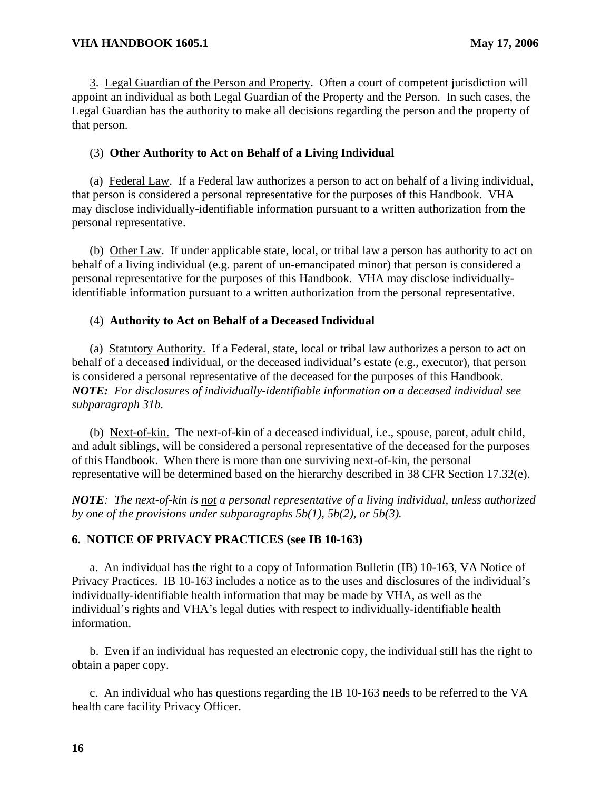3. Legal Guardian of the Person and Property. Often a court of competent jurisdiction will appoint an individual as both Legal Guardian of the Property and the Person. In such cases, the Legal Guardian has the authority to make all decisions regarding the person and the property of that person.

## (3) **Other Authority to Act on Behalf of a Living Individual**

(a) Federal Law. If a Federal law authorizes a person to act on behalf of a living individual, that person is considered a personal representative for the purposes of this Handbook. VHA may disclose individually-identifiable information pursuant to a written authorization from the personal representative.

(b) Other Law. If under applicable state, local, or tribal law a person has authority to act on behalf of a living individual (e.g. parent of un-emancipated minor) that person is considered a personal representative for the purposes of this Handbook. VHA may disclose individuallyidentifiable information pursuant to a written authorization from the personal representative.

## (4) **Authority to Act on Behalf of a Deceased Individual**

(a) Statutory Authority. If a Federal, state, local or tribal law authorizes a person to act on behalf of a deceased individual, or the deceased individual's estate (e.g., executor), that person is considered a personal representative of the deceased for the purposes of this Handbook. *NOTE: For disclosures of individually-identifiable information on a deceased individual see subparagraph 31b.* 

(b) Next-of-kin. The next-of-kin of a deceased individual, i.e., spouse, parent, adult child, and adult siblings, will be considered a personal representative of the deceased for the purposes of this Handbook. When there is more than one surviving next-of-kin, the personal representative will be determined based on the hierarchy described in 38 CFR Section 17.32(e).

*NOTE: The next-of-kin is not a personal representative of a living individual, unless authorized by one of the provisions under subparagraphs 5b(1), 5b(2), or 5b(3).* 

## **6. NOTICE OF PRIVACY PRACTICES (see IB 10-163)**

a. An individual has the right to a copy of Information Bulletin (IB) 10-163, VA Notice of Privacy Practices. IB 10-163 includes a notice as to the uses and disclosures of the individual's individually-identifiable health information that may be made by VHA, as well as the individual's rights and VHA's legal duties with respect to individually-identifiable health information.

b. Even if an individual has requested an electronic copy, the individual still has the right to obtain a paper copy.

c. An individual who has questions regarding the IB 10-163 needs to be referred to the VA health care facility Privacy Officer.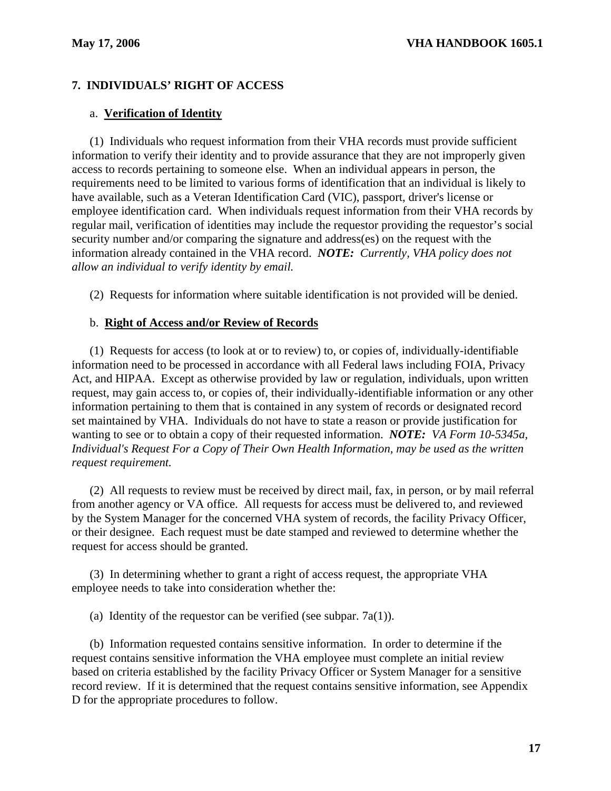## **7. INDIVIDUALS' RIGHT OF ACCESS**

## a. **Verification of Identity**

(1) Individuals who request information from their VHA records must provide sufficient information to verify their identity and to provide assurance that they are not improperly given access to records pertaining to someone else. When an individual appears in person, the requirements need to be limited to various forms of identification that an individual is likely to have available, such as a Veteran Identification Card (VIC), passport, driver's license or employee identification card. When individuals request information from their VHA records by regular mail, verification of identities may include the requestor providing the requestor's social security number and/or comparing the signature and address(es) on the request with the information already contained in the VHA record. *NOTE: Currently, VHA policy does not allow an individual to verify identity by email.* 

(2) Requests for information where suitable identification is not provided will be denied.

## b. **Right of Access and/or Review of Records**

(1) Requests for access (to look at or to review) to, or copies of, individually-identifiable information need to be processed in accordance with all Federal laws including FOIA, Privacy Act, and HIPAA. Except as otherwise provided by law or regulation, individuals, upon written request, may gain access to, or copies of, their individually-identifiable information or any other information pertaining to them that is contained in any system of records or designated record set maintained by VHA. Individuals do not have to state a reason or provide justification for wanting to see or to obtain a copy of their requested information. *NOTE: VA Form 10-5345a, Individual's Request For a Copy of Their Own Health Information, may be used as the written request requirement.* 

(2) All requests to review must be received by direct mail, fax, in person, or by mail referral from another agency or VA office. All requests for access must be delivered to, and reviewed by the System Manager for the concerned VHA system of records, the facility Privacy Officer, or their designee. Each request must be date stamped and reviewed to determine whether the request for access should be granted.

(3) In determining whether to grant a right of access request, the appropriate VHA employee needs to take into consideration whether the:

(a) Identity of the requestor can be verified (see subpar.  $7a(1)$ ).

(b) Information requested contains sensitive information. In order to determine if the request contains sensitive information the VHA employee must complete an initial review based on criteria established by the facility Privacy Officer or System Manager for a sensitive record review. If it is determined that the request contains sensitive information, see Appendix D for the appropriate procedures to follow.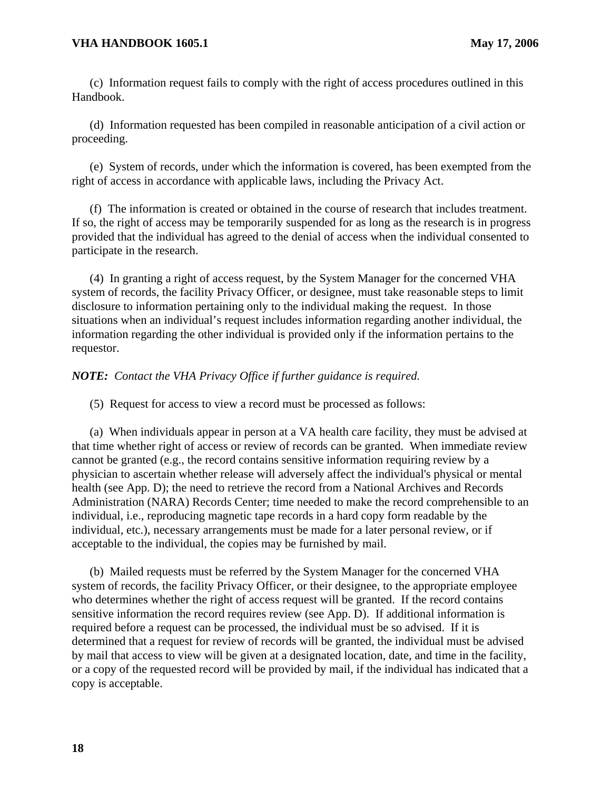(c) Information request fails to comply with the right of access procedures outlined in this Handbook.

(d) Information requested has been compiled in reasonable anticipation of a civil action or proceeding.

(e) System of records, under which the information is covered, has been exempted from the right of access in accordance with applicable laws, including the Privacy Act.

(f) The information is created or obtained in the course of research that includes treatment. If so, the right of access may be temporarily suspended for as long as the research is in progress provided that the individual has agreed to the denial of access when the individual consented to participate in the research.

(4) In granting a right of access request, by the System Manager for the concerned VHA system of records, the facility Privacy Officer, or designee, must take reasonable steps to limit disclosure to information pertaining only to the individual making the request. In those situations when an individual's request includes information regarding another individual, the information regarding the other individual is provided only if the information pertains to the requestor.

*NOTE: Contact the VHA Privacy Office if further guidance is required.* 

(5) Request for access to view a record must be processed as follows:

(a) When individuals appear in person at a VA health care facility, they must be advised at that time whether right of access or review of records can be granted. When immediate review cannot be granted (e.g., the record contains sensitive information requiring review by a physician to ascertain whether release will adversely affect the individual's physical or mental health (see App. D); the need to retrieve the record from a National Archives and Records Administration (NARA) Records Center; time needed to make the record comprehensible to an individual, i.e., reproducing magnetic tape records in a hard copy form readable by the individual, etc.), necessary arrangements must be made for a later personal review, or if acceptable to the individual, the copies may be furnished by mail.

(b) Mailed requests must be referred by the System Manager for the concerned VHA system of records, the facility Privacy Officer, or their designee, to the appropriate employee who determines whether the right of access request will be granted. If the record contains sensitive information the record requires review (see App. D). If additional information is required before a request can be processed, the individual must be so advised. If it is determined that a request for review of records will be granted, the individual must be advised by mail that access to view will be given at a designated location, date, and time in the facility, or a copy of the requested record will be provided by mail, if the individual has indicated that a copy is acceptable.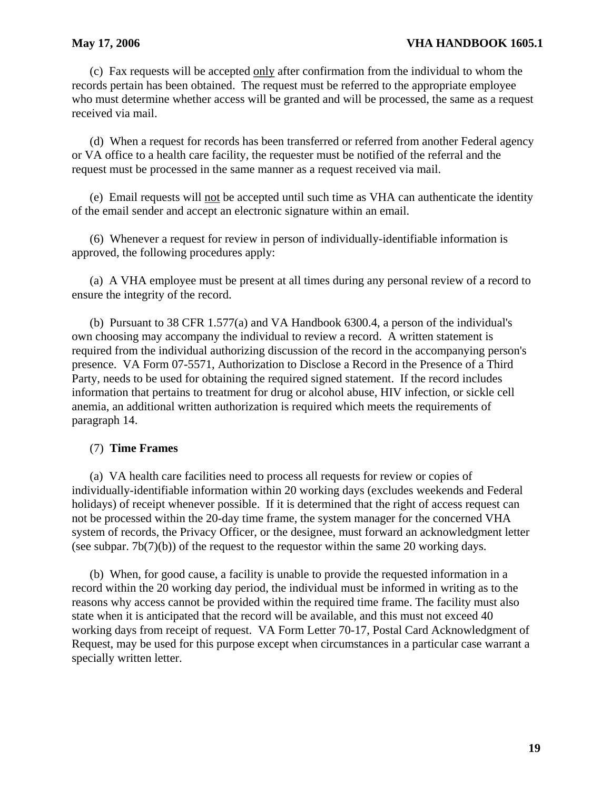#### **May 17, 2006 VHA HANDBOOK 1605.1**

(c) Fax requests will be accepted only after confirmation from the individual to whom the records pertain has been obtained. The request must be referred to the appropriate employee who must determine whether access will be granted and will be processed, the same as a request received via mail.

(d) When a request for records has been transferred or referred from another Federal agency or VA office to a health care facility, the requester must be notified of the referral and the request must be processed in the same manner as a request received via mail.

(e) Email requests will not be accepted until such time as VHA can authenticate the identity of the email sender and accept an electronic signature within an email.

(6) Whenever a request for review in person of individually-identifiable information is approved, the following procedures apply:

(a) A VHA employee must be present at all times during any personal review of a record to ensure the integrity of the record.

(b) Pursuant to 38 CFR 1.577(a) and VA Handbook 6300.4, a person of the individual's own choosing may accompany the individual to review a record. A written statement is required from the individual authorizing discussion of the record in the accompanying person's presence. VA Form 07-5571, Authorization to Disclose a Record in the Presence of a Third Party, needs to be used for obtaining the required signed statement. If the record includes information that pertains to treatment for drug or alcohol abuse, HIV infection, or sickle cell anemia, an additional written authorization is required which meets the requirements of paragraph 14.

#### (7) **Time Frames**

(a) VA health care facilities need to process all requests for review or copies of individually-identifiable information within 20 working days (excludes weekends and Federal holidays) of receipt whenever possible. If it is determined that the right of access request can not be processed within the 20-day time frame, the system manager for the concerned VHA system of records, the Privacy Officer, or the designee, must forward an acknowledgment letter (see subpar.  $7b(7)(b)$ ) of the request to the requestor within the same 20 working days.

(b) When, for good cause, a facility is unable to provide the requested information in a record within the 20 working day period, the individual must be informed in writing as to the reasons why access cannot be provided within the required time frame. The facility must also state when it is anticipated that the record will be available, and this must not exceed 40 working days from receipt of request. VA Form Letter 70-17, Postal Card Acknowledgment of Request, may be used for this purpose except when circumstances in a particular case warrant a specially written letter.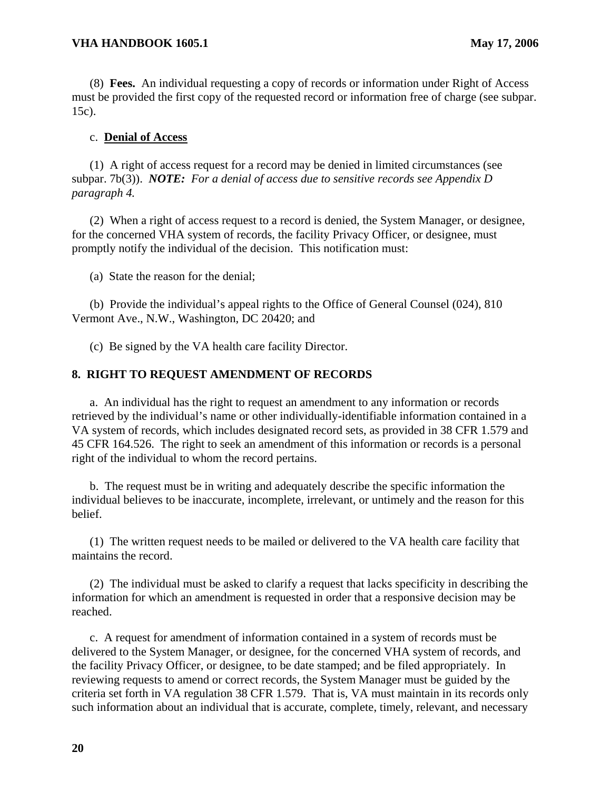(8) **Fees.** An individual requesting a copy of records or information under Right of Access must be provided the first copy of the requested record or information free of charge (see subpar. 15c).

## c. **Denial of Access**

(1) A right of access request for a record may be denied in limited circumstances (see subpar. 7b(3)). *NOTE: For a denial of access due to sensitive records see Appendix D paragraph 4.* 

(2) When a right of access request to a record is denied, the System Manager, or designee, for the concerned VHA system of records, the facility Privacy Officer, or designee, must promptly notify the individual of the decision. This notification must:

(a) State the reason for the denial;

(b) Provide the individual's appeal rights to the Office of General Counsel (024), 810 Vermont Ave., N.W., Washington, DC 20420; and

(c) Be signed by the VA health care facility Director.

## **8. RIGHT TO REQUEST AMENDMENT OF RECORDS**

a. An individual has the right to request an amendment to any information or records retrieved by the individual's name or other individually-identifiable information contained in a VA system of records, which includes designated record sets, as provided in 38 CFR 1.579 and 45 CFR 164.526. The right to seek an amendment of this information or records is a personal right of the individual to whom the record pertains.

b. The request must be in writing and adequately describe the specific information the individual believes to be inaccurate, incomplete, irrelevant, or untimely and the reason for this belief.

(1) The written request needs to be mailed or delivered to the VA health care facility that maintains the record.

(2) The individual must be asked to clarify a request that lacks specificity in describing the information for which an amendment is requested in order that a responsive decision may be reached.

c. A request for amendment of information contained in a system of records must be delivered to the System Manager, or designee, for the concerned VHA system of records, and the facility Privacy Officer, or designee, to be date stamped; and be filed appropriately. In reviewing requests to amend or correct records, the System Manager must be guided by the criteria set forth in VA regulation 38 CFR 1.579. That is, VA must maintain in its records only such information about an individual that is accurate, complete, timely, relevant, and necessary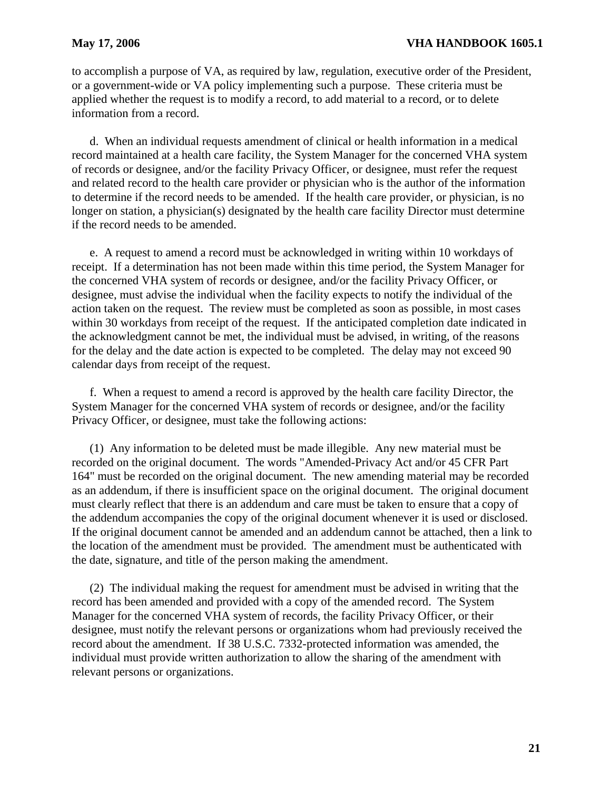to accomplish a purpose of VA, as required by law, regulation, executive order of the President, or a government-wide or VA policy implementing such a purpose. These criteria must be applied whether the request is to modify a record, to add material to a record, or to delete information from a record.

d. When an individual requests amendment of clinical or health information in a medical record maintained at a health care facility, the System Manager for the concerned VHA system of records or designee, and/or the facility Privacy Officer, or designee, must refer the request and related record to the health care provider or physician who is the author of the information to determine if the record needs to be amended. If the health care provider, or physician, is no longer on station, a physician(s) designated by the health care facility Director must determine if the record needs to be amended.

e. A request to amend a record must be acknowledged in writing within 10 workdays of receipt. If a determination has not been made within this time period, the System Manager for the concerned VHA system of records or designee, and/or the facility Privacy Officer, or designee, must advise the individual when the facility expects to notify the individual of the action taken on the request. The review must be completed as soon as possible, in most cases within 30 workdays from receipt of the request. If the anticipated completion date indicated in the acknowledgment cannot be met, the individual must be advised, in writing, of the reasons for the delay and the date action is expected to be completed. The delay may not exceed 90 calendar days from receipt of the request.

f. When a request to amend a record is approved by the health care facility Director, the System Manager for the concerned VHA system of records or designee, and/or the facility Privacy Officer, or designee, must take the following actions:

(1) Any information to be deleted must be made illegible. Any new material must be recorded on the original document. The words "Amended-Privacy Act and/or 45 CFR Part 164" must be recorded on the original document. The new amending material may be recorded as an addendum, if there is insufficient space on the original document. The original document must clearly reflect that there is an addendum and care must be taken to ensure that a copy of the addendum accompanies the copy of the original document whenever it is used or disclosed. If the original document cannot be amended and an addendum cannot be attached, then a link to the location of the amendment must be provided. The amendment must be authenticated with the date, signature, and title of the person making the amendment.

(2) The individual making the request for amendment must be advised in writing that the record has been amended and provided with a copy of the amended record. The System Manager for the concerned VHA system of records, the facility Privacy Officer, or their designee, must notify the relevant persons or organizations whom had previously received the record about the amendment. If 38 U.S.C. 7332-protected information was amended, the individual must provide written authorization to allow the sharing of the amendment with relevant persons or organizations.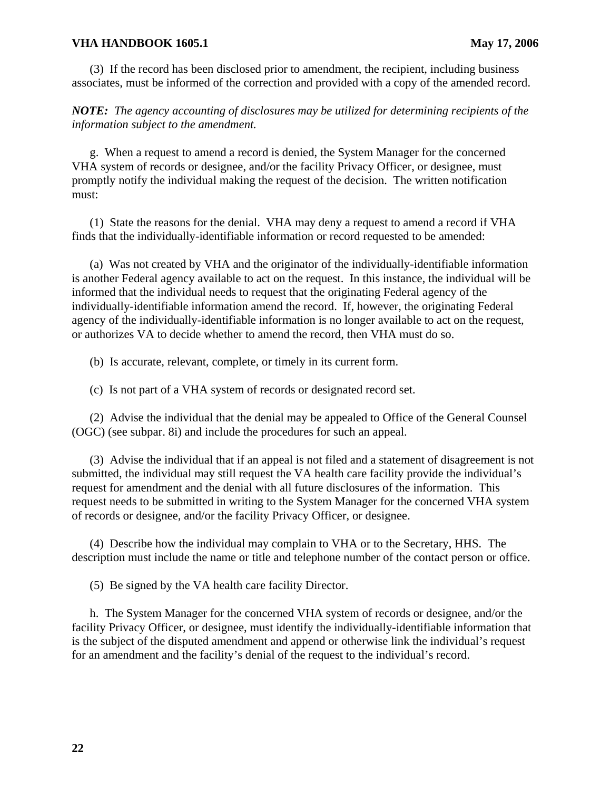(3) If the record has been disclosed prior to amendment, the recipient, including business associates, must be informed of the correction and provided with a copy of the amended record.

*NOTE: The agency accounting of disclosures may be utilized for determining recipients of the information subject to the amendment.* 

g. When a request to amend a record is denied, the System Manager for the concerned VHA system of records or designee, and/or the facility Privacy Officer, or designee, must promptly notify the individual making the request of the decision. The written notification must:

(1) State the reasons for the denial. VHA may deny a request to amend a record if VHA finds that the individually-identifiable information or record requested to be amended:

(a) Was not created by VHA and the originator of the individually-identifiable information is another Federal agency available to act on the request. In this instance, the individual will be informed that the individual needs to request that the originating Federal agency of the individually-identifiable information amend the record. If, however, the originating Federal agency of the individually-identifiable information is no longer available to act on the request, or authorizes VA to decide whether to amend the record, then VHA must do so.

(b) Is accurate, relevant, complete, or timely in its current form.

(c) Is not part of a VHA system of records or designated record set.

(2) Advise the individual that the denial may be appealed to Office of the General Counsel (OGC) (see subpar. 8i) and include the procedures for such an appeal.

(3) Advise the individual that if an appeal is not filed and a statement of disagreement is not submitted, the individual may still request the VA health care facility provide the individual's request for amendment and the denial with all future disclosures of the information. This request needs to be submitted in writing to the System Manager for the concerned VHA system of records or designee, and/or the facility Privacy Officer, or designee.

(4) Describe how the individual may complain to VHA or to the Secretary, HHS. The description must include the name or title and telephone number of the contact person or office.

(5) Be signed by the VA health care facility Director.

h. The System Manager for the concerned VHA system of records or designee, and/or the facility Privacy Officer, or designee, must identify the individually-identifiable information that is the subject of the disputed amendment and append or otherwise link the individual's request for an amendment and the facility's denial of the request to the individual's record.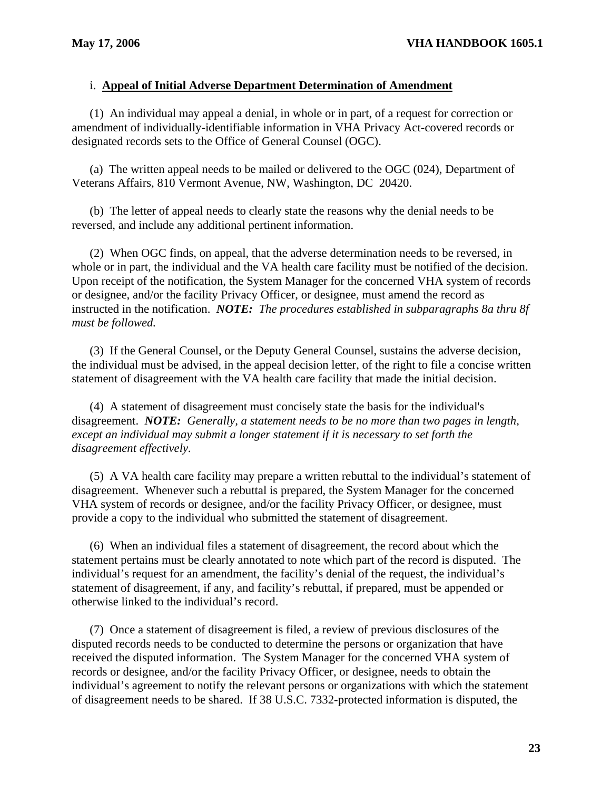## i. **Appeal of Initial Adverse Department Determination of Amendment**

(1) An individual may appeal a denial, in whole or in part, of a request for correction or amendment of individually-identifiable information in VHA Privacy Act-covered records or designated records sets to the Office of General Counsel (OGC).

(a) The written appeal needs to be mailed or delivered to the OGC (024), Department of Veterans Affairs, 810 Vermont Avenue, NW, Washington, DC 20420.

(b) The letter of appeal needs to clearly state the reasons why the denial needs to be reversed, and include any additional pertinent information.

(2) When OGC finds, on appeal, that the adverse determination needs to be reversed, in whole or in part, the individual and the VA health care facility must be notified of the decision. Upon receipt of the notification, the System Manager for the concerned VHA system of records or designee, and/or the facility Privacy Officer, or designee, must amend the record as instructed in the notification. *NOTE: The procedures established in subparagraphs 8a thru 8f must be followed.* 

(3) If the General Counsel, or the Deputy General Counsel, sustains the adverse decision, the individual must be advised, in the appeal decision letter, of the right to file a concise written statement of disagreement with the VA health care facility that made the initial decision.

(4) A statement of disagreement must concisely state the basis for the individual's disagreement. *NOTE: Generally, a statement needs to be no more than two pages in length, except an individual may submit a longer statement if it is necessary to set forth the disagreement effectively.* 

(5) A VA health care facility may prepare a written rebuttal to the individual's statement of disagreement. Whenever such a rebuttal is prepared, the System Manager for the concerned VHA system of records or designee, and/or the facility Privacy Officer, or designee, must provide a copy to the individual who submitted the statement of disagreement.

(6) When an individual files a statement of disagreement, the record about which the statement pertains must be clearly annotated to note which part of the record is disputed. The individual's request for an amendment, the facility's denial of the request, the individual's statement of disagreement, if any, and facility's rebuttal, if prepared, must be appended or otherwise linked to the individual's record.

(7) Once a statement of disagreement is filed, a review of previous disclosures of the disputed records needs to be conducted to determine the persons or organization that have received the disputed information. The System Manager for the concerned VHA system of records or designee, and/or the facility Privacy Officer, or designee, needs to obtain the individual's agreement to notify the relevant persons or organizations with which the statement of disagreement needs to be shared. If 38 U.S.C. 7332-protected information is disputed, the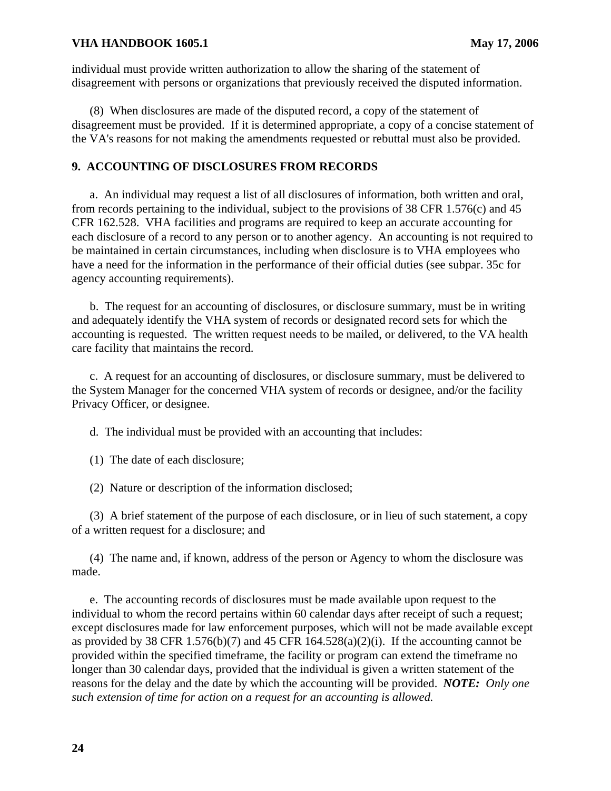individual must provide written authorization to allow the sharing of the statement of disagreement with persons or organizations that previously received the disputed information.

(8) When disclosures are made of the disputed record, a copy of the statement of disagreement must be provided. If it is determined appropriate, a copy of a concise statement of the VA's reasons for not making the amendments requested or rebuttal must also be provided.

#### **9. ACCOUNTING OF DISCLOSURES FROM RECORDS**

a. An individual may request a list of all disclosures of information, both written and oral, from records pertaining to the individual, subject to the provisions of 38 CFR 1.576(c) and 45 CFR 162.528. VHA facilities and programs are required to keep an accurate accounting for each disclosure of a record to any person or to another agency. An accounting is not required to be maintained in certain circumstances, including when disclosure is to VHA employees who have a need for the information in the performance of their official duties (see subpar. 35c for agency accounting requirements).

b. The request for an accounting of disclosures, or disclosure summary, must be in writing and adequately identify the VHA system of records or designated record sets for which the accounting is requested. The written request needs to be mailed, or delivered, to the VA health care facility that maintains the record.

c. A request for an accounting of disclosures, or disclosure summary, must be delivered to the System Manager for the concerned VHA system of records or designee, and/or the facility Privacy Officer, or designee.

d. The individual must be provided with an accounting that includes:

(1) The date of each disclosure;

(2) Nature or description of the information disclosed;

(3) A brief statement of the purpose of each disclosure, or in lieu of such statement, a copy of a written request for a disclosure; and

(4) The name and, if known, address of the person or Agency to whom the disclosure was made.

e. The accounting records of disclosures must be made available upon request to the individual to whom the record pertains within 60 calendar days after receipt of such a request; except disclosures made for law enforcement purposes, which will not be made available except as provided by 38 CFR 1.576(b)(7) and 45 CFR 164.528(a)(2)(i). If the accounting cannot be provided within the specified timeframe, the facility or program can extend the timeframe no longer than 30 calendar days, provided that the individual is given a written statement of the reasons for the delay and the date by which the accounting will be provided. *NOTE: Only one such extension of time for action on a request for an accounting is allowed.*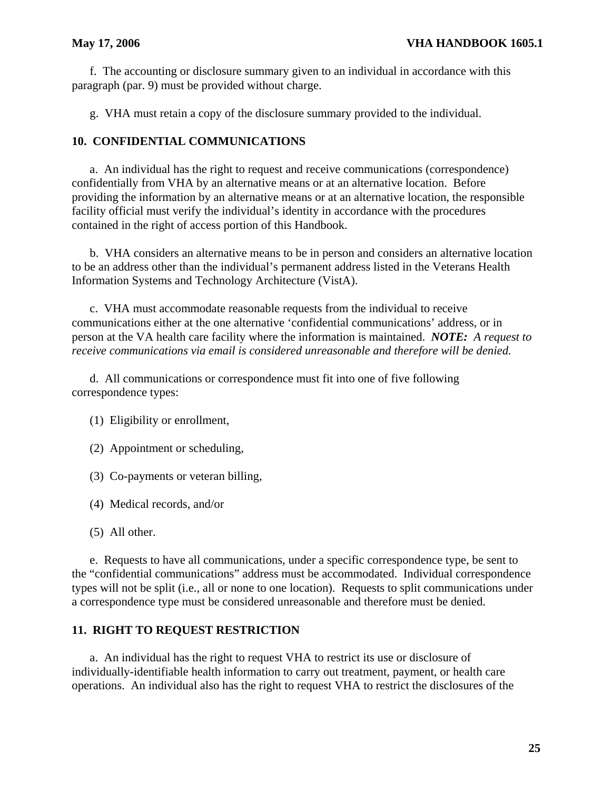#### **May 17, 2006 VHA HANDBOOK 1605.1**

f. The accounting or disclosure summary given to an individual in accordance with this paragraph (par. 9) must be provided without charge.

g. VHA must retain a copy of the disclosure summary provided to the individual.

## **10. CONFIDENTIAL COMMUNICATIONS**

a. An individual has the right to request and receive communications (correspondence) confidentially from VHA by an alternative means or at an alternative location. Before providing the information by an alternative means or at an alternative location, the responsible facility official must verify the individual's identity in accordance with the procedures contained in the right of access portion of this Handbook.

b. VHA considers an alternative means to be in person and considers an alternative location to be an address other than the individual's permanent address listed in the Veterans Health Information Systems and Technology Architecture (VistA).

c. VHA must accommodate reasonable requests from the individual to receive communications either at the one alternative 'confidential communications' address, or in person at the VA health care facility where the information is maintained. *NOTE: A request to receive communications via email is considered unreasonable and therefore will be denied.* 

d. All communications or correspondence must fit into one of five following correspondence types:

- (1) Eligibility or enrollment,
- (2) Appointment or scheduling,
- (3) Co-payments or veteran billing,
- (4) Medical records, and/or
- (5) All other.

e. Requests to have all communications, under a specific correspondence type, be sent to the "confidential communications" address must be accommodated. Individual correspondence types will not be split (i.e., all or none to one location). Requests to split communications under a correspondence type must be considered unreasonable and therefore must be denied.

## **11. RIGHT TO REQUEST RESTRICTION**

a. An individual has the right to request VHA to restrict its use or disclosure of individually-identifiable health information to carry out treatment, payment, or health care operations. An individual also has the right to request VHA to restrict the disclosures of the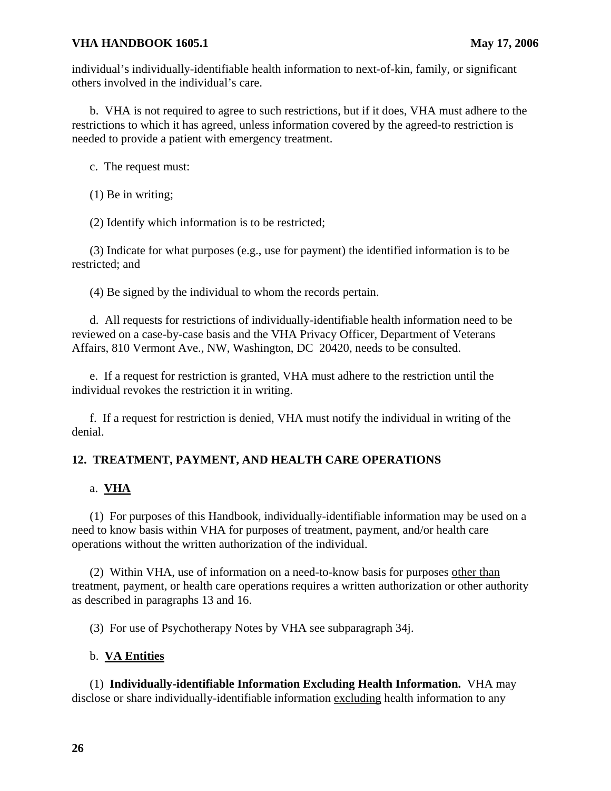individual's individually-identifiable health information to next-of-kin, family, or significant others involved in the individual's care.

b. VHA is not required to agree to such restrictions, but if it does, VHA must adhere to the restrictions to which it has agreed, unless information covered by the agreed-to restriction is needed to provide a patient with emergency treatment.

c. The request must:

(1) Be in writing;

(2) Identify which information is to be restricted;

(3) Indicate for what purposes (e.g., use for payment) the identified information is to be restricted; and

(4) Be signed by the individual to whom the records pertain.

d. All requests for restrictions of individually-identifiable health information need to be reviewed on a case-by-case basis and the VHA Privacy Officer, Department of Veterans Affairs, 810 Vermont Ave., NW, Washington, DC 20420, needs to be consulted.

e. If a request for restriction is granted, VHA must adhere to the restriction until the individual revokes the restriction it in writing.

f. If a request for restriction is denied, VHA must notify the individual in writing of the denial.

## **12. TREATMENT, PAYMENT, AND HEALTH CARE OPERATIONS**

## a. **VHA**

(1) For purposes of this Handbook, individually-identifiable information may be used on a need to know basis within VHA for purposes of treatment, payment, and/or health care operations without the written authorization of the individual.

(2) Within VHA, use of information on a need-to-know basis for purposes other than treatment, payment, or health care operations requires a written authorization or other authority as described in paragraphs 13 and 16.

(3) For use of Psychotherapy Notes by VHA see subparagraph 34j.

## b. **VA Entities**

 (1) **Individually-identifiable Information Excluding Health Information.** VHA may disclose or share individually-identifiable information excluding health information to any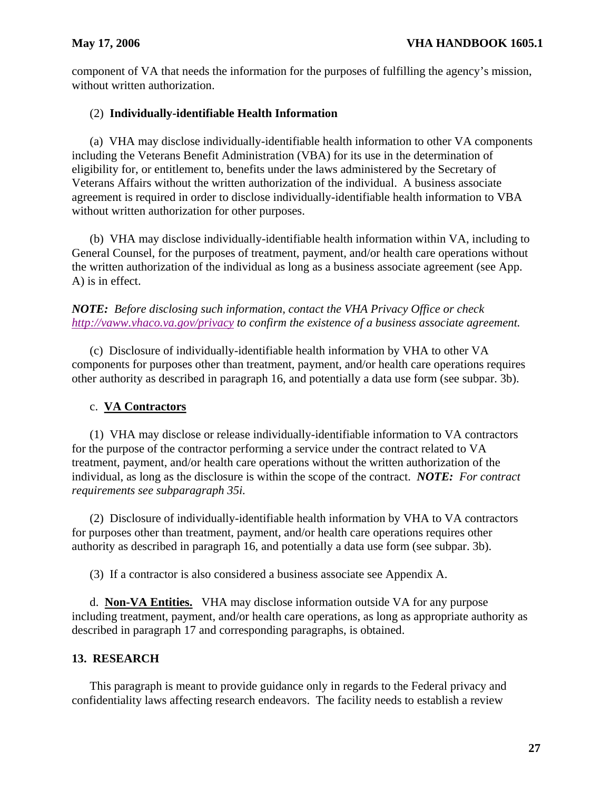component of VA that needs the information for the purposes of fulfilling the agency's mission, without written authorization.

## (2) **Individually-identifiable Health Information**

(a) VHA may disclose individually-identifiable health information to other VA components including the Veterans Benefit Administration (VBA) for its use in the determination of eligibility for, or entitlement to, benefits under the laws administered by the Secretary of Veterans Affairs without the written authorization of the individual. A business associate agreement is required in order to disclose individually-identifiable health information to VBA without written authorization for other purposes.

(b) VHA may disclose individually-identifiable health information within VA, including to General Counsel, for the purposes of treatment, payment, and/or health care operations without the written authorization of the individual as long as a business associate agreement (see App. A) is in effect.

## *NOTE: Before disclosing such information, contact the VHA Privacy Office or check <http://vaww.vhaco.va.gov/privacy>to confirm the existence of a business associate agreement.*

(c) Disclosure of individually-identifiable health information by VHA to other VA components for purposes other than treatment, payment, and/or health care operations requires other authority as described in paragraph 16, and potentially a data use form (see subpar. 3b).

## c. **VA Contractors**

(1) VHA may disclose or release individually-identifiable information to VA contractors for the purpose of the contractor performing a service under the contract related to VA treatment, payment, and/or health care operations without the written authorization of the individual, as long as the disclosure is within the scope of the contract. *NOTE: For contract requirements see subparagraph 35i.* 

(2) Disclosure of individually-identifiable health information by VHA to VA contractors for purposes other than treatment, payment, and/or health care operations requires other authority as described in paragraph 16, and potentially a data use form (see subpar. 3b).

(3) If a contractor is also considered a business associate see Appendix A.

d. **Non-VA Entities.** VHA may disclose information outside VA for any purpose including treatment, payment, and/or health care operations, as long as appropriate authority as described in paragraph 17 and corresponding paragraphs, is obtained.

## **13. RESEARCH**

This paragraph is meant to provide guidance only in regards to the Federal privacy and confidentiality laws affecting research endeavors. The facility needs to establish a review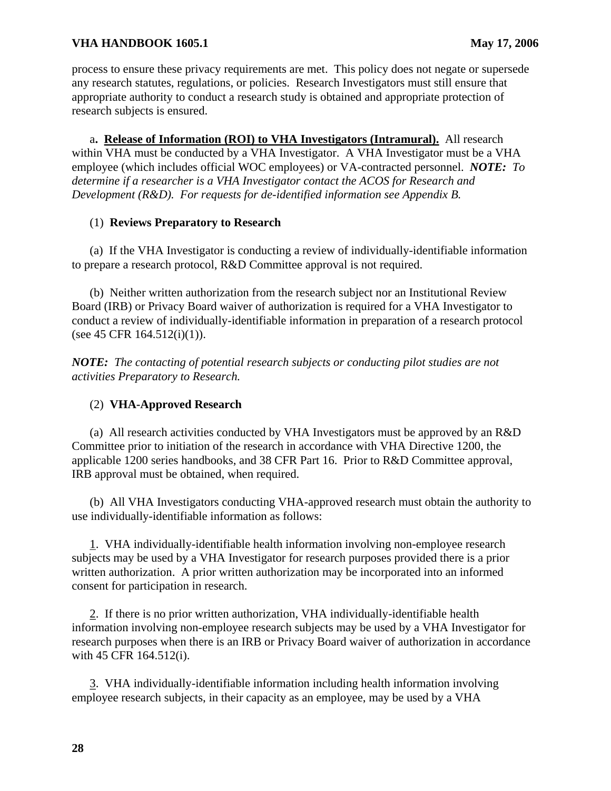process to ensure these privacy requirements are met. This policy does not negate or supersede any research statutes, regulations, or policies. Research Investigators must still ensure that appropriate authority to conduct a research study is obtained and appropriate protection of research subjects is ensured.

a**. Release of Information (ROI) to VHA Investigators (Intramural).** All research within VHA must be conducted by a VHA Investigator. A VHA Investigator must be a VHA employee (which includes official WOC employees) or VA-contracted personnel. *NOTE: To determine if a researcher is a VHA Investigator contact the ACOS for Research and Development (R&D). For requests for de-identified information see Appendix B.* 

#### (1) **Reviews Preparatory to Research**

(a) If the VHA Investigator is conducting a review of individually-identifiable information to prepare a research protocol, R&D Committee approval is not required.

(b) Neither written authorization from the research subject nor an Institutional Review Board (IRB) or Privacy Board waiver of authorization is required for a VHA Investigator to conduct a review of individually-identifiable information in preparation of a research protocol  $(see 45 CFR 164.512(i)(1)).$ 

*NOTE: The contacting of potential research subjects or conducting pilot studies are not activities Preparatory to Research.*

## (2) **VHA-Approved Research**

(a) All research activities conducted by VHA Investigators must be approved by an R&D Committee prior to initiation of the research in accordance with VHA Directive 1200, the applicable 1200 series handbooks, and 38 CFR Part 16. Prior to R&D Committee approval, IRB approval must be obtained, when required.

(b) All VHA Investigators conducting VHA-approved research must obtain the authority to use individually-identifiable information as follows:

VHA individually-identifiable health information involving non-employee research 1. consent for participation in research. subjects may be used by a VHA Investigator for research purposes provided there is a prior written authorization. A prior written authorization may be incorporated into an informed

2. If there is no prior written authorization, VHA individually-identifiable health information involving non-employee research subjects may be used by a VHA Investigator for research purposes when there is an IRB or Privacy Board waiver of authorization in accordance with 45 CFR 164.512(i).

3. VHA individually-identifiable information including health information involving employee research subjects, in their capacity as an employee, may be used by a VHA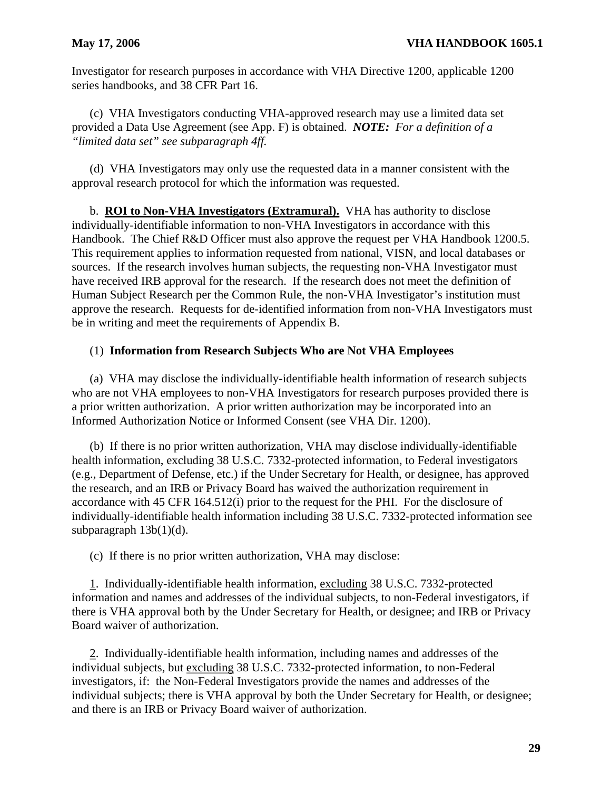Investigator for research purposes in accordance with VHA Directive 1200, applicable 1200 series handbooks, and 38 CFR Part 16.

(c) VHA Investigators conducting VHA-approved research may use a limited data set provided a Data Use Agreement (see App. F) is obtained. *NOTE: For a definition of a "limited data set" see subparagraph 4ff.* 

(d) VHA Investigators may only use the requested data in a manner consistent with the approval research protocol for which the information was requested.

b. **ROI to Non-VHA Investigators (Extramural).** VHA has authority to disclose individually-identifiable information to non-VHA Investigators in accordance with this Handbook. The Chief R&D Officer must also approve the request per VHA Handbook 1200.5. This requirement applies to information requested from national, VISN, and local databases or sources. If the research involves human subjects, the requesting non-VHA Investigator must have received IRB approval for the research. If the research does not meet the definition of Human Subject Research per the Common Rule, the non-VHA Investigator's institution must approve the research. Requests for de-identified information from non-VHA Investigators must be in writing and meet the requirements of Appendix B.

#### (1) **Information from Research Subjects Who are Not VHA Employees**

(a) VHA may disclose the individually-identifiable health information of research subjects who are not VHA employees to non-VHA Investigators for research purposes provided there is a prior written authorization. A prior written authorization may be incorporated into an Informed Authorization Notice or Informed Consent (see VHA Dir. 1200).

(b) If there is no prior written authorization, VHA may disclose individually-identifiable health information, excluding 38 U.S.C. 7332-protected information, to Federal investigators (e.g., Department of Defense, etc.) if the Under Secretary for Health, or designee, has approved the research, and an IRB or Privacy Board has waived the authorization requirement in accordance with 45 CFR 164.512(i) prior to the request for the PHI. For the disclosure of individually-identifiable health information including 38 U.S.C. 7332-protected information see subparagraph 13b(1)(d).

(c) If there is no prior written authorization, VHA may disclose:

1. Individually-identifiable health information, excluding 38 U.S.C. 7332-protected information and names and addresses of the individual subjects, to non-Federal investigators, if there is VHA approval both by the Under Secretary for Health, or designee; and IRB or Privacy Board waiver of authorization.

2. Individually-identifiable health information, including names and addresses of the individual subjects, but excluding 38 U.S.C. 7332-protected information, to non-Federal investigators, if: the Non-Federal Investigators provide the names and addresses of the individual subjects; there is VHA approval by both the Under Secretary for Health, or designee; and there is an IRB or Privacy Board waiver of authorization.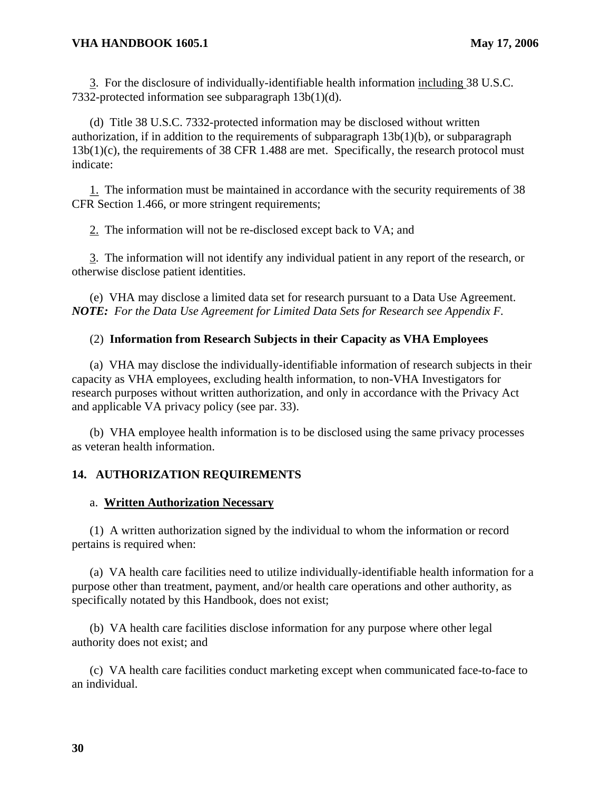3. For the disclosure of individually-identifiable health information including 38 U.S.C. 7332-protected information see subparagraph 13b(1)(d).

(d) Title 38 U.S.C. 7332-protected information may be disclosed without written authorization, if in addition to the requirements of subparagraph  $13b(1)(b)$ , or subparagraph 13b(1)(c), the requirements of 38 CFR 1.488 are met. Specifically, the research protocol must indicate:

1. The information must be maintained in accordance with the security requirements of 38 CFR Section 1.466, or more stringent requirements;

2. The information will not be re-disclosed except back to VA; and

3. The information will not identify any individual patient in any report of the research, or otherwise disclose patient identities.

(e) VHA may disclose a limited data set for research pursuant to a Data Use Agreement. *NOTE: For the Data Use Agreement for Limited Data Sets for Research see Appendix F.*

## (2) **Information from Research Subjects in their Capacity as VHA Employees**

(a) VHA may disclose the individually-identifiable information of research subjects in their capacity as VHA employees, excluding health information, to non-VHA Investigators for research purposes without written authorization, and only in accordance with the Privacy Act and applicable VA privacy policy (see par. 33).

(b) VHA employee health information is to be disclosed using the same privacy processes as veteran health information.

# **14. AUTHORIZATION REQUIREMENTS**

### a. **Written Authorization Necessary**

(1) A written authorization signed by the individual to whom the information or record pertains is required when:

(a) VA health care facilities need to utilize individually-identifiable health information for a purpose other than treatment, payment, and/or health care operations and other authority, as specifically notated by this Handbook, does not exist;

(b) VA health care facilities disclose information for any purpose where other legal authority does not exist; and

(c) VA health care facilities conduct marketing except when communicated face-to-face to an individual.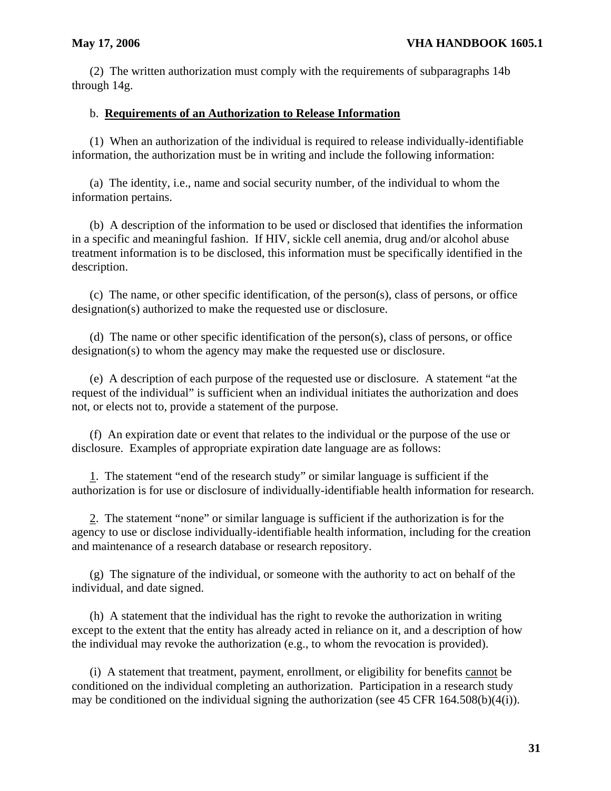(2) The written authorization must comply with the requirements of subparagraphs 14b through 14g.

## b. **Requirements of an Authorization to Release Information**

(1) When an authorization of the individual is required to release individually-identifiable information, the authorization must be in writing and include the following information:

(a) The identity, i.e., name and social security number, of the individual to whom the information pertains.

(b) A description of the information to be used or disclosed that identifies the information in a specific and meaningful fashion. If HIV, sickle cell anemia, drug and/or alcohol abuse treatment information is to be disclosed, this information must be specifically identified in the description.

(c) The name, or other specific identification, of the person(s), class of persons, or office designation(s) authorized to make the requested use or disclosure.

(d) The name or other specific identification of the person(s), class of persons, or office designation(s) to whom the agency may make the requested use or disclosure.

(e) A description of each purpose of the requested use or disclosure. A statement "at the request of the individual" is sufficient when an individual initiates the authorization and does not, or elects not to, provide a statement of the purpose.

(f) An expiration date or event that relates to the individual or the purpose of the use or disclosure. Examples of appropriate expiration date language are as follows:

 $1$ . The statement "end of the research study" or similar language is sufficient if the authorization is for use or disclosure of individually-identifiable health information for research.

2. The statement "none" or similar language is sufficient if the authorization is for the agency to use or disclose individually-identifiable health information, including for the creation and maintenance of a research database or research repository.

 $(g)$  The signature of the individual, or someone with the authority to act on behalf of the individual, and date signed.

(h) A statement that the individual has the right to revoke the authorization in writing except to the extent that the entity has already acted in reliance on it, and a description of how the individual may revoke the authorization (e.g., to whom the revocation is provided).

(i) A statement that treatment, payment, enrollment, or eligibility for benefits cannot be conditioned on the individual completing an authorization. Participation in a research study may be conditioned on the individual signing the authorization (see 45 CFR 164.508(b)(4(i)).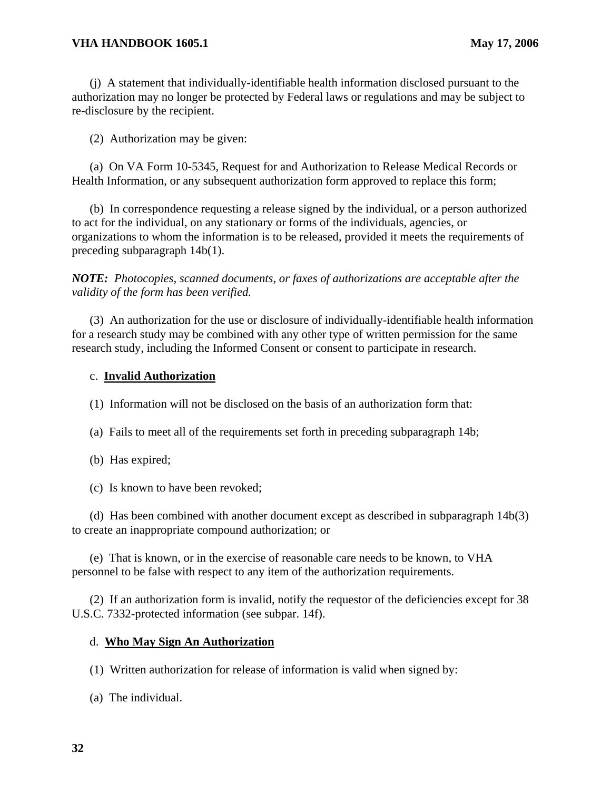(j) A statement that individually-identifiable health information disclosed pursuant to the authorization may no longer be protected by Federal laws or regulations and may be subject to re-disclosure by the recipient.

(2) Authorization may be given:

(a) On VA Form 10-5345, Request for and Authorization to Release Medical Records or Health Information, or any subsequent authorization form approved to replace this form;

(b) In correspondence requesting a release signed by the individual, or a person authorized to act for the individual, on any stationary or forms of the individuals, agencies, or organizations to whom the information is to be released, provided it meets the requirements of preceding subparagraph 14b(1).

*NOTE: Photocopies, scanned documents, or faxes of authorizations are acceptable after the validity of the form has been verified.* 

(3) An authorization for the use or disclosure of individually-identifiable health information for a research study may be combined with any other type of written permission for the same research study, including the Informed Consent or consent to participate in research.

### c. **Invalid Authorization**

(1) Information will not be disclosed on the basis of an authorization form that:

(a) Fails to meet all of the requirements set forth in preceding subparagraph 14b;

- (b) Has expired;
- (c) Is known to have been revoked;

(d) Has been combined with another document except as described in subparagraph 14b(3) to create an inappropriate compound authorization; or

(e) That is known, or in the exercise of reasonable care needs to be known, to VHA personnel to be false with respect to any item of the authorization requirements.

(2) If an authorization form is invalid, notify the requestor of the deficiencies except for 38 U.S.C. 7332-protected information (see subpar. 14f).

### d. **Who May Sign An Authorization**

(1) Written authorization for release of information is valid when signed by:

(a) The individual.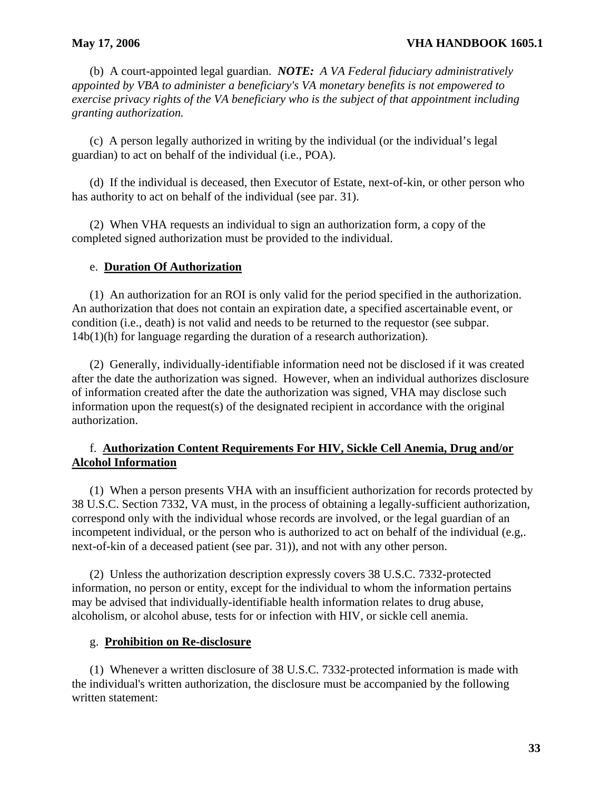(b) A court-appointed legal guardian. *NOTE: A VA Federal fiduciary administratively appointed by VBA to administer a beneficiary's VA monetary benefits is not empowered to exercise privacy rights of the VA beneficiary who is the subject of that appointment including granting authorization.* 

(c) A person legally authorized in writing by the individual (or the individual's legal guardian) to act on behalf of the individual (i.e., POA).

(d) If the individual is deceased, then Executor of Estate, next-of-kin, or other person who has authority to act on behalf of the individual (see par. 31).

(2) When VHA requests an individual to sign an authorization form, a copy of the completed signed authorization must be provided to the individual.

### e. **Duration Of Authorization**

(1) An authorization for an ROI is only valid for the period specified in the authorization. An authorization that does not contain an expiration date, a specified ascertainable event, or condition (i.e., death) is not valid and needs to be returned to the requestor (see subpar. 14b(1)(h) for language regarding the duration of a research authorization).

(2) Generally, individually-identifiable information need not be disclosed if it was created after the date the authorization was signed. However, when an individual authorizes disclosure of information created after the date the authorization was signed, VHA may disclose such information upon the request(s) of the designated recipient in accordance with the original authorization.

# f. **Authorization Content Requirements For HIV, Sickle Cell Anemia, Drug and/or Alcohol Information**

(1) When a person presents VHA with an insufficient authorization for records protected by 38 U.S.C. Section 7332, VA must, in the process of obtaining a legally-sufficient authorization, correspond only with the individual whose records are involved, or the legal guardian of an incompetent individual, or the person who is authorized to act on behalf of the individual (e.g,. next-of-kin of a deceased patient (see par. 31)), and not with any other person.

(2) Unless the authorization description expressly covers 38 U.S.C. 7332-protected information, no person or entity, except for the individual to whom the information pertains may be advised that individually-identifiable health information relates to drug abuse, alcoholism, or alcohol abuse, tests for or infection with HIV, or sickle cell anemia.

#### g. **Prohibition on Re-disclosure**

(1) Whenever a written disclosure of 38 U.S.C. 7332-protected information is made with the individual's written authorization, the disclosure must be accompanied by the following written statement: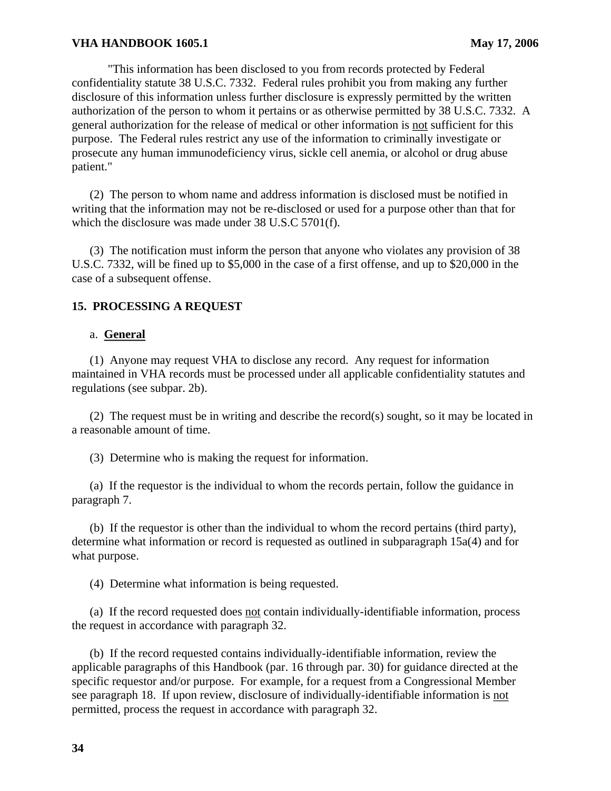"This information has been disclosed to you from records protected by Federal confidentiality statute 38 U.S.C. 7332. Federal rules prohibit you from making any further disclosure of this information unless further disclosure is expressly permitted by the written authorization of the person to whom it pertains or as otherwise permitted by 38 U.S.C. 7332. A general authorization for the release of medical or other information is not sufficient for this purpose. The Federal rules restrict any use of the information to criminally investigate or prosecute any human immunodeficiency virus, sickle cell anemia, or alcohol or drug abuse patient."

(2) The person to whom name and address information is disclosed must be notified in writing that the information may not be re-disclosed or used for a purpose other than that for which the disclosure was made under 38 U.S.C 5701(f).

(3) The notification must inform the person that anyone who violates any provision of 38 U.S.C. 7332, will be fined up to \$5,000 in the case of a first offense, and up to \$20,000 in the case of a subsequent offense.

#### **15. PROCESSING A REQUEST**

#### a. **General**

(1) Anyone may request VHA to disclose any record. Any request for information maintained in VHA records must be processed under all applicable confidentiality statutes and regulations (see subpar. 2b).

(2) The request must be in writing and describe the record(s) sought, so it may be located in a reasonable amount of time.

(3) Determine who is making the request for information.

(a) If the requestor is the individual to whom the records pertain, follow the guidance in paragraph 7.

(b) If the requestor is other than the individual to whom the record pertains (third party), determine what information or record is requested as outlined in subparagraph 15a(4) and for what purpose.

(4) Determine what information is being requested.

(a) If the record requested does not contain individually-identifiable information, process the request in accordance with paragraph 32.

(b) If the record requested contains individually-identifiable information, review the applicable paragraphs of this Handbook (par. 16 through par. 30) for guidance directed at the specific requestor and/or purpose. For example, for a request from a Congressional Member see paragraph 18. If upon review, disclosure of individually-identifiable information is not permitted, process the request in accordance with paragraph 32.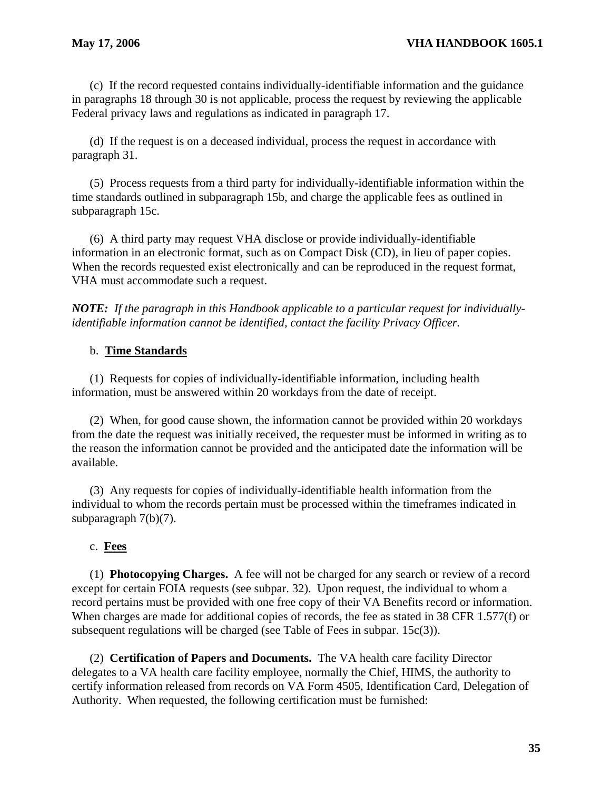(c) If the record requested contains individually-identifiable information and the guidance in paragraphs 18 through 30 is not applicable, process the request by reviewing the applicable Federal privacy laws and regulations as indicated in paragraph 17.

(d) If the request is on a deceased individual, process the request in accordance with paragraph 31.

(5) Process requests from a third party for individually-identifiable information within the time standards outlined in subparagraph 15b, and charge the applicable fees as outlined in subparagraph 15c.

(6) A third party may request VHA disclose or provide individually-identifiable information in an electronic format, such as on Compact Disk (CD), in lieu of paper copies. When the records requested exist electronically and can be reproduced in the request format, VHA must accommodate such a request.

*NOTE: If the paragraph in this Handbook applicable to a particular request for individuallyidentifiable information cannot be identified, contact the facility Privacy Officer.* 

# b. **Time Standards**

(1) Requests for copies of individually-identifiable information, including health information, must be answered within 20 workdays from the date of receipt.

(2) When, for good cause shown, the information cannot be provided within 20 workdays from the date the request was initially received, the requester must be informed in writing as to the reason the information cannot be provided and the anticipated date the information will be available.

(3) Any requests for copies of individually-identifiable health information from the individual to whom the records pertain must be processed within the timeframes indicated in subparagraph 7(b)(7).

# c. **Fees**

 (1) **Photocopying Charges.** A fee will not be charged for any search or review of a record except for certain FOIA requests (see subpar. 32). Upon request, the individual to whom a record pertains must be provided with one free copy of their VA Benefits record or information. When charges are made for additional copies of records, the fee as stated in 38 CFR 1.577(f) or subsequent regulations will be charged (see Table of Fees in subpar. 15c(3)).

(2) **Certification of Papers and Documents.** The VA health care facility Director delegates to a VA health care facility employee, normally the Chief, HIMS, the authority to certify information released from records on VA Form 4505, Identification Card, Delegation of Authority. When requested, the following certification must be furnished: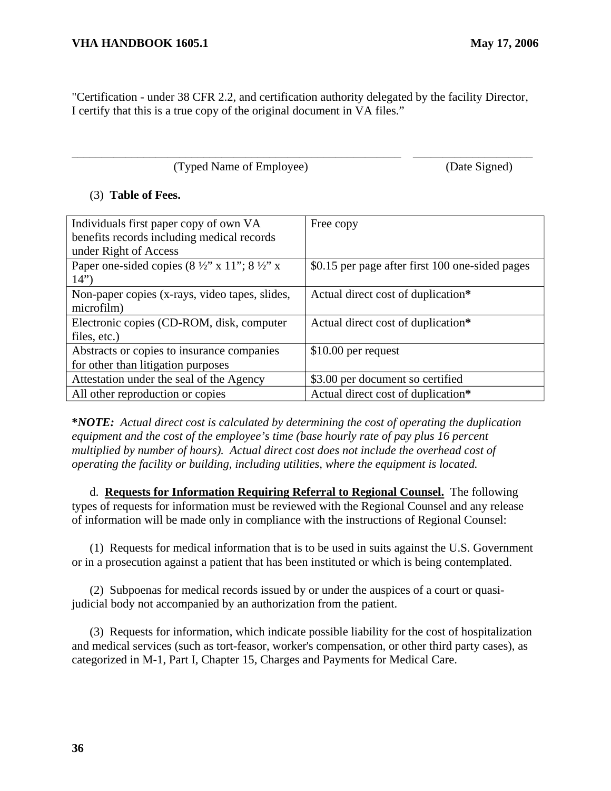"Certification - under 38 CFR 2.2, and certification authority delegated by the facility Director, I certify that this is a true copy of the original document in VA files."

\_\_\_\_\_\_\_\_\_\_\_\_\_\_\_\_\_\_\_\_\_\_\_\_\_\_\_\_\_\_\_\_\_\_\_\_\_\_\_\_\_\_\_\_\_\_\_\_\_\_\_\_\_\_\_ \_\_\_\_\_\_\_\_\_\_\_\_\_\_\_\_\_\_\_\_

(Typed Name of Employee) (Date Signed)

### (3) **Table of Fees.**

| Individuals first paper copy of own VA                             | Free copy                                       |
|--------------------------------------------------------------------|-------------------------------------------------|
| benefits records including medical records                         |                                                 |
| under Right of Access                                              |                                                 |
| Paper one-sided copies $(8\frac{1}{2}$ " x 11"; $8\frac{1}{2}$ " x | \$0.15 per page after first 100 one-sided pages |
| 14")                                                               |                                                 |
| Non-paper copies (x-rays, video tapes, slides,                     | Actual direct cost of duplication*              |
| microfilm)                                                         |                                                 |
| Electronic copies (CD-ROM, disk, computer                          | Actual direct cost of duplication*              |
| files, etc.)                                                       |                                                 |
| Abstracts or copies to insurance companies                         | $$10.00$ per request                            |
| for other than litigation purposes                                 |                                                 |
| Attestation under the seal of the Agency                           | \$3.00 per document so certified                |
| All other reproduction or copies                                   | Actual direct cost of duplication*              |

**\****NOTE: Actual direct cost is calculated by determining the cost of operating the duplication equipment and the cost of the employee's time (base hourly rate of pay plus 16 percent multiplied by number of hours). Actual direct cost does not include the overhead cost of operating the facility or building, including utilities, where the equipment is located.* 

d. **Requests for Information Requiring Referral to Regional Counsel.** The following types of requests for information must be reviewed with the Regional Counsel and any release of information will be made only in compliance with the instructions of Regional Counsel:

(1) Requests for medical information that is to be used in suits against the U.S. Government or in a prosecution against a patient that has been instituted or which is being contemplated.

(2) Subpoenas for medical records issued by or under the auspices of a court or quasi judicial body not accompanied by an authorization from the patient.

(3) Requests for information, which indicate possible liability for the cost of hospitalization and medical services (such as tort-feasor, worker's compensation, or other third party cases), as categorized in M-1, Part I, Chapter 15, Charges and Payments for Medical Care.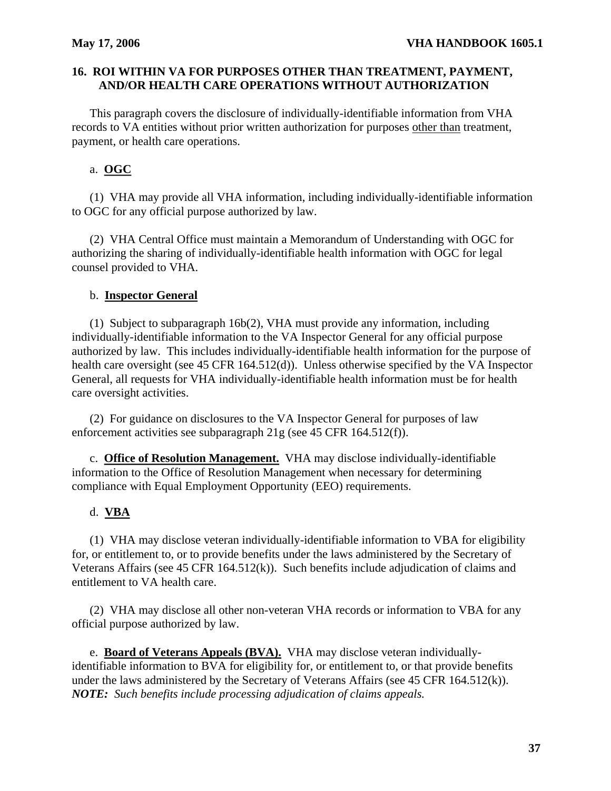## **16. ROI WITHIN VA FOR PURPOSES OTHER THAN TREATMENT, PAYMENT, AND/OR HEALTH CARE OPERATIONS WITHOUT AUTHORIZATION**

This paragraph covers the disclosure of individually-identifiable information from VHA records to VA entities without prior written authorization for purposes other than treatment, payment, or health care operations.

# a. **OGC**

(1) VHA may provide all VHA information, including individually-identifiable information to OGC for any official purpose authorized by law.

(2) VHA Central Office must maintain a Memorandum of Understanding with OGC for authorizing the sharing of individually-identifiable health information with OGC for legal counsel provided to VHA.

#### b. **Inspector General**

(1) Subject to subparagraph 16b(2), VHA must provide any information, including individually-identifiable information to the VA Inspector General for any official purpose authorized by law. This includes individually-identifiable health information for the purpose of health care oversight (see 45 CFR 164.512(d)). Unless otherwise specified by the VA Inspector General, all requests for VHA individually-identifiable health information must be for health care oversight activities.

(2) For guidance on disclosures to the VA Inspector General for purposes of law enforcement activities see subparagraph 21g (see 45 CFR 164.512(f)).

c. **Office of Resolution Management.** VHA may disclose individually-identifiable information to the Office of Resolution Management when necessary for determining compliance with Equal Employment Opportunity (EEO) requirements.

### d. **VBA**

(1) VHA may disclose veteran individually-identifiable information to VBA for eligibility for, or entitlement to, or to provide benefits under the laws administered by the Secretary of Veterans Affairs (see 45 CFR 164.512(k)). Such benefits include adjudication of claims and entitlement to VA health care.

(2) VHA may disclose all other non-veteran VHA records or information to VBA for any official purpose authorized by law.

e. **Board of Veterans Appeals (BVA).** VHA may disclose veteran individuallyidentifiable information to BVA for eligibility for, or entitlement to, or that provide benefits under the laws administered by the Secretary of Veterans Affairs (see 45 CFR 164.512(k)). *NOTE: Such benefits include processing adjudication of claims appeals.*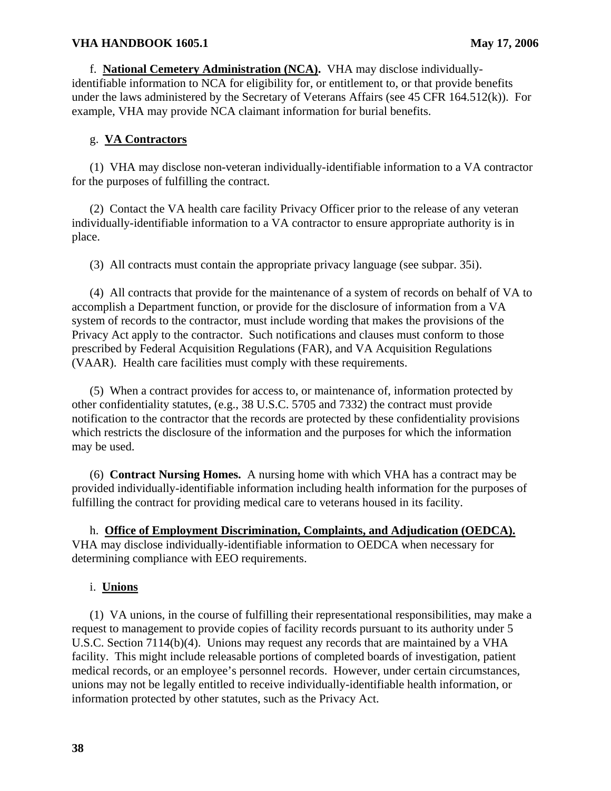f.  **National Cemetery Administration (NCA).** VHA may disclose individuallyunder the laws administered by the Secretary of Veterans Affairs (see 45 CFR 164.512(k)). For identifiable information to NCA for eligibility for, or entitlement to, or that provide benefits example, VHA may provide NCA claimant information for burial benefits.

## g. **VA Contractors**

(1) VHA may disclose non-veteran individually-identifiable information to a VA contractor for the purposes of fulfilling the contract.

place. (2) Contact the VA health care facility Privacy Officer prior to the release of any veteran individually-identifiable information to a VA contractor to ensure appropriate authority is in

(3) All contracts must contain the appropriate privacy language (see subpar. 35i).

(4) All contracts that provide for the maintenance of a system of records on behalf of VA to accomplish a Department function, or provide for the disclosure of information from a VA system of records to the contractor, must include wording that makes the provisions of the Privacy Act apply to the contractor. Such notifications and clauses must conform to those prescribed by Federal Acquisition Regulations (FAR), and VA Acquisition Regulations (VAAR). Health care facilities must comply with these requirements.

(5) When a contract provides for access to, or maintenance of, information protected by other confidentiality statutes, (e.g., 38 U.S.C. 5705 and 7332) the contract must provide notification to the contractor that the records are protected by these confidentiality provisions which restricts the disclosure of the information and the purposes for which the information may be used.

(6) **Contract Nursing Homes.**  A nursing home with which VHA has a contract may be provided individually-identifiable information including health information for the purposes of fulfilling the contract for providing medical care to veterans housed in its facility.

h.  **Office of Employment Discrimination, Complaints, and Adjudication (OEDCA).**  VHA may disclose individually-identifiable information to OEDCA when necessary for determining compliance with EEO requirements.

### i. **Unions**

(1) VA unions, in the course of fulfilling their representational responsibilities, may make a request to management to provide copies of facility records pursuant to its authority under 5 U.S.C. Section 7114(b)(4). Unions may request any records that are maintained by a VHA facility. This might include releasable portions of completed boards of investigation, patient medical records, or an employee's personnel records. However, under certain circumstances, unions may not be legally entitled to receive individually-identifiable health information, or information protected by other statutes, such as the Privacy Act.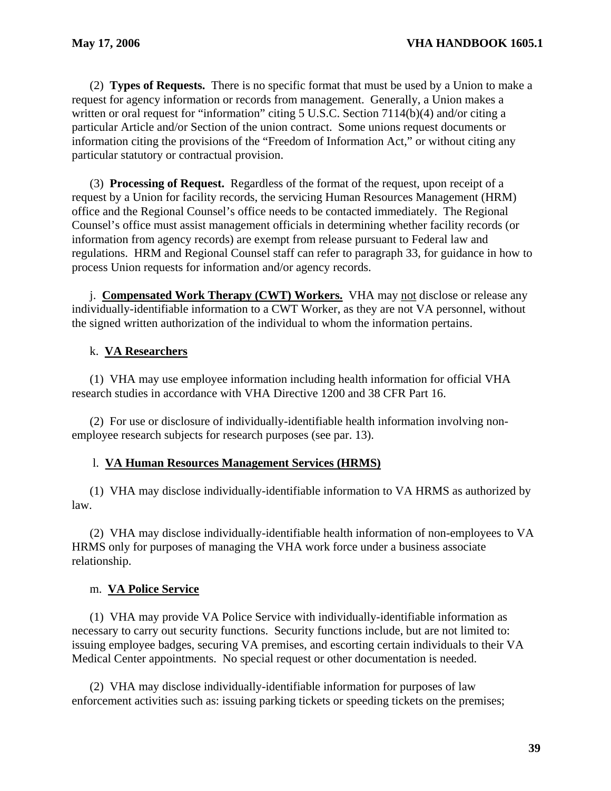(2) **Types of Requests.** There is no specific format that must be used by a Union to make a request for agency information or records from management. Generally, a Union makes a written or oral request for "information" citing 5 U.S.C. Section 7114(b)(4) and/or citing a particular Article and/or Section of the union contract. Some unions request documents or information citing the provisions of the "Freedom of Information Act," or without citing any particular statutory or contractual provision.

(3) **Processing of Request.** Regardless of the format of the request, upon receipt of a request by a Union for facility records, the servicing Human Resources Management (HRM) office and the Regional Counsel's office needs to be contacted immediately. The Regional Counsel's office must assist management officials in determining whether facility records (or information from agency records) are exempt from release pursuant to Federal law and regulations. HRM and Regional Counsel staff can refer to paragraph 33, for guidance in how to process Union requests for information and/or agency records.

j. **Compensated Work Therapy (CWT) Workers.** VHA may not disclose or release any individually-identifiable information to a CWT Worker, as they are not VA personnel, without the signed written authorization of the individual to whom the information pertains.

# k. **VA Researchers**

(1) VHA may use employee information including health information for official VHA research studies in accordance with VHA Directive 1200 and 38 CFR Part 16.

(2) For use or disclosure of individually-identifiable health information involving nonemployee research subjects for research purposes (see par. 13).

# l. **VA Human Resources Management Services (HRMS)**

(1) VHA may disclose individually-identifiable information to VA HRMS as authorized by law.

(2) VHA may disclose individually-identifiable health information of non-employees to VA HRMS only for purposes of managing the VHA work force under a business associate relationship.

# m. **VA Police Service**

(1) VHA may provide VA Police Service with individually-identifiable information as necessary to carry out security functions. Security functions include, but are not limited to: issuing employee badges, securing VA premises, and escorting certain individuals to their VA Medical Center appointments. No special request or other documentation is needed.

(2) VHA may disclose individually-identifiable information for purposes of law enforcement activities such as: issuing parking tickets or speeding tickets on the premises;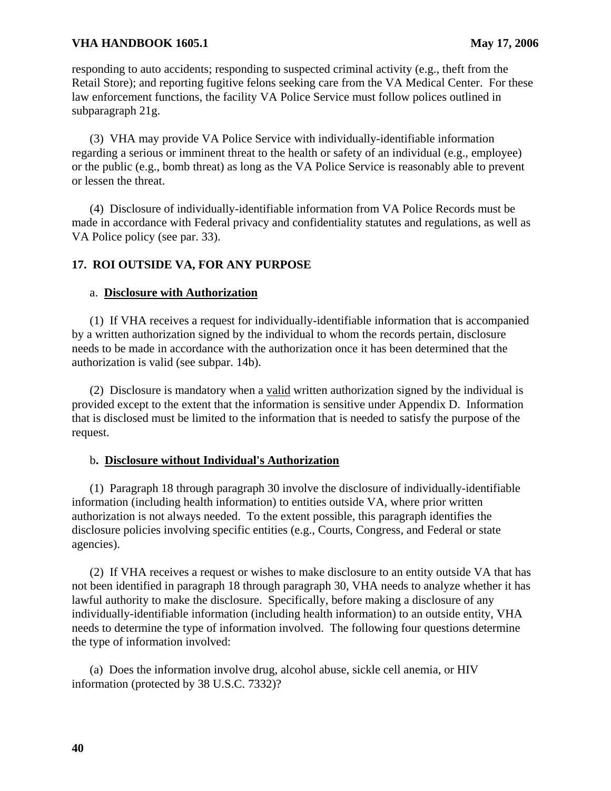responding to auto accidents; responding to suspected criminal activity (e.g., theft from the Retail Store); and reporting fugitive felons seeking care from the VA Medical Center. For these law enforcement functions, the facility VA Police Service must follow polices outlined in subparagraph 21g.

(3) VHA may provide VA Police Service with individually-identifiable information regarding a serious or imminent threat to the health or safety of an individual (e.g., employee) or the public (e.g., bomb threat) as long as the VA Police Service is reasonably able to prevent or lessen the threat.

(4) Disclosure of individually-identifiable information from VA Police Records must be made in accordance with Federal privacy and confidentiality statutes and regulations, as well as VA Police policy (see par. 33).

## **17. ROI OUTSIDE VA, FOR ANY PURPOSE**

#### a. **Disclosure with Authorization**

(1) If VHA receives a request for individually-identifiable information that is accompanied by a written authorization signed by the individual to whom the records pertain, disclosure needs to be made in accordance with the authorization once it has been determined that the authorization is valid (see subpar. 14b).

request. (2) Disclosure is mandatory when a valid written authorization signed by the individual is provided except to the extent that the information is sensitive under Appendix D. Information that is disclosed must be limited to the information that is needed to satisfy the purpose of the

#### b**. Disclosure without Individual's Authorization**

(1) Paragraph 18 through paragraph 30 involve the disclosure of individually-identifiable information (including health information) to entities outside VA, where prior written authorization is not always needed. To the extent possible, this paragraph identifies the disclosure policies involving specific entities (e.g., Courts, Congress, and Federal or state agencies).

(2) If VHA receives a request or wishes to make disclosure to an entity outside VA that has not been identified in paragraph 18 through paragraph 30, VHA needs to analyze whether it has lawful authority to make the disclosure. Specifically, before making a disclosure of any individually-identifiable information (including health information) to an outside entity, VHA needs to determine the type of information involved. The following four questions determine the type of information involved:

(a) Does the information involve drug, alcohol abuse, sickle cell anemia, or HIV information (protected by 38 U.S.C. 7332)?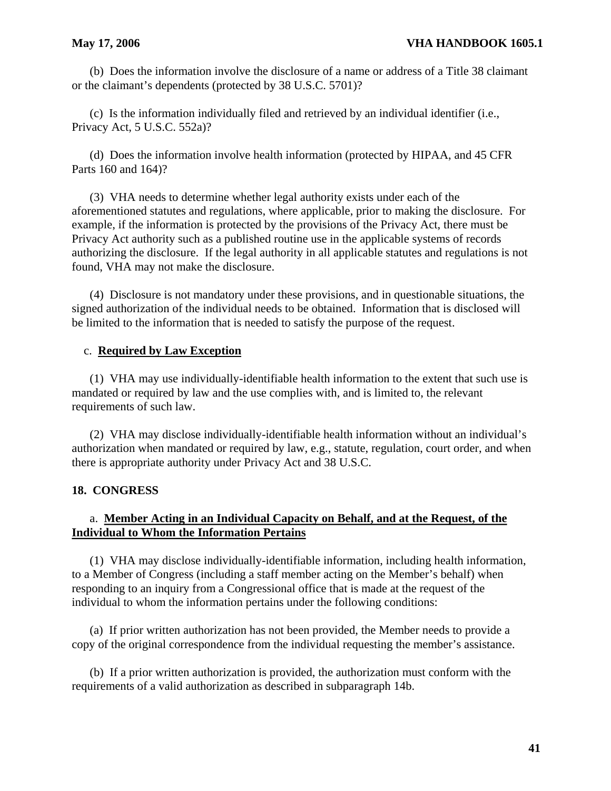(b) Does the information involve the disclosure of a name or address of a Title 38 claimant or the claimant's dependents (protected by 38 U.S.C. 5701)?

(c) Is the information individually filed and retrieved by an individual identifier (i.e., Privacy Act, 5 U.S.C. 552a)?

(d) Does the information involve health information (protected by HIPAA, and 45 CFR Parts 160 and 164)?

(3) VHA needs to determine whether legal authority exists under each of the aforementioned statutes and regulations, where applicable, prior to making the disclosure. For example, if the information is protected by the provisions of the Privacy Act, there must be Privacy Act authority such as a published routine use in the applicable systems of records authorizing the disclosure. If the legal authority in all applicable statutes and regulations is not found, VHA may not make the disclosure.

(4) Disclosure is not mandatory under these provisions, and in questionable situations, the signed authorization of the individual needs to be obtained. Information that is disclosed will be limited to the information that is needed to satisfy the purpose of the request.

### c. **Required by Law Exception**

(1) VHA may use individually-identifiable health information to the extent that such use is mandated or required by law and the use complies with, and is limited to, the relevant requirements of such law.

(2) VHA may disclose individually-identifiable health information without an individual's authorization when mandated or required by law, e.g., statute, regulation, court order, and when there is appropriate authority under Privacy Act and 38 U.S.C.

### **18. CONGRESS**

## a. **Member Acting in an Individual Capacity on Behalf, and at the Request, of the Individual to Whom the Information Pertains**

(1) VHA may disclose individually-identifiable information, including health information, to a Member of Congress (including a staff member acting on the Member's behalf) when responding to an inquiry from a Congressional office that is made at the request of the individual to whom the information pertains under the following conditions:

(a) If prior written authorization has not been provided, the Member needs to provide a copy of the original correspondence from the individual requesting the member's assistance.

(b) If a prior written authorization is provided, the authorization must conform with the requirements of a valid authorization as described in subparagraph 14b.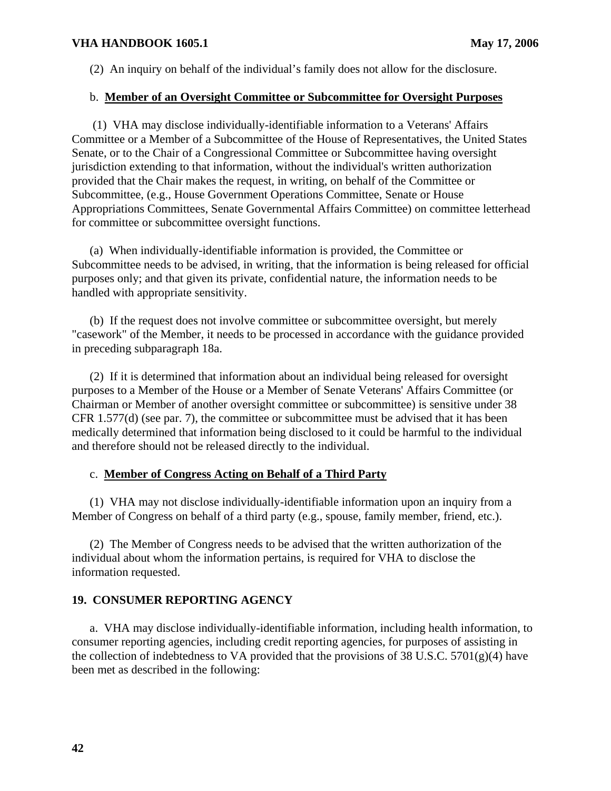(2) An inquiry on behalf of the individual's family does not allow for the disclosure.

#### b. **Member of an Oversight Committee or Subcommittee for Oversight Purposes**

 (1) VHA may disclose individually-identifiable information to a Veterans' Affairs Committee or a Member of a Subcommittee of the House of Representatives, the United States Senate, or to the Chair of a Congressional Committee or Subcommittee having oversight jurisdiction extending to that information, without the individual's written authorization provided that the Chair makes the request, in writing, on behalf of the Committee or Subcommittee, (e.g., House Government Operations Committee, Senate or House Appropriations Committees, Senate Governmental Affairs Committee) on committee letterhead for committee or subcommittee oversight functions.

(a) When individually-identifiable information is provided, the Committee or Subcommittee needs to be advised, in writing, that the information is being released for official purposes only; and that given its private, confidential nature, the information needs to be handled with appropriate sensitivity.

(b) If the request does not involve committee or subcommittee oversight, but merely "casework" of the Member, it needs to be processed in accordance with the guidance provided in preceding subparagraph 18a.

(2) If it is determined that information about an individual being released for oversight purposes to a Member of the House or a Member of Senate Veterans' Affairs Committee (or Chairman or Member of another oversight committee or subcommittee) is sensitive under 38 CFR 1.577(d) (see par. 7), the committee or subcommittee must be advised that it has been medically determined that information being disclosed to it could be harmful to the individual and therefore should not be released directly to the individual.

## c. **Member of Congress Acting on Behalf of a Third Party**

(1) VHA may not disclose individually-identifiable information upon an inquiry from a Member of Congress on behalf of a third party (e.g., spouse, family member, friend, etc.).

(2) The Member of Congress needs to be advised that the written authorization of the individual about whom the information pertains, is required for VHA to disclose the information requested.

### **19. CONSUMER REPORTING AGENCY**

a. VHA may disclose individually-identifiable information, including health information, to consumer reporting agencies, including credit reporting agencies, for purposes of assisting in the collection of indebtedness to VA provided that the provisions of 38 U.S.C.  $5701(g)(4)$  have been met as described in the following: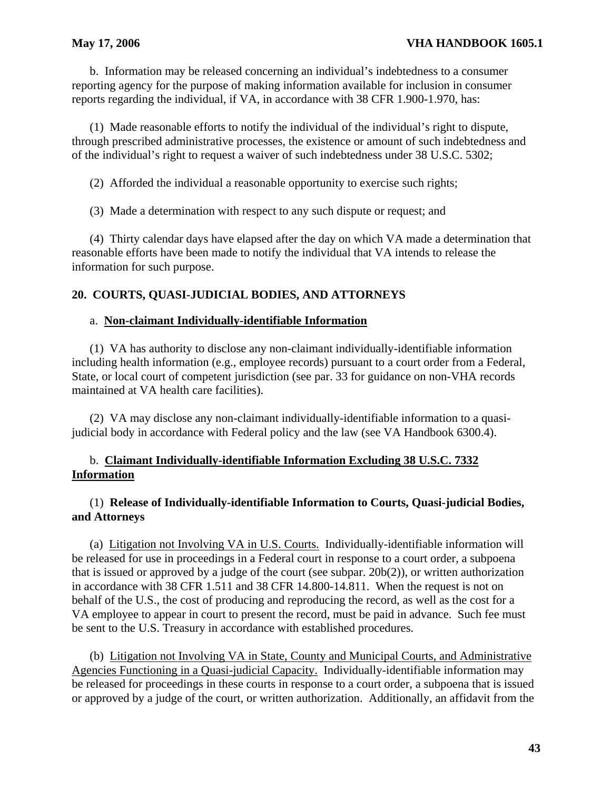b. Information may be released concerning an individual's indebtedness to a consumer reporting agency for the purpose of making information available for inclusion in consumer reports regarding the individual, if VA, in accordance with 38 CFR 1.900-1.970, has:

(1) Made reasonable efforts to notify the individual of the individual's right to dispute, through prescribed administrative processes, the existence or amount of such indebtedness and of the individual's right to request a waiver of such indebtedness under 38 U.S.C. 5302;

(2) Afforded the individual a reasonable opportunity to exercise such rights;

(3) Made a determination with respect to any such dispute or request; and

(4) Thirty calendar days have elapsed after the day on which VA made a determination that reasonable efforts have been made to notify the individual that VA intends to release the information for such purpose.

# **20. COURTS, QUASI-JUDICIAL BODIES, AND ATTORNEYS**

## a. **Non-claimant Individually-identifiable Information**

(1) VA has authority to disclose any non-claimant individually-identifiable information including health information (e.g., employee records) pursuant to a court order from a Federal, State, or local court of competent jurisdiction (see par. 33 for guidance on non-VHA records maintained at VA health care facilities).

(2) VA may disclose any non-claimant individually-identifiable information to a quasijudicial body in accordance with Federal policy and the law (see VA Handbook 6300.4).

## b. **Claimant Individually-identifiable Information Excluding 38 U.S.C. 7332 Information**

# (1) **Release of Individually-identifiable Information to Courts, Quasi-judicial Bodies, and Attorneys**

(a) Litigation not Involving VA in U.S. Courts. Individually-identifiable information will be released for use in proceedings in a Federal court in response to a court order, a subpoena that is issued or approved by a judge of the court (see subpar. 20b(2)), or written authorization in accordance with 38 CFR 1.511 and 38 CFR 14.800-14.811. When the request is not on behalf of the U.S., the cost of producing and reproducing the record, as well as the cost for a VA employee to appear in court to present the record, must be paid in advance. Such fee must be sent to the U.S. Treasury in accordance with established procedures.

(b) Litigation not Involving VA in State, County and Municipal Courts, and Administrative Agencies Functioning in a Quasi-judicial Capacity. Individually-identifiable information may be released for proceedings in these courts in response to a court order, a subpoena that is issued or approved by a judge of the court, or written authorization. Additionally, an affidavit from the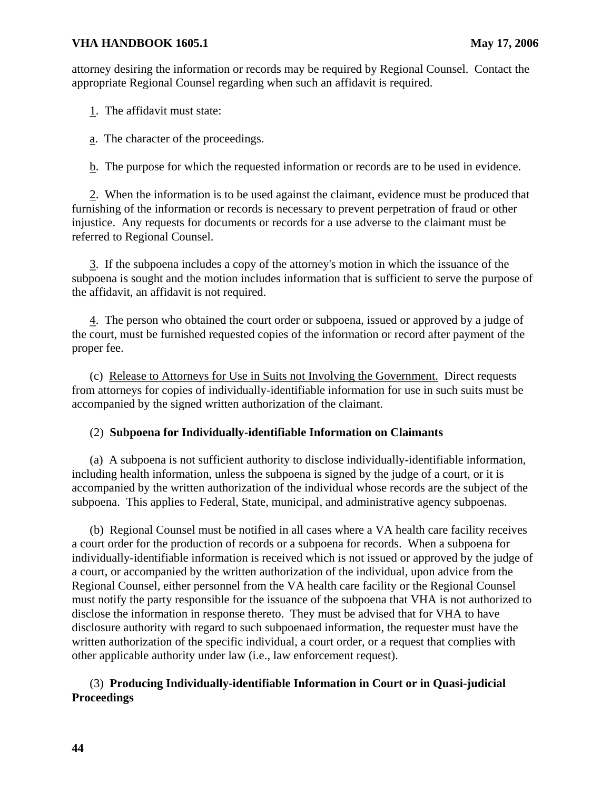attorney desiring the information or records may be required by Regional Counsel. Contact the appropriate Regional Counsel regarding when such an affidavit is required.

1. The affidavit must state:

a. The character of the proceedings.

b. The purpose for which the requested information or records are to be used in evidence.

2. When the information is to be used against the claimant, evidence must be produced that furnishing of the information or records is necessary to prevent perpetration of fraud or other injustice. Any requests for documents or records for a use adverse to the claimant must be referred to Regional Counsel.

3. If the subpoena includes a copy of the attorney's motion in which the issuance of the subpoena is sought and the motion includes information that is sufficient to serve the purpose of the affidavit, an affidavit is not required.

4. The person who obtained the court order or subpoena, issued or approved by a judge of the court, must be furnished requested copies of the information or record after payment of the proper fee.

(c) Release to Attorneys for Use in Suits not Involving the Government. Direct requests from attorneys for copies of individually-identifiable information for use in such suits must be accompanied by the signed written authorization of the claimant.

### (2) **Subpoena for Individually-identifiable Information on Claimants**

(a) A subpoena is not sufficient authority to disclose individually-identifiable information, including health information, unless the subpoena is signed by the judge of a court, or it is accompanied by the written authorization of the individual whose records are the subject of the subpoena. This applies to Federal, State, municipal, and administrative agency subpoenas.

(b) Regional Counsel must be notified in all cases where a VA health care facility receives a court order for the production of records or a subpoena for records. When a subpoena for individually-identifiable information is received which is not issued or approved by the judge of a court, or accompanied by the written authorization of the individual, upon advice from the Regional Counsel, either personnel from the VA health care facility or the Regional Counsel must notify the party responsible for the issuance of the subpoena that VHA is not authorized to disclose the information in response thereto. They must be advised that for VHA to have disclosure authority with regard to such subpoenaed information, the requester must have the written authorization of the specific individual, a court order, or a request that complies with other applicable authority under law (i.e., law enforcement request).

## (3) **Producing Individually-identifiable Information in Court or in Quasi-judicial Proceedings**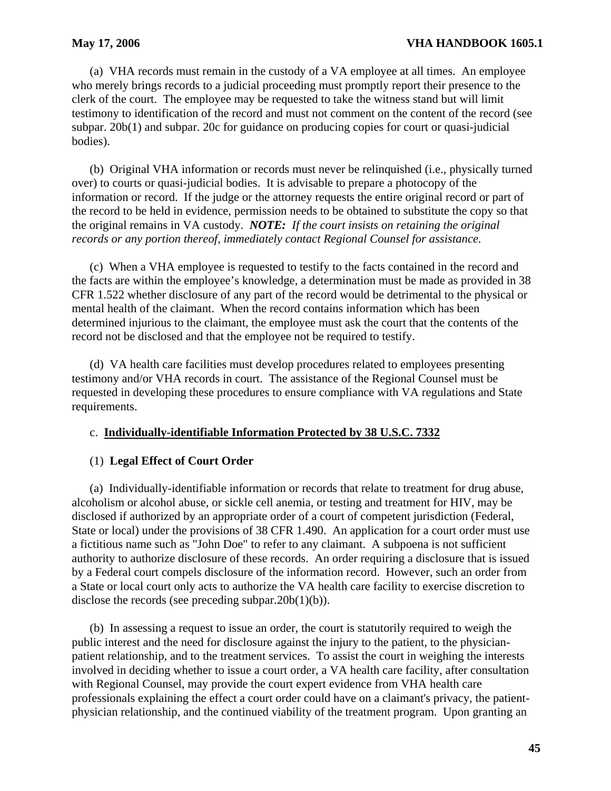(a) VHA records must remain in the custody of a VA employee at all times. An employee who merely brings records to a judicial proceeding must promptly report their presence to the clerk of the court. The employee may be requested to take the witness stand but will limit testimony to identification of the record and must not comment on the content of the record (see subpar. 20b(1) and subpar. 20c for guidance on producing copies for court or quasi-judicial bodies).

(b) Original VHA information or records must never be relinquished (i.e., physically turned over) to courts or quasi-judicial bodies. It is advisable to prepare a photocopy of the information or record. If the judge or the attorney requests the entire original record or part of the record to be held in evidence, permission needs to be obtained to substitute the copy so that the original remains in VA custody. *NOTE: If the court insists on retaining the original records or any portion thereof, immediately contact Regional Counsel for assistance.* 

(c) When a VHA employee is requested to testify to the facts contained in the record and the facts are within the employee's knowledge, a determination must be made as provided in 38 CFR 1.522 whether disclosure of any part of the record would be detrimental to the physical or mental health of the claimant. When the record contains information which has been determined injurious to the claimant, the employee must ask the court that the contents of the record not be disclosed and that the employee not be required to testify.

(d) VA health care facilities must develop procedures related to employees presenting testimony and/or VHA records in court. The assistance of the Regional Counsel must be requested in developing these procedures to ensure compliance with VA regulations and State requirements.

### c. **Individually-identifiable Information Protected by 38 U.S.C. 7332**

#### (1) **Legal Effect of Court Order**

(a) Individually-identifiable information or records that relate to treatment for drug abuse, alcoholism or alcohol abuse, or sickle cell anemia, or testing and treatment for HIV, may be disclosed if authorized by an appropriate order of a court of competent jurisdiction (Federal, State or local) under the provisions of 38 CFR 1.490. An application for a court order must use a fictitious name such as "John Doe" to refer to any claimant. A subpoena is not sufficient authority to authorize disclosure of these records. An order requiring a disclosure that is issued by a Federal court compels disclosure of the information record. However, such an order from a State or local court only acts to authorize the VA health care facility to exercise discretion to disclose the records (see preceding subpar.20b(1)(b)).

(b) In assessing a request to issue an order, the court is statutorily required to weigh the public interest and the need for disclosure against the injury to the patient, to the physicianpatient relationship, and to the treatment services. To assist the court in weighing the interests involved in deciding whether to issue a court order, a VA health care facility, after consultation with Regional Counsel, may provide the court expert evidence from VHA health care professionals explaining the effect a court order could have on a claimant's privacy, the patientphysician relationship, and the continued viability of the treatment program. Upon granting an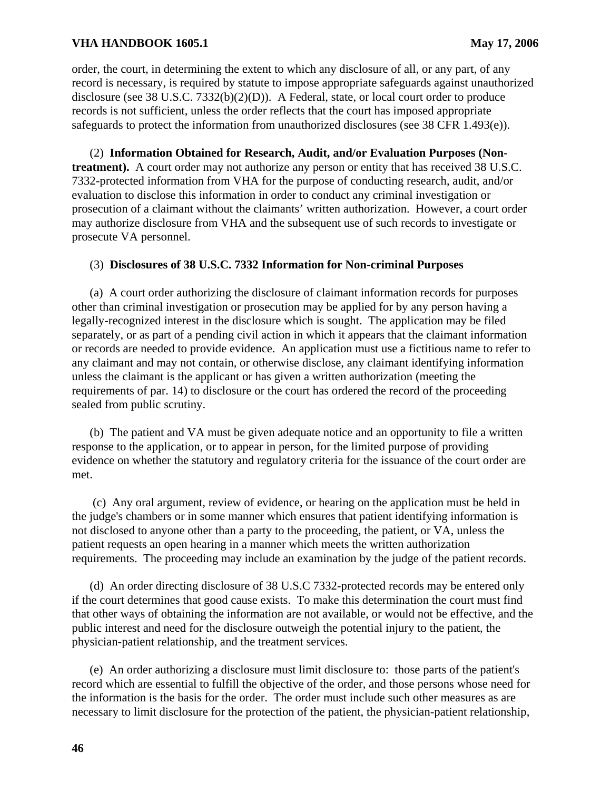order, the court, in determining the extent to which any disclosure of all, or any part, of any record is necessary, is required by statute to impose appropriate safeguards against unauthorized disclosure (see 38 U.S.C. 7332(b)(2)(D)). A Federal, state, or local court order to produce records is not sufficient, unless the order reflects that the court has imposed appropriate safeguards to protect the information from unauthorized disclosures (see 38 CFR 1.493(e)).

(2) **Information Obtained for Research, Audit, and/or Evaluation Purposes (Nontreatment).** A court order may not authorize any person or entity that has received 38 U.S.C. 7332-protected information from VHA for the purpose of conducting research, audit, and/or evaluation to disclose this information in order to conduct any criminal investigation or prosecution of a claimant without the claimants' written authorization. However, a court order may authorize disclosure from VHA and the subsequent use of such records to investigate or prosecute VA personnel.

#### (3) **Disclosures of 38 U.S.C. 7332 Information for Non-criminal Purposes**

(a) A court order authorizing the disclosure of claimant information records for purposes other than criminal investigation or prosecution may be applied for by any person having a legally-recognized interest in the disclosure which is sought. The application may be filed separately, or as part of a pending civil action in which it appears that the claimant information or records are needed to provide evidence. An application must use a fictitious name to refer to any claimant and may not contain, or otherwise disclose, any claimant identifying information unless the claimant is the applicant or has given a written authorization (meeting the requirements of par. 14) to disclosure or the court has ordered the record of the proceeding sealed from public scrutiny.

(b) The patient and VA must be given adequate notice and an opportunity to file a written response to the application, or to appear in person, for the limited purpose of providing evidence on whether the statutory and regulatory criteria for the issuance of the court order are met.

 (c) Any oral argument, review of evidence, or hearing on the application must be held in the judge's chambers or in some manner which ensures that patient identifying information is not disclosed to anyone other than a party to the proceeding, the patient, or VA, unless the patient requests an open hearing in a manner which meets the written authorization requirements. The proceeding may include an examination by the judge of the patient records.

(d) An order directing disclosure of 38 U.S.C 7332-protected records may be entered only if the court determines that good cause exists. To make this determination the court must find that other ways of obtaining the information are not available, or would not be effective, and the public interest and need for the disclosure outweigh the potential injury to the patient, the physician-patient relationship, and the treatment services.

(e) An order authorizing a disclosure must limit disclosure to: those parts of the patient's record which are essential to fulfill the objective of the order, and those persons whose need for the information is the basis for the order. The order must include such other measures as are necessary to limit disclosure for the protection of the patient, the physician-patient relationship,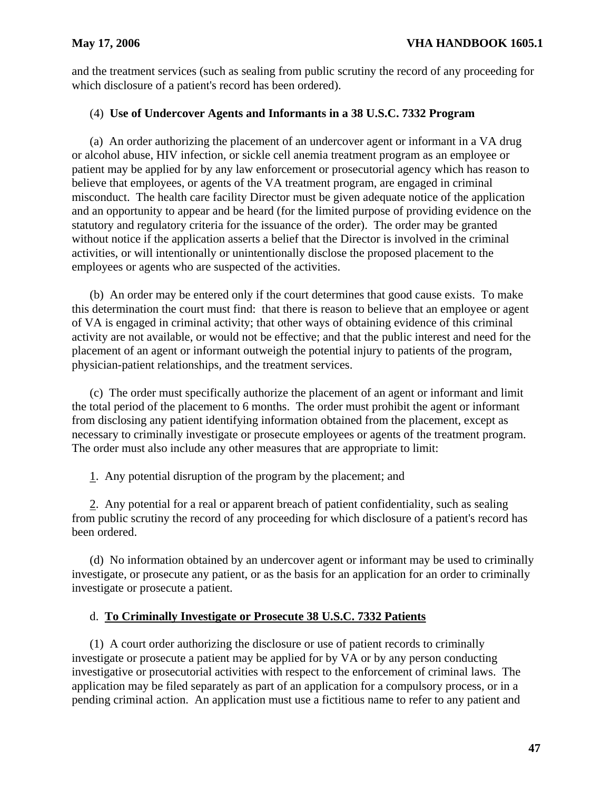and the treatment services (such as sealing from public scrutiny the record of any proceeding for which disclosure of a patient's record has been ordered).

## (4) **Use of Undercover Agents and Informants in a 38 U.S.C. 7332 Program**

(a) An order authorizing the placement of an undercover agent or informant in a VA drug or alcohol abuse, HIV infection, or sickle cell anemia treatment program as an employee or patient may be applied for by any law enforcement or prosecutorial agency which has reason to believe that employees, or agents of the VA treatment program, are engaged in criminal misconduct. The health care facility Director must be given adequate notice of the application and an opportunity to appear and be heard (for the limited purpose of providing evidence on the statutory and regulatory criteria for the issuance of the order). The order may be granted without notice if the application asserts a belief that the Director is involved in the criminal activities, or will intentionally or unintentionally disclose the proposed placement to the employees or agents who are suspected of the activities.

(b) An order may be entered only if the court determines that good cause exists. To make this determination the court must find: that there is reason to believe that an employee or agent of VA is engaged in criminal activity; that other ways of obtaining evidence of this criminal activity are not available, or would not be effective; and that the public interest and need for the placement of an agent or informant outweigh the potential injury to patients of the program, physician-patient relationships, and the treatment services.

(c) The order must specifically authorize the placement of an agent or informant and limit the total period of the placement to 6 months. The order must prohibit the agent or informant from disclosing any patient identifying information obtained from the placement, except as necessary to criminally investigate or prosecute employees or agents of the treatment program. The order must also include any other measures that are appropriate to limit:

1. Any potential disruption of the program by the placement; and

2. Any potential for a real or apparent breach of patient confidentiality, such as sealing from public scrutiny the record of any proceeding for which disclosure of a patient's record has been ordered.

(d) No information obtained by an undercover agent or informant may be used to criminally investigate, or prosecute any patient, or as the basis for an application for an order to criminally investigate or prosecute a patient.

# d. **To Criminally Investigate or Prosecute 38 U.S.C. 7332 Patients**

(1) A court order authorizing the disclosure or use of patient records to criminally investigate or prosecute a patient may be applied for by VA or by any person conducting investigative or prosecutorial activities with respect to the enforcement of criminal laws. The application may be filed separately as part of an application for a compulsory process, or in a pending criminal action. An application must use a fictitious name to refer to any patient and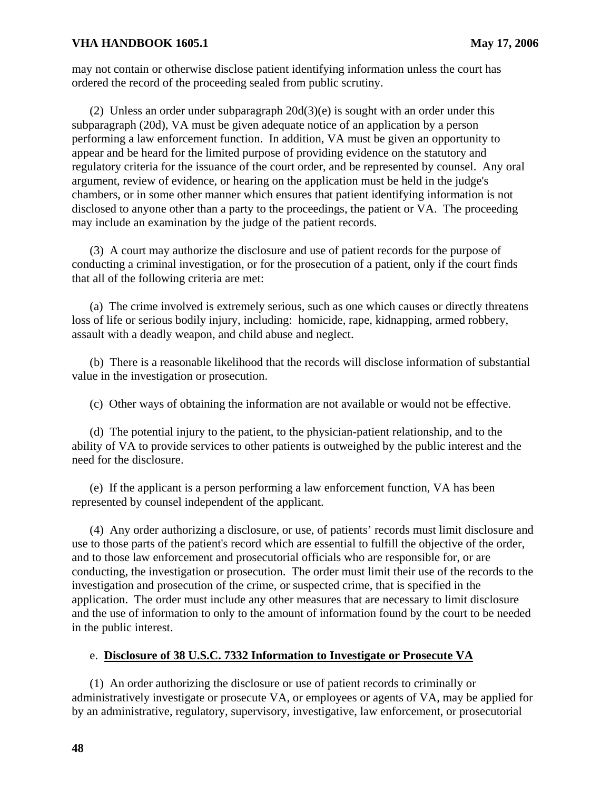may not contain or otherwise disclose patient identifying information unless the court has ordered the record of the proceeding sealed from public scrutiny.

(2) Unless an order under subparagraph  $20d(3)(e)$  is sought with an order under this subparagraph (20d), VA must be given adequate notice of an application by a person performing a law enforcement function. In addition, VA must be given an opportunity to appear and be heard for the limited purpose of providing evidence on the statutory and regulatory criteria for the issuance of the court order, and be represented by counsel. Any oral argument, review of evidence, or hearing on the application must be held in the judge's chambers, or in some other manner which ensures that patient identifying information is not disclosed to anyone other than a party to the proceedings, the patient or VA. The proceeding may include an examination by the judge of the patient records.

(3) A court may authorize the disclosure and use of patient records for the purpose of conducting a criminal investigation, or for the prosecution of a patient, only if the court finds that all of the following criteria are met:

(a) The crime involved is extremely serious, such as one which causes or directly threatens loss of life or serious bodily injury, including: homicide, rape, kidnapping, armed robbery, assault with a deadly weapon, and child abuse and neglect.

(b) There is a reasonable likelihood that the records will disclose information of substantial value in the investigation or prosecution.

(c) Other ways of obtaining the information are not available or would not be effective.

(d) The potential injury to the patient, to the physician-patient relationship, and to the ability of VA to provide services to other patients is outweighed by the public interest and the need for the disclosure.

(e) If the applicant is a person performing a law enforcement function, VA has been represented by counsel independent of the applicant.

(4) Any order authorizing a disclosure, or use, of patients' records must limit disclosure and use to those parts of the patient's record which are essential to fulfill the objective of the order, and to those law enforcement and prosecutorial officials who are responsible for, or are conducting, the investigation or prosecution. The order must limit their use of the records to the investigation and prosecution of the crime, or suspected crime, that is specified in the application. The order must include any other measures that are necessary to limit disclosure and the use of information to only to the amount of information found by the court to be needed in the public interest.

## e. **Disclosure of 38 U.S.C. 7332 Information to Investigate or Prosecute VA**

(1) An order authorizing the disclosure or use of patient records to criminally or administratively investigate or prosecute VA, or employees or agents of VA, may be applied for by an administrative, regulatory, supervisory, investigative, law enforcement, or prosecutorial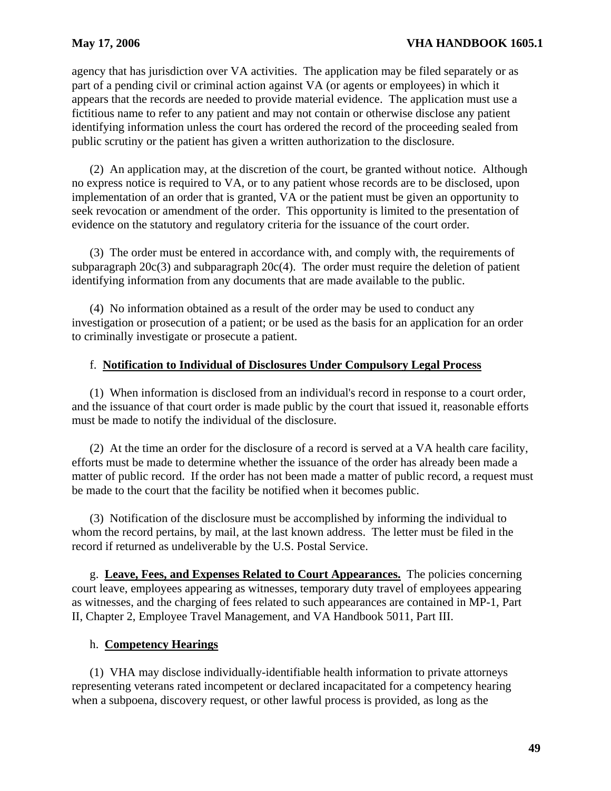agency that has jurisdiction over VA activities. The application may be filed separately or as part of a pending civil or criminal action against VA (or agents or employees) in which it appears that the records are needed to provide material evidence. The application must use a fictitious name to refer to any patient and may not contain or otherwise disclose any patient identifying information unless the court has ordered the record of the proceeding sealed from public scrutiny or the patient has given a written authorization to the disclosure.

(2) An application may, at the discretion of the court, be granted without notice. Although no express notice is required to VA, or to any patient whose records are to be disclosed, upon implementation of an order that is granted, VA or the patient must be given an opportunity to seek revocation or amendment of the order. This opportunity is limited to the presentation of evidence on the statutory and regulatory criteria for the issuance of the court order.

(3) The order must be entered in accordance with, and comply with, the requirements of subparagraph 20c(3) and subparagraph 20c(4). The order must require the deletion of patient identifying information from any documents that are made available to the public.

(4) No information obtained as a result of the order may be used to conduct any investigation or prosecution of a patient; or be used as the basis for an application for an order to criminally investigate or prosecute a patient.

### f. **Notification to Individual of Disclosures Under Compulsory Legal Process**

(1) When information is disclosed from an individual's record in response to a court order, and the issuance of that court order is made public by the court that issued it, reasonable efforts must be made to notify the individual of the disclosure.

(2) At the time an order for the disclosure of a record is served at a VA health care facility, efforts must be made to determine whether the issuance of the order has already been made a matter of public record. If the order has not been made a matter of public record, a request must be made to the court that the facility be notified when it becomes public.

(3) Notification of the disclosure must be accomplished by informing the individual to whom the record pertains, by mail, at the last known address. The letter must be filed in the record if returned as undeliverable by the U.S. Postal Service.

 g. **Leave, Fees, and Expenses Related to Court Appearances.** The policies concerning as witnesses, and the charging of fees related to such appearances are contained in MP-1, Part court leave, employees appearing as witnesses, temporary duty travel of employees appearing II, Chapter 2, Employee Travel Management, and VA Handbook 5011, Part III.

### h. **Competency Hearings**

(1) VHA may disclose individually-identifiable health information to private attorneys representing veterans rated incompetent or declared incapacitated for a competency hearing when a subpoena, discovery request, or other lawful process is provided, as long as the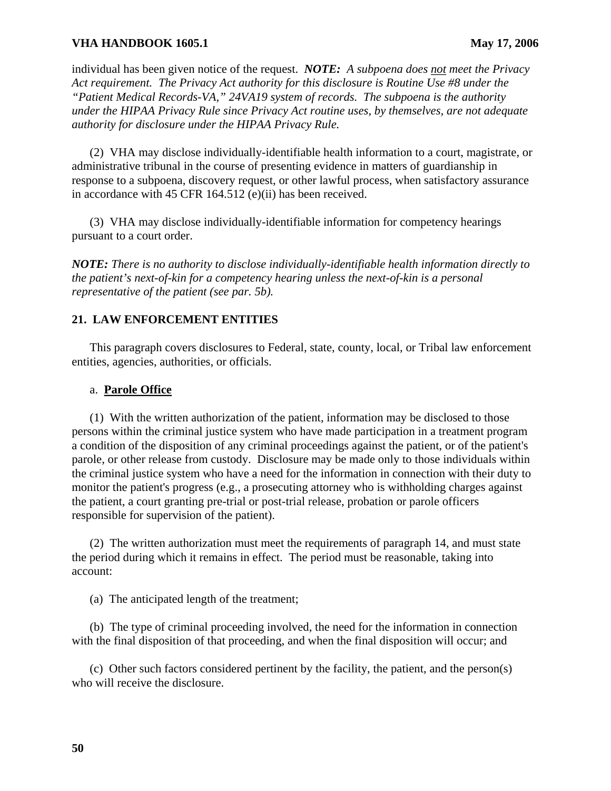individual has been given notice of the request. *NOTE: A subpoena does not meet the Privacy Act requirement. The Privacy Act authority for this disclosure is Routine Use #8 under the "Patient Medical Records-VA," 24VA19 system of records. The subpoena is the authority under the HIPAA Privacy Rule since Privacy Act routine uses, by themselves, are not adequate authority for disclosure under the HIPAA Privacy Rule.* 

(2) VHA may disclose individually-identifiable health information to a court, magistrate, or administrative tribunal in the course of presenting evidence in matters of guardianship in response to a subpoena, discovery request, or other lawful process, when satisfactory assurance in accordance with 45 CFR 164.512 (e)(ii) has been received.

(3) VHA may disclose individually-identifiable information for competency hearings pursuant to a court order.

*NOTE: There is no authority to disclose individually-identifiable health information directly to the patient's next-of-kin for a competency hearing unless the next-of-kin is a personal representative of the patient (see par. 5b).* 

### **21. LAW ENFORCEMENT ENTITIES**

This paragraph covers disclosures to Federal, state, county, local, or Tribal law enforcement entities, agencies, authorities, or officials.

#### a. **Parole Office**

(1) With the written authorization of the patient, information may be disclosed to those persons within the criminal justice system who have made participation in a treatment program a condition of the disposition of any criminal proceedings against the patient, or of the patient's parole, or other release from custody. Disclosure may be made only to those individuals within the criminal justice system who have a need for the information in connection with their duty to monitor the patient's progress (e.g., a prosecuting attorney who is withholding charges against the patient, a court granting pre-trial or post-trial release, probation or parole officers responsible for supervision of the patient).

(2) The written authorization must meet the requirements of paragraph 14, and must state the period during which it remains in effect. The period must be reasonable, taking into account:

(a) The anticipated length of the treatment;

(b) The type of criminal proceeding involved, the need for the information in connection with the final disposition of that proceeding, and when the final disposition will occur; and

(c) Other such factors considered pertinent by the facility, the patient, and the person(s) who will receive the disclosure.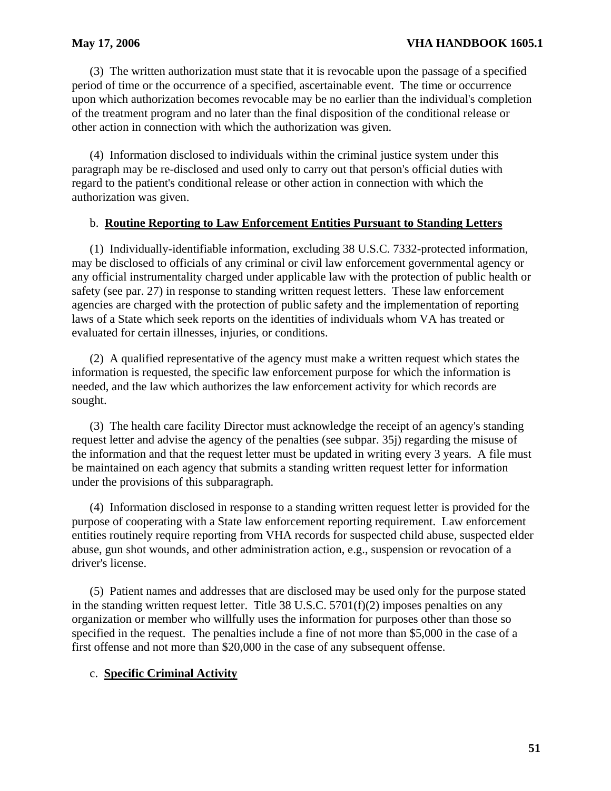(3) The written authorization must state that it is revocable upon the passage of a specified period of time or the occurrence of a specified, ascertainable event. The time or occurrence upon which authorization becomes revocable may be no earlier than the individual's completion of the treatment program and no later than the final disposition of the conditional release or other action in connection with which the authorization was given.

(4) Information disclosed to individuals within the criminal justice system under this paragraph may be re-disclosed and used only to carry out that person's official duties with regard to the patient's conditional release or other action in connection with which the authorization was given.

## b. **Routine Reporting to Law Enforcement Entities Pursuant to Standing Letters**

(1) Individually-identifiable information, excluding 38 U.S.C. 7332-protected information, may be disclosed to officials of any criminal or civil law enforcement governmental agency or any official instrumentality charged under applicable law with the protection of public health or safety (see par. 27) in response to standing written request letters. These law enforcement agencies are charged with the protection of public safety and the implementation of reporting laws of a State which seek reports on the identities of individuals whom VA has treated or evaluated for certain illnesses, injuries, or conditions.

(2) A qualified representative of the agency must make a written request which states the information is requested, the specific law enforcement purpose for which the information is needed, and the law which authorizes the law enforcement activity for which records are sought.

(3) The health care facility Director must acknowledge the receipt of an agency's standing request letter and advise the agency of the penalties (see subpar. 35j) regarding the misuse of the information and that the request letter must be updated in writing every 3 years. A file must be maintained on each agency that submits a standing written request letter for information under the provisions of this subparagraph.

(4) Information disclosed in response to a standing written request letter is provided for the purpose of cooperating with a State law enforcement reporting requirement. Law enforcement entities routinely require reporting from VHA records for suspected child abuse, suspected elder abuse, gun shot wounds, and other administration action, e.g., suspension or revocation of a driver's license.

(5) Patient names and addresses that are disclosed may be used only for the purpose stated in the standing written request letter. Title 38 U.S.C. 5701(f)(2) imposes penalties on any organization or member who willfully uses the information for purposes other than those so specified in the request. The penalties include a fine of not more than \$5,000 in the case of a first offense and not more than \$20,000 in the case of any subsequent offense.

# c. **Specific Criminal Activity**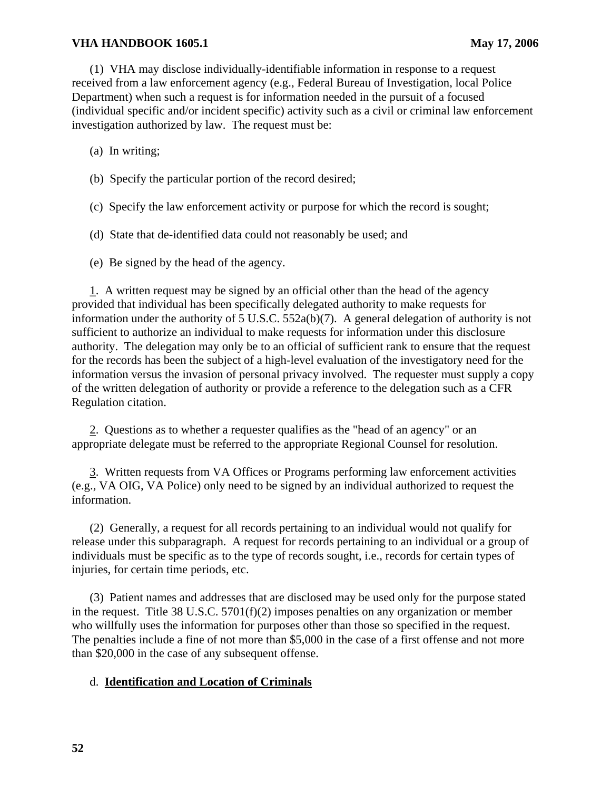(1) VHA may disclose individually-identifiable information in response to a request received from a law enforcement agency (e.g., Federal Bureau of Investigation, local Police Department) when such a request is for information needed in the pursuit of a focused (individual specific and/or incident specific) activity such as a civil or criminal law enforcement investigation authorized by law. The request must be:

(a) In writing;

- (b) Specify the particular portion of the record desired;
- (c) Specify the law enforcement activity or purpose for which the record is sought;
- (d) State that de-identified data could not reasonably be used; and
- (e) Be signed by the head of the agency.

1. A written request may be signed by an official other than the head of the agency provided that individual has been specifically delegated authority to make requests for information under the authority of 5 U.S.C. 552a(b)(7). A general delegation of authority is not sufficient to authorize an individual to make requests for information under this disclosure authority. The delegation may only be to an official of sufficient rank to ensure that the request for the records has been the subject of a high-level evaluation of the investigatory need for the information versus the invasion of personal privacy involved. The requester must supply a copy of the written delegation of authority or provide a reference to the delegation such as a CFR Regulation citation.

2. Questions as to whether a requester qualifies as the "head of an agency" or an appropriate delegate must be referred to the appropriate Regional Counsel for resolution.

Written requests from VA Offices or Programs performing law enforcement activities 3. (e.g., VA OIG, VA Police) only need to be signed by an individual authorized to request the information.

(2) Generally, a request for all records pertaining to an individual would not qualify for release under this subparagraph. A request for records pertaining to an individual or a group of individuals must be specific as to the type of records sought, i.e., records for certain types of injuries, for certain time periods, etc.

(3) Patient names and addresses that are disclosed may be used only for the purpose stated in the request. Title 38 U.S.C. 5701(f)(2) imposes penalties on any organization or member who willfully uses the information for purposes other than those so specified in the request. The penalties include a fine of not more than \$5,000 in the case of a first offense and not more than \$20,000 in the case of any subsequent offense.

## d. **Identification and Location of Criminals**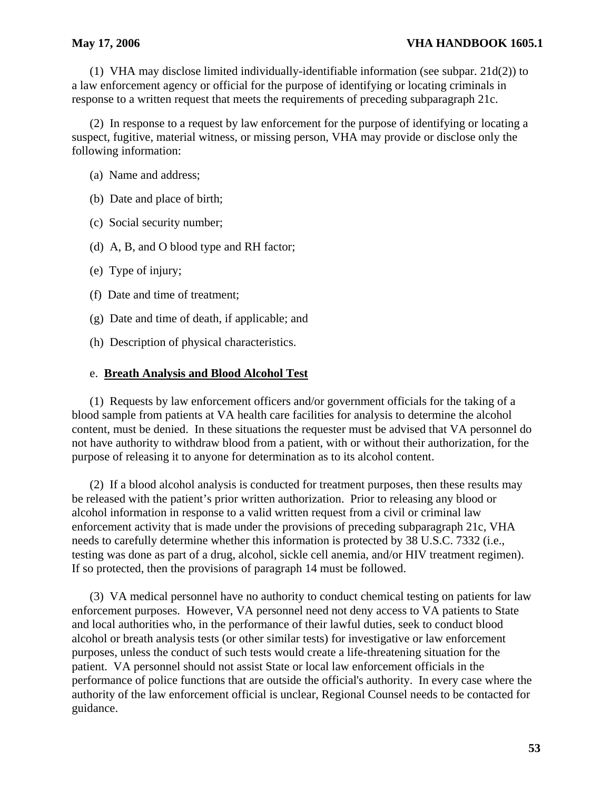(1) VHA may disclose limited individually-identifiable information (see subpar. 21d(2)) to a law enforcement agency or official for the purpose of identifying or locating criminals in response to a written request that meets the requirements of preceding subparagraph 21c.

(2) In response to a request by law enforcement for the purpose of identifying or locating a suspect, fugitive, material witness, or missing person, VHA may provide or disclose only the following information:

- (a) Name and address;
- (b) Date and place of birth;
- (c) Social security number;
- (d) A, B, and O blood type and RH factor;
- (e) Type of injury;
- (f) Date and time of treatment;
- (g) Date and time of death, if applicable; and
- (h) Description of physical characteristics.

### e. **Breath Analysis and Blood Alcohol Test**

(1) Requests by law enforcement officers and/or government officials for the taking of a blood sample from patients at VA health care facilities for analysis to determine the alcohol content, must be denied. In these situations the requester must be advised that VA personnel do not have authority to withdraw blood from a patient, with or without their authorization, for the purpose of releasing it to anyone for determination as to its alcohol content.

(2) If a blood alcohol analysis is conducted for treatment purposes, then these results may be released with the patient's prior written authorization. Prior to releasing any blood or alcohol information in response to a valid written request from a civil or criminal law enforcement activity that is made under the provisions of preceding subparagraph 21c, VHA needs to carefully determine whether this information is protected by 38 U.S.C. 7332 (i.e., testing was done as part of a drug, alcohol, sickle cell anemia, and/or HIV treatment regimen). If so protected, then the provisions of paragraph 14 must be followed.

(3) VA medical personnel have no authority to conduct chemical testing on patients for law enforcement purposes. However, VA personnel need not deny access to VA patients to State and local authorities who, in the performance of their lawful duties, seek to conduct blood alcohol or breath analysis tests (or other similar tests) for investigative or law enforcement purposes, unless the conduct of such tests would create a life-threatening situation for the patient. VA personnel should not assist State or local law enforcement officials in the performance of police functions that are outside the official's authority. In every case where the authority of the law enforcement official is unclear, Regional Counsel needs to be contacted for guidance.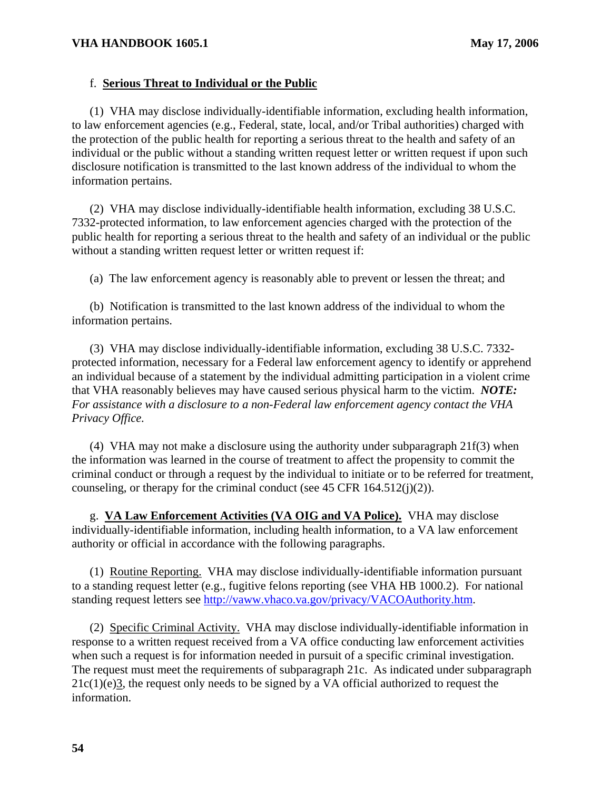### f. **Serious Threat to Individual or the Public**

(1) VHA may disclose individually-identifiable information, excluding health information, to law enforcement agencies (e.g., Federal, state, local, and/or Tribal authorities) charged with the protection of the public health for reporting a serious threat to the health and safety of an individual or the public without a standing written request letter or written request if upon such disclosure notification is transmitted to the last known address of the individual to whom the information pertains.

(2) VHA may disclose individually-identifiable health information, excluding 38 U.S.C. 7332-protected information, to law enforcement agencies charged with the protection of the public health for reporting a serious threat to the health and safety of an individual or the public without a standing written request letter or written request if:

(a) The law enforcement agency is reasonably able to prevent or lessen the threat; and

(b) Notification is transmitted to the last known address of the individual to whom the information pertains.

(3) VHA may disclose individually-identifiable information, excluding 38 U.S.C. 7332 protected information, necessary for a Federal law enforcement agency to identify or apprehend an individual because of a statement by the individual admitting participation in a violent crime that VHA reasonably believes may have caused serious physical harm to the victim. *NOTE: For assistance with a disclosure to a non-Federal law enforcement agency contact the VHA Privacy Office.* 

(4) VHA may not make a disclosure using the authority under subparagraph 21f(3) when the information was learned in the course of treatment to affect the propensity to commit the criminal conduct or through a request by the individual to initiate or to be referred for treatment, counseling, or therapy for the criminal conduct (see 45 CFR  $164.512(i)(2)$ ).

g. **VA Law Enforcement Activities (VA OIG and VA Police).** VHA may disclose authority or official in accordance with the following paragraphs. individually-identifiable information, including health information, to a VA law enforcement

(1) Routine Reporting. VHA may disclose individually-identifiable information pursuant to a standing request letter (e.g., fugitive felons reporting (see VHA HB 1000.2). For national standing request letters see [http://vaww.vhaco.va.gov/privacy/VACOAuthority.htm.](http://vaww.vhaco.va.gov/privacy/VACOAuthority.htm) 

response to a written request received from a VA office conducting law enforcement activities when such a request is for information needed in pursuit of a specific criminal investigation. The request must meet the requirements of subparagraph 21c. As indicated under subparagraph information. (2) Specific Criminal Activity. VHA may disclose individually-identifiable information in  $21c(1)(e)3$ , the request only needs to be signed by a VA official authorized to request the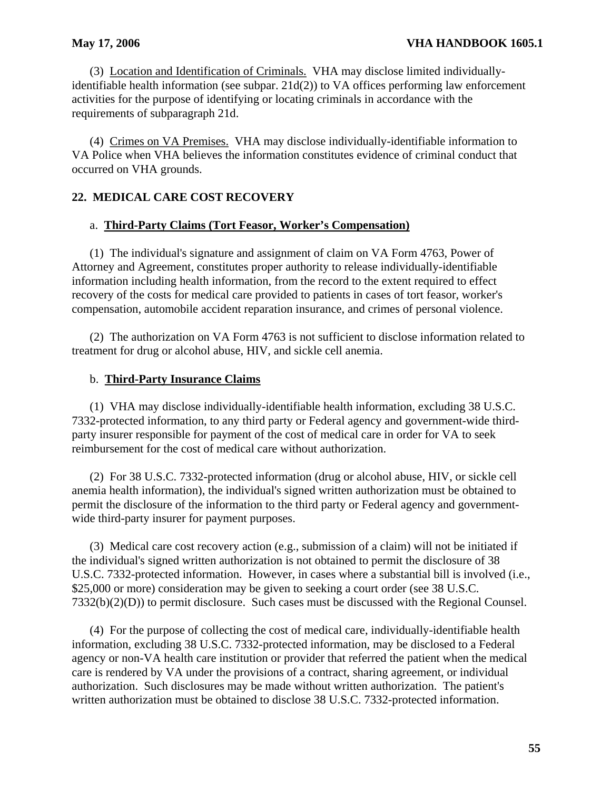(3) Location and Identification of Criminals. VHA may disclose limited individuallyidentifiable health information (see subpar.  $21d(2)$ ) to VA offices performing law enforcement activities for the purpose of identifying or locating criminals in accordance with the requirements of subparagraph 21d.

occurred on VHA grounds. (4) Crimes on VA Premises. VHA may disclose individually-identifiable information to VA Police when VHA believes the information constitutes evidence of criminal conduct that

## **22. MEDICAL CARE COST RECOVERY**

### a. **Third-Party Claims (Tort Feasor, Worker's Compensation)**

(1) The individual's signature and assignment of claim on VA Form 4763, Power of Attorney and Agreement, constitutes proper authority to release individually-identifiable information including health information, from the record to the extent required to effect recovery of the costs for medical care provided to patients in cases of tort feasor, worker's compensation, automobile accident reparation insurance, and crimes of personal violence.

(2) The authorization on VA Form 4763 is not sufficient to disclose information related to treatment for drug or alcohol abuse, HIV, and sickle cell anemia.

#### b. **Third-Party Insurance Claims**

(1) VHA may disclose individually-identifiable health information, excluding 38 U.S.C. 7332-protected information, to any third party or Federal agency and government-wide thirdparty insurer responsible for payment of the cost of medical care in order for VA to seek reimbursement for the cost of medical care without authorization.

(2) For 38 U.S.C. 7332-protected information (drug or alcohol abuse, HIV, or sickle cell anemia health information), the individual's signed written authorization must be obtained to permit the disclosure of the information to the third party or Federal agency and governmentwide third-party insurer for payment purposes.

(3) Medical care cost recovery action (e.g., submission of a claim) will not be initiated if the individual's signed written authorization is not obtained to permit the disclosure of 38 U.S.C. 7332-protected information. However, in cases where a substantial bill is involved (i.e., \$25,000 or more) consideration may be given to seeking a court order (see 38 U.S.C. 7332(b)(2)(D)) to permit disclosure. Such cases must be discussed with the Regional Counsel.

(4) For the purpose of collecting the cost of medical care, individually-identifiable health information, excluding 38 U.S.C. 7332-protected information, may be disclosed to a Federal agency or non-VA health care institution or provider that referred the patient when the medical care is rendered by VA under the provisions of a contract, sharing agreement, or individual authorization. Such disclosures may be made without written authorization. The patient's written authorization must be obtained to disclose 38 U.S.C. 7332-protected information.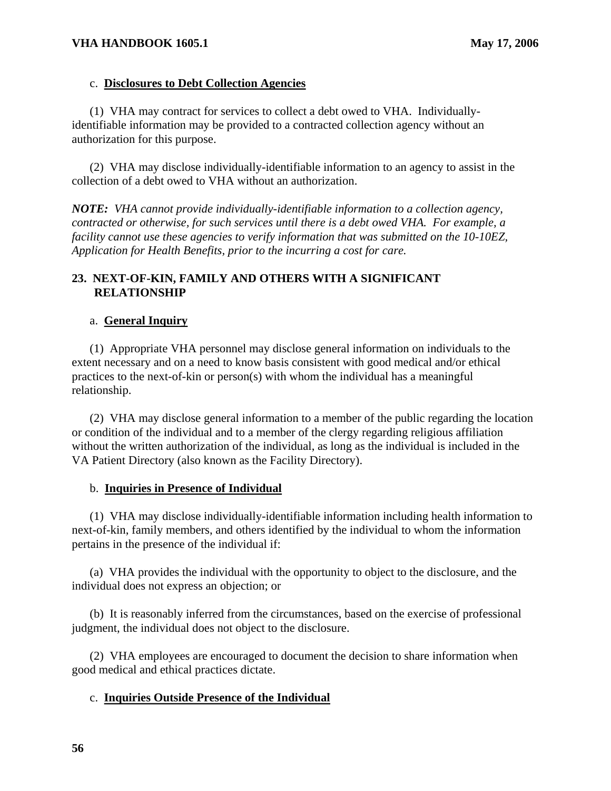#### c. **Disclosures to Debt Collection Agencies**

(1) VHA may contract for services to collect a debt owed to VHA. Individuallyidentifiable information may be provided to a contracted collection agency without an authorization for this purpose.

(2) VHA may disclose individually-identifiable information to an agency to assist in the collection of a debt owed to VHA without an authorization.

*NOTE: VHA cannot provide individually-identifiable information to a collection agency, contracted or otherwise, for such services until there is a debt owed VHA. For example, a facility cannot use these agencies to verify information that was submitted on the 10-10EZ, Application for Health Benefits, prior to the incurring a cost for care.* 

## **23. NEXT-OF-KIN, FAMILY AND OTHERS WITH A SIGNIFICANT RELATIONSHIP**

#### a. **General Inquiry**

(1) Appropriate VHA personnel may disclose general information on individuals to the extent necessary and on a need to know basis consistent with good medical and/or ethical practices to the next-of-kin or person(s) with whom the individual has a meaningful relationship.

(2) VHA may disclose general information to a member of the public regarding the location or condition of the individual and to a member of the clergy regarding religious affiliation without the written authorization of the individual, as long as the individual is included in the VA Patient Directory (also known as the Facility Directory).

#### b. **Inquiries in Presence of Individual**

(1) VHA may disclose individually-identifiable information including health information to next-of-kin, family members, and others identified by the individual to whom the information pertains in the presence of the individual if:

(a) VHA provides the individual with the opportunity to object to the disclosure, and the individual does not express an objection; or

(b) It is reasonably inferred from the circumstances, based on the exercise of professional judgment, the individual does not object to the disclosure.

(2) VHA employees are encouraged to document the decision to share information when good medical and ethical practices dictate.

### c. **Inquiries Outside Presence of the Individual**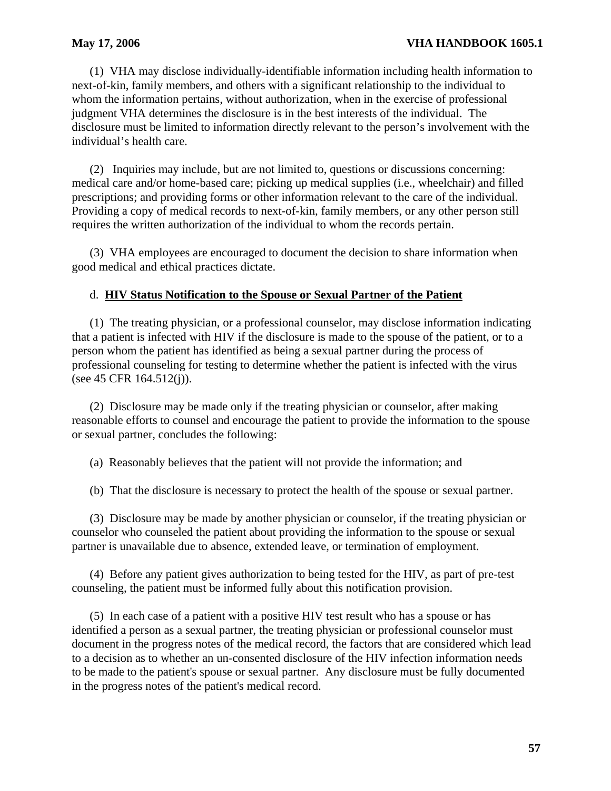(1) VHA may disclose individually-identifiable information including health information to next-of-kin, family members, and others with a significant relationship to the individual to whom the information pertains, without authorization, when in the exercise of professional judgment VHA determines the disclosure is in the best interests of the individual. The disclosure must be limited to information directly relevant to the person's involvement with the individual's health care.

(2) Inquiries may include, but are not limited to, questions or discussions concerning: medical care and/or home-based care; picking up medical supplies (i.e., wheelchair) and filled prescriptions; and providing forms or other information relevant to the care of the individual. Providing a copy of medical records to next-of-kin, family members, or any other person still requires the written authorization of the individual to whom the records pertain.

(3) VHA employees are encouraged to document the decision to share information when good medical and ethical practices dictate.

## d. **HIV Status Notification to the Spouse or Sexual Partner of the Patient**

(1) The treating physician, or a professional counselor, may disclose information indicating that a patient is infected with HIV if the disclosure is made to the spouse of the patient, or to a person whom the patient has identified as being a sexual partner during the process of professional counseling for testing to determine whether the patient is infected with the virus (see 45 CFR 164.512(j)).

(2) Disclosure may be made only if the treating physician or counselor, after making reasonable efforts to counsel and encourage the patient to provide the information to the spouse or sexual partner, concludes the following:

(a) Reasonably believes that the patient will not provide the information; and

(b) That the disclosure is necessary to protect the health of the spouse or sexual partner.

(3) Disclosure may be made by another physician or counselor, if the treating physician or counselor who counseled the patient about providing the information to the spouse or sexual partner is unavailable due to absence, extended leave, or termination of employment.

(4) Before any patient gives authorization to being tested for the HIV, as part of pre-test counseling, the patient must be informed fully about this notification provision.

(5) In each case of a patient with a positive HIV test result who has a spouse or has identified a person as a sexual partner, the treating physician or professional counselor must document in the progress notes of the medical record, the factors that are considered which lead to a decision as to whether an un-consented disclosure of the HIV infection information needs to be made to the patient's spouse or sexual partner. Any disclosure must be fully documented in the progress notes of the patient's medical record.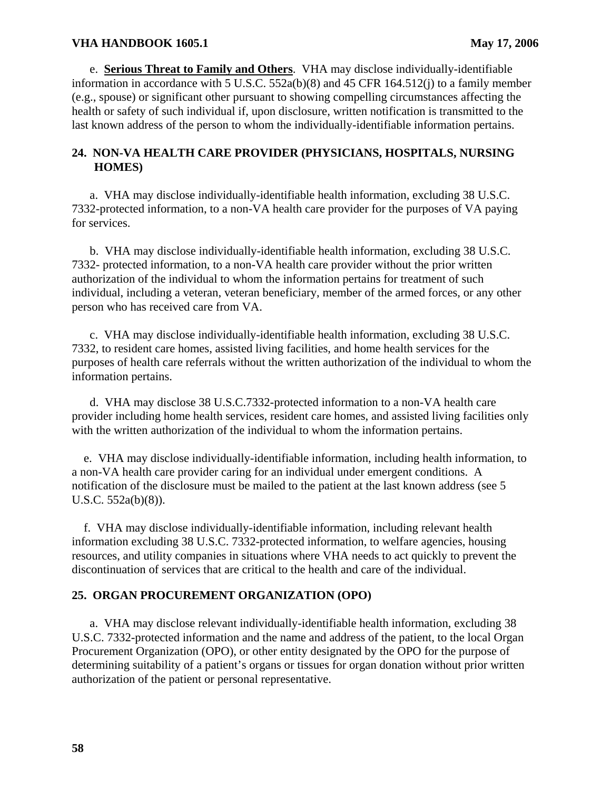e. **Serious Threat to Family and Others**. VHA may disclose individually-identifiable information in accordance with 5 U.S.C. 552a(b)(8) and 45 CFR 164.512(j) to a family member (e.g., spouse) or significant other pursuant to showing compelling circumstances affecting the health or safety of such individual if, upon disclosure, written notification is transmitted to the last known address of the person to whom the individually-identifiable information pertains.

## **24. NON-VA HEALTH CARE PROVIDER (PHYSICIANS, HOSPITALS, NURSING HOMES)**

a. VHA may disclose individually-identifiable health information, excluding 38 U.S.C. 7332-protected information, to a non-VA health care provider for the purposes of VA paying for services.

b. VHA may disclose individually-identifiable health information, excluding 38 U.S.C. 7332- protected information, to a non-VA health care provider without the prior written authorization of the individual to whom the information pertains for treatment of such individual, including a veteran, veteran beneficiary, member of the armed forces, or any other person who has received care from VA.

c. VHA may disclose individually-identifiable health information, excluding 38 U.S.C. 7332, to resident care homes, assisted living facilities, and home health services for the purposes of health care referrals without the written authorization of the individual to whom the information pertains.

d. VHA may disclose 38 U.S.C.7332-protected information to a non-VA health care provider including home health services, resident care homes, and assisted living facilities only with the written authorization of the individual to whom the information pertains.

e. VHA may disclose individually-identifiable information, including health information, to a non-VA health care provider caring for an individual under emergent conditions. A notification of the disclosure must be mailed to the patient at the last known address (see 5 U.S.C. 552a(b)(8)).

f. VHA may disclose individually-identifiable information, including relevant health information excluding 38 U.S.C. 7332-protected information, to welfare agencies, housing resources, and utility companies in situations where VHA needs to act quickly to prevent the discontinuation of services that are critical to the health and care of the individual.

# **25. ORGAN PROCUREMENT ORGANIZATION (OPO)**

a. VHA may disclose relevant individually-identifiable health information, excluding 38 U.S.C. 7332-protected information and the name and address of the patient, to the local Organ Procurement Organization (OPO), or other entity designated by the OPO for the purpose of determining suitability of a patient's organs or tissues for organ donation without prior written authorization of the patient or personal representative.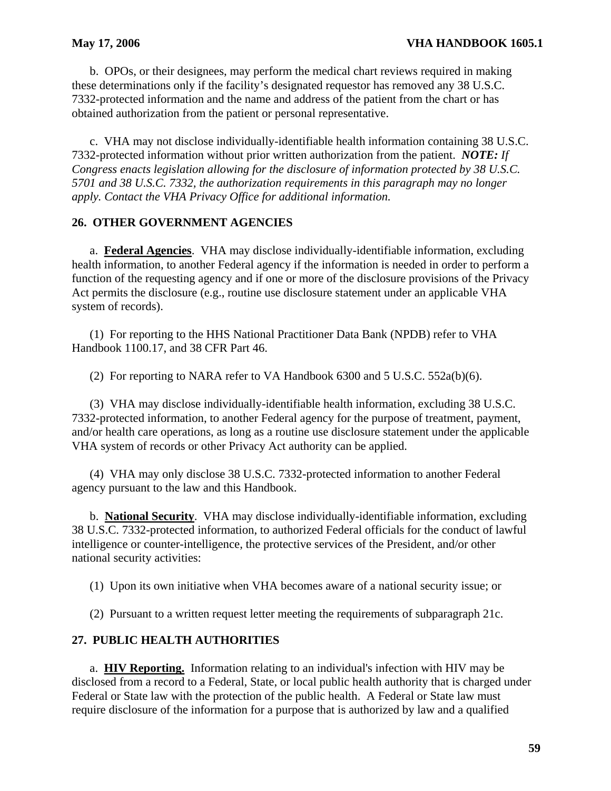b. OPOs, or their designees, may perform the medical chart reviews required in making these determinations only if the facility's designated requestor has removed any 38 U.S.C. 7332-protected information and the name and address of the patient from the chart or has obtained authorization from the patient or personal representative.

c. VHA may not disclose individually-identifiable health information containing 38 U.S.C. 7332-protected information without prior written authorization from the patient. *NOTE: If Congress enacts legislation allowing for the disclosure of information protected by 38 U.S.C. 5701 and 38 U.S.C. 7332, the authorization requirements in this paragraph may no longer apply. Contact the VHA Privacy Office for additional information.* 

# **26. OTHER GOVERNMENT AGENCIES**

a. **Federal Agencies**. VHA may disclose individually-identifiable information, excluding health information, to another Federal agency if the information is needed in order to perform a function of the requesting agency and if one or more of the disclosure provisions of the Privacy Act permits the disclosure (e.g., routine use disclosure statement under an applicable VHA system of records).

(1) For reporting to the HHS National Practitioner Data Bank (NPDB) refer to VHA Handbook 1100.17, and 38 CFR Part 46.

(2) For reporting to NARA refer to VA Handbook  $6300$  and  $5 \text{ U.S.C. } 552a(b)(6)$ .

(3) VHA may disclose individually-identifiable health information, excluding 38 U.S.C. 7332-protected information, to another Federal agency for the purpose of treatment, payment, and/or health care operations, as long as a routine use disclosure statement under the applicable VHA system of records or other Privacy Act authority can be applied.

(4) VHA may only disclose 38 U.S.C. 7332-protected information to another Federal agency pursuant to the law and this Handbook.

b. **National Security**. VHA may disclose individually-identifiable information, excluding 38 U.S.C. 7332-protected information, to authorized Federal officials for the conduct of lawful intelligence or counter-intelligence, the protective services of the President, and/or other national security activities:

(1) Upon its own initiative when VHA becomes aware of a national security issue; or

(2) Pursuant to a written request letter meeting the requirements of subparagraph 21c.

# **27. PUBLIC HEALTH AUTHORITIES**

a. **HIV Reporting.** Information relating to an individual's infection with HIV may be disclosed from a record to a Federal, State, or local public health authority that is charged under Federal or State law with the protection of the public health. A Federal or State law must require disclosure of the information for a purpose that is authorized by law and a qualified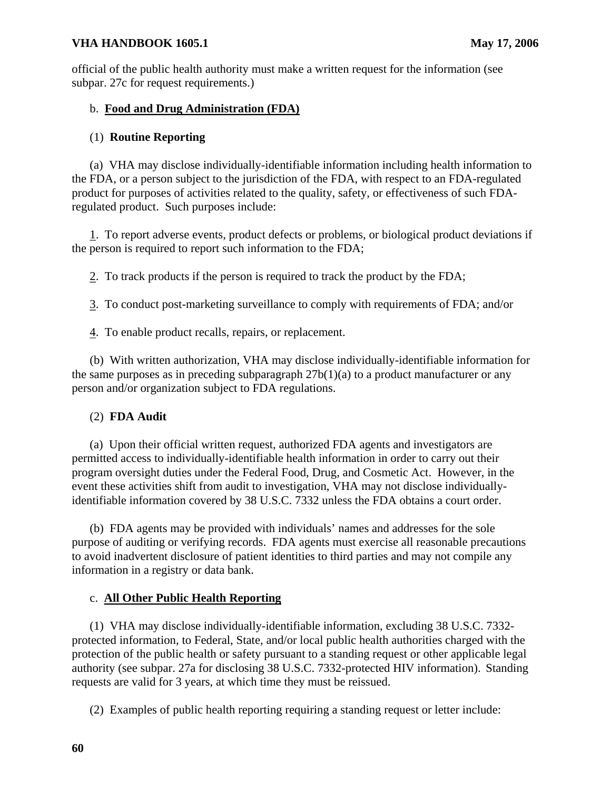official of the public health authority must make a written request for the information (see subpar. 27c for request requirements.)

# b. **Food and Drug Administration (FDA)**

## (1) **Routine Reporting**

(a) VHA may disclose individually-identifiable information including health information to the FDA, or a person subject to the jurisdiction of the FDA, with respect to an FDA-regulated product for purposes of activities related to the quality, safety, or effectiveness of such FDAregulated product. Such purposes include:

1. To report adverse events, product defects or problems, or biological product deviations if the person is required to report such information to the FDA;

 $2$ . To track products if the person is required to track the product by the FDA;

To conduct post-marketing surveillance to comply with requirements of FDA; and/or 3.

4. To enable product recalls, repairs, or replacement.

(b) With written authorization, VHA may disclose individually-identifiable information for the same purposes as in preceding subparagraph  $27b(1)(a)$  to a product manufacturer or any person and/or organization subject to FDA regulations.

### (2) **FDA Audit**

(a) Upon their official written request, authorized FDA agents and investigators are permitted access to individually-identifiable health information in order to carry out their program oversight duties under the Federal Food, Drug, and Cosmetic Act. However, in the event these activities shift from audit to investigation, VHA may not disclose individuallyidentifiable information covered by 38 U.S.C. 7332 unless the FDA obtains a court order.

(b) FDA agents may be provided with individuals' names and addresses for the sole purpose of auditing or verifying records. FDA agents must exercise all reasonable precautions to avoid inadvertent disclosure of patient identities to third parties and may not compile any information in a registry or data bank.

# c. **All Other Public Health Reporting**

(1) VHA may disclose individually-identifiable information, excluding 38 U.S.C. 7332 protected information, to Federal, State, and/or local public health authorities charged with the protection of the public health or safety pursuant to a standing request or other applicable legal authority (see subpar. 27a for disclosing 38 U.S.C. 7332-protected HIV information). Standing requests are valid for 3 years, at which time they must be reissued.

(2) Examples of public health reporting requiring a standing request or letter include: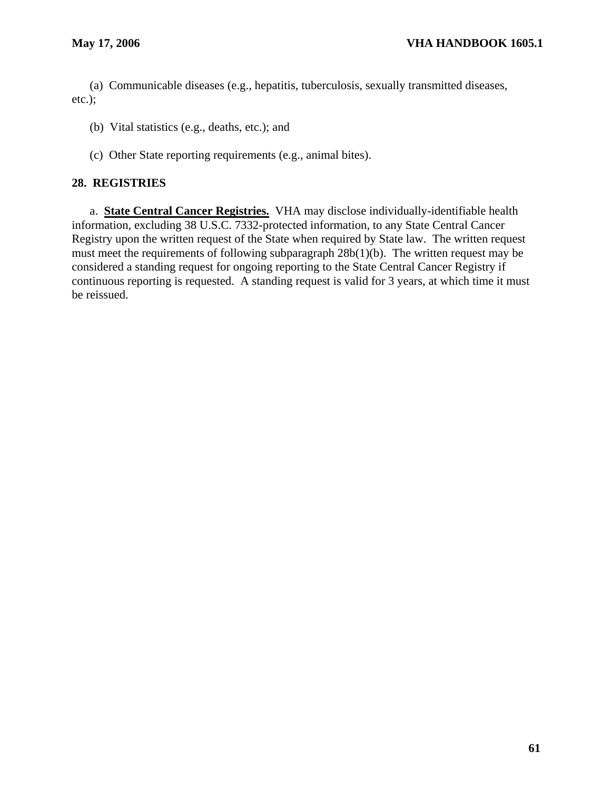(a) Communicable diseases (e.g., hepatitis, tuberculosis, sexually transmitted diseases, etc.);

(b) Vital statistics (e.g., deaths, etc.); and

(c) Other State reporting requirements (e.g., animal bites).

## **28. REGISTRIES**

a. **State Central Cancer Registries.** VHA may disclose individually-identifiable health information, excluding 38 U.S.C. 7332-protected information, to any State Central Cancer Registry upon the written request of the State when required by State law. The written request must meet the requirements of following subparagraph 28b(1)(b). The written request may be considered a standing request for ongoing reporting to the State Central Cancer Registry if continuous reporting is requested. A standing request is valid for 3 years, at which time it must be reissued.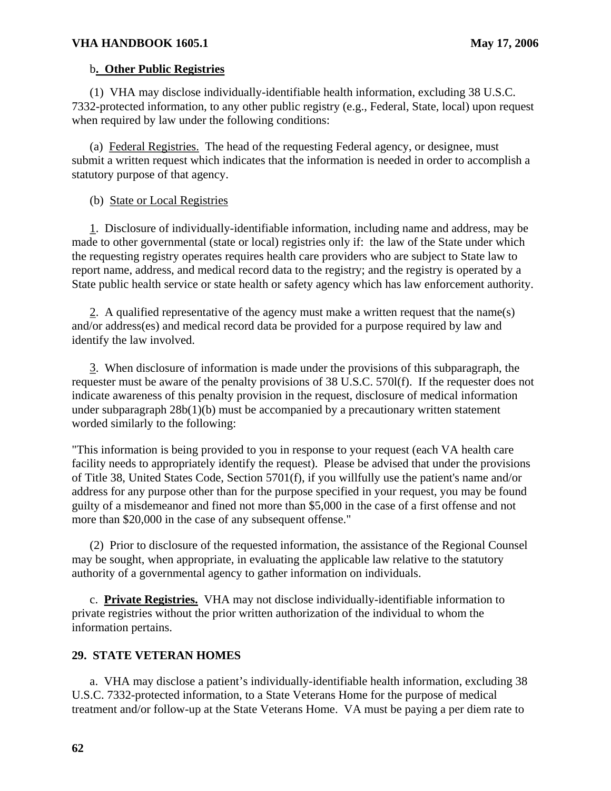## b**. Other Public Registries**

(1) VHA may disclose individually-identifiable health information, excluding 38 U.S.C. 7332-protected information, to any other public registry (e.g., Federal, State, local) upon request when required by law under the following conditions:

(a) Federal Registries. The head of the requesting Federal agency, or designee, must submit a written request which indicates that the information is needed in order to accomplish a statutory purpose of that agency.

## (b) State or Local Registries

 1. Disclosure of individually-identifiable information, including name and address, may be made to other governmental (state or local) registries only if: the law of the State under which the requesting registry operates requires health care providers who are subject to State law to report name, address, and medical record data to the registry; and the registry is operated by a State public health service or state health or safety agency which has law enforcement authority.

2. A qualified representative of the agency must make a written request that the name(s) and/or address(es) and medical record data be provided for a purpose required by law and identify the law involved.

3. When disclosure of information is made under the provisions of this subparagraph, the requester must be aware of the penalty provisions of 38 U.S.C. 570l(f). If the requester does not indicate awareness of this penalty provision in the request, disclosure of medical information under subparagraph 28b(1)(b) must be accompanied by a precautionary written statement worded similarly to the following:

"This information is being provided to you in response to your request (each VA health care facility needs to appropriately identify the request). Please be advised that under the provisions of Title 38, United States Code, Section 5701(f), if you willfully use the patient's name and/or address for any purpose other than for the purpose specified in your request, you may be found guilty of a misdemeanor and fined not more than \$5,000 in the case of a first offense and not more than \$20,000 in the case of any subsequent offense."

(2) Prior to disclosure of the requested information, the assistance of the Regional Counsel may be sought, when appropriate, in evaluating the applicable law relative to the statutory authority of a governmental agency to gather information on individuals.

c. **Private Registries.** VHA may not disclose individually-identifiable information to private registries without the prior written authorization of the individual to whom the information pertains.

# **29. STATE VETERAN HOMES**

a. VHA may disclose a patient's individually-identifiable health information, excluding 38 U.S.C. 7332-protected information, to a State Veterans Home for the purpose of medical treatment and/or follow-up at the State Veterans Home. VA must be paying a per diem rate to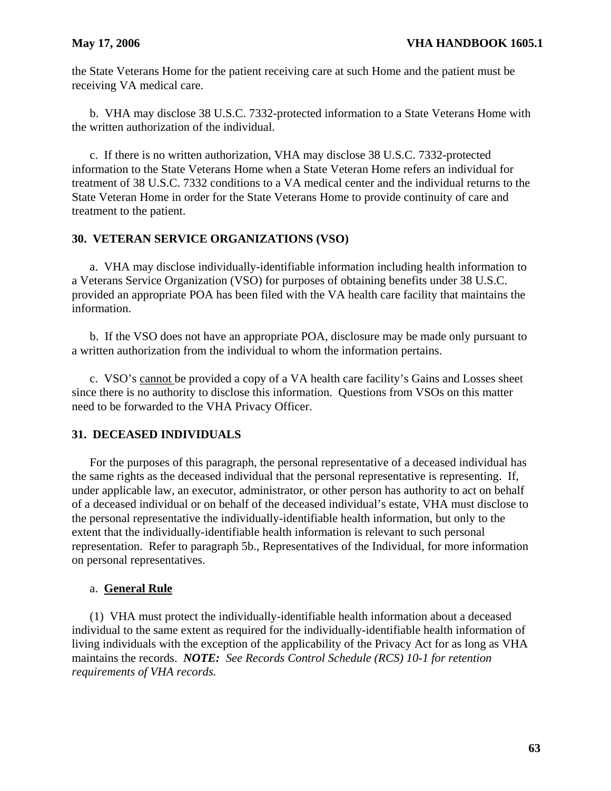the State Veterans Home for the patient receiving care at such Home and the patient must be receiving VA medical care.

b. VHA may disclose 38 U.S.C. 7332-protected information to a State Veterans Home with the written authorization of the individual.

c. If there is no written authorization, VHA may disclose 38 U.S.C. 7332-protected information to the State Veterans Home when a State Veteran Home refers an individual for treatment of 38 U.S.C. 7332 conditions to a VA medical center and the individual returns to the State Veteran Home in order for the State Veterans Home to provide continuity of care and treatment to the patient.

# **30. VETERAN SERVICE ORGANIZATIONS (VSO)**

a. VHA may disclose individually-identifiable information including health information to a Veterans Service Organization (VSO) for purposes of obtaining benefits under 38 U.S.C. provided an appropriate POA has been filed with the VA health care facility that maintains the information.

b. If the VSO does not have an appropriate POA, disclosure may be made only pursuant to a written authorization from the individual to whom the information pertains.

c. VSO's cannot be provided a copy of a VA health care facility's Gains and Losses sheet since there is no authority to disclose this information. Questions from VSOs on this matter need to be forwarded to the VHA Privacy Officer.

## **31. DECEASED INDIVIDUALS**

For the purposes of this paragraph, the personal representative of a deceased individual has the same rights as the deceased individual that the personal representative is representing. If, under applicable law, an executor, administrator, or other person has authority to act on behalf of a deceased individual or on behalf of the deceased individual's estate, VHA must disclose to the personal representative the individually-identifiable health information, but only to the extent that the individually-identifiable health information is relevant to such personal representation. Refer to paragraph 5b., Representatives of the Individual, for more information on personal representatives.

#### a. **General Rule**

(1) VHA must protect the individually-identifiable health information about a deceased individual to the same extent as required for the individually-identifiable health information of living individuals with the exception of the applicability of the Privacy Act for as long as VHA maintains the records. *NOTE: See Records Control Schedule (RCS) 10-1 for retention requirements of VHA records.*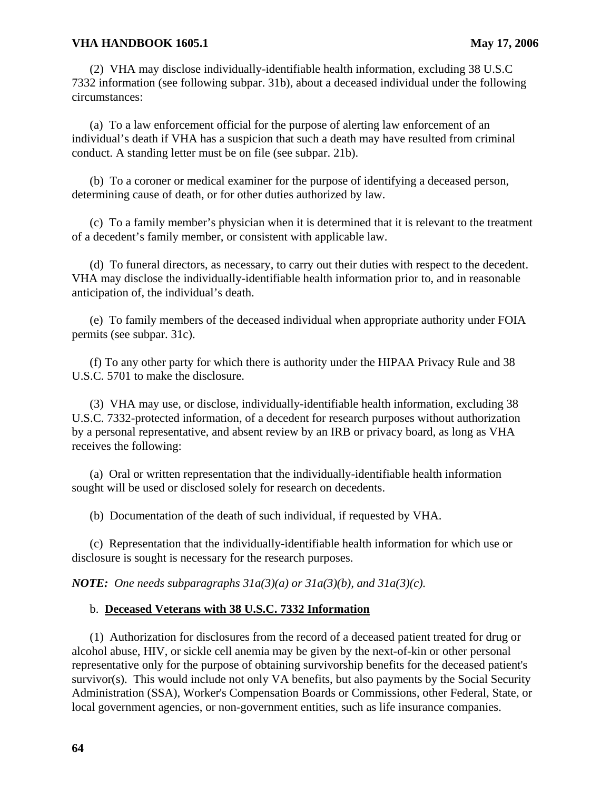(2) VHA may disclose individually-identifiable health information, excluding 38 U.S.C 7332 information (see following subpar. 31b), about a deceased individual under the following circumstances:

(a) To a law enforcement official for the purpose of alerting law enforcement of an individual's death if VHA has a suspicion that such a death may have resulted from criminal conduct. A standing letter must be on file (see subpar. 21b).

(b) To a coroner or medical examiner for the purpose of identifying a deceased person, determining cause of death, or for other duties authorized by law.

(c) To a family member's physician when it is determined that it is relevant to the treatment of a decedent's family member, or consistent with applicable law.

(d) To funeral directors, as necessary, to carry out their duties with respect to the decedent. VHA may disclose the individually-identifiable health information prior to, and in reasonable anticipation of, the individual's death.

(e) To family members of the deceased individual when appropriate authority under FOIA permits (see subpar. 31c).

(f) To any other party for which there is authority under the HIPAA Privacy Rule and 38 U.S.C. 5701 to make the disclosure.

(3) VHA may use, or disclose, individually-identifiable health information, excluding 38 U.S.C. 7332-protected information, of a decedent for research purposes without authorization by a personal representative, and absent review by an IRB or privacy board, as long as VHA receives the following:

(a) Oral or written representation that the individually-identifiable health information sought will be used or disclosed solely for research on decedents.

(b) Documentation of the death of such individual, if requested by VHA.

(c) Representation that the individually-identifiable health information for which use or disclosure is sought is necessary for the research purposes.

*NOTE: One needs subparagraphs 31a(3)(a) or 31a(3)(b), and 31a(3)(c).*

#### b. **Deceased Veterans with 38 U.S.C. 7332 Information**

(1) Authorization for disclosures from the record of a deceased patient treated for drug or alcohol abuse, HIV, or sickle cell anemia may be given by the next-of-kin or other personal representative only for the purpose of obtaining survivorship benefits for the deceased patient's survivor(s). This would include not only VA benefits, but also payments by the Social Security Administration (SSA), Worker's Compensation Boards or Commissions, other Federal, State, or local government agencies, or non-government entities, such as life insurance companies.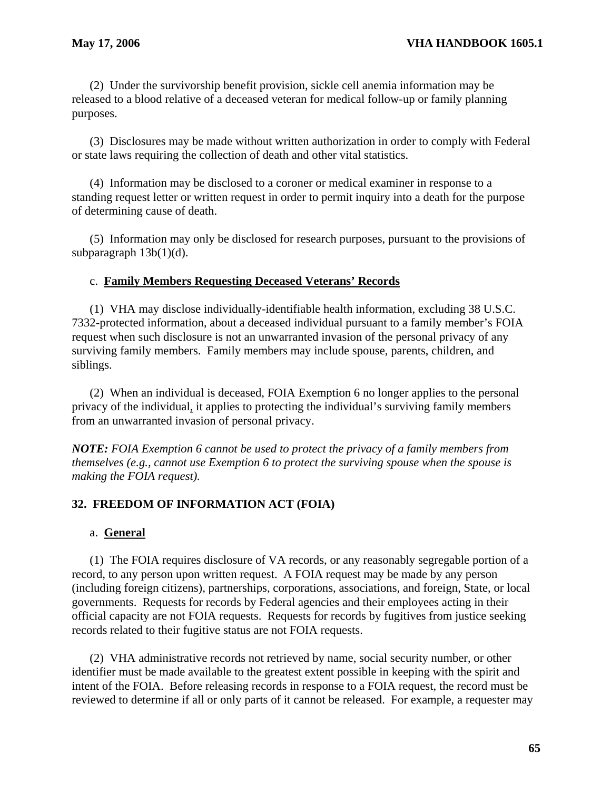(2) Under the survivorship benefit provision, sickle cell anemia information may be released to a blood relative of a deceased veteran for medical follow-up or family planning purposes.

(3) Disclosures may be made without written authorization in order to comply with Federal or state laws requiring the collection of death and other vital statistics.

(4) Information may be disclosed to a coroner or medical examiner in response to a standing request letter or written request in order to permit inquiry into a death for the purpose of determining cause of death.

(5) Information may only be disclosed for research purposes, pursuant to the provisions of subparagraph  $13b(1)(d)$ .

## c. **Family Members Requesting Deceased Veterans' Records**

(1) VHA may disclose individually-identifiable health information, excluding 38 U.S.C. 7332-protected information, about a deceased individual pursuant to a family member's FOIA request when such disclosure is not an unwarranted invasion of the personal privacy of any surviving family members. Family members may include spouse, parents, children, and siblings.

(2) When an individual is deceased, FOIA Exemption 6 no longer applies to the personal privacy of the individual, it applies to protecting the individual's surviving family members from an unwarranted invasion of personal privacy.

*NOTE: FOIA Exemption 6 cannot be used to protect the privacy of a family members from themselves (e.g., cannot use Exemption 6 to protect the surviving spouse when the spouse is making the FOIA request).* 

# **32. FREEDOM OF INFORMATION ACT (FOIA)**

### a. **General**

(1) The FOIA requires disclosure of VA records, or any reasonably segregable portion of a record, to any person upon written request. A FOIA request may be made by any person (including foreign citizens), partnerships, corporations, associations, and foreign, State, or local governments. Requests for records by Federal agencies and their employees acting in their official capacity are not FOIA requests. Requests for records by fugitives from justice seeking records related to their fugitive status are not FOIA requests.

(2) VHA administrative records not retrieved by name, social security number, or other identifier must be made available to the greatest extent possible in keeping with the spirit and intent of the FOIA. Before releasing records in response to a FOIA request, the record must be reviewed to determine if all or only parts of it cannot be released. For example, a requester may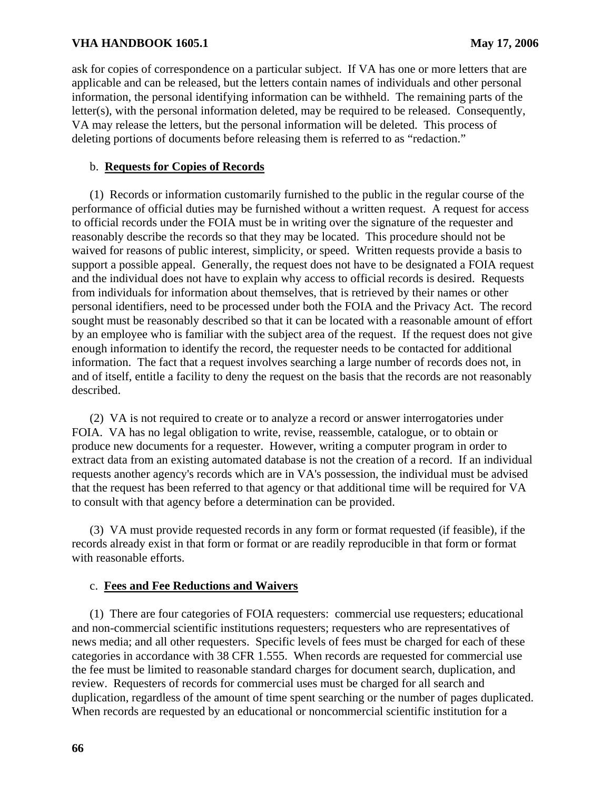ask for copies of correspondence on a particular subject. If VA has one or more letters that are applicable and can be released, but the letters contain names of individuals and other personal information, the personal identifying information can be withheld. The remaining parts of the letter(s), with the personal information deleted, may be required to be released. Consequently, VA may release the letters, but the personal information will be deleted. This process of deleting portions of documents before releasing them is referred to as "redaction."

## b. **Requests for Copies of Records**

(1) Records or information customarily furnished to the public in the regular course of the performance of official duties may be furnished without a written request. A request for access to official records under the FOIA must be in writing over the signature of the requester and reasonably describe the records so that they may be located. This procedure should not be waived for reasons of public interest, simplicity, or speed. Written requests provide a basis to support a possible appeal. Generally, the request does not have to be designated a FOIA request and the individual does not have to explain why access to official records is desired. Requests from individuals for information about themselves, that is retrieved by their names or other personal identifiers, need to be processed under both the FOIA and the Privacy Act. The record sought must be reasonably described so that it can be located with a reasonable amount of effort by an employee who is familiar with the subject area of the request. If the request does not give enough information to identify the record, the requester needs to be contacted for additional information. The fact that a request involves searching a large number of records does not, in and of itself, entitle a facility to deny the request on the basis that the records are not reasonably described.

(2) VA is not required to create or to analyze a record or answer interrogatories under FOIA. VA has no legal obligation to write, revise, reassemble, catalogue, or to obtain or produce new documents for a requester. However, writing a computer program in order to extract data from an existing automated database is not the creation of a record. If an individual requests another agency's records which are in VA's possession, the individual must be advised that the request has been referred to that agency or that additional time will be required for VA to consult with that agency before a determination can be provided.

(3) VA must provide requested records in any form or format requested (if feasible), if the records already exist in that form or format or are readily reproducible in that form or format with reasonable efforts.

## c. **Fees and Fee Reductions and Waivers**

(1) There are four categories of FOIA requesters: commercial use requesters; educational and non-commercial scientific institutions requesters; requesters who are representatives of news media; and all other requesters. Specific levels of fees must be charged for each of these categories in accordance with 38 CFR 1.555. When records are requested for commercial use the fee must be limited to reasonable standard charges for document search, duplication, and review. Requesters of records for commercial uses must be charged for all search and duplication, regardless of the amount of time spent searching or the number of pages duplicated. When records are requested by an educational or noncommercial scientific institution for a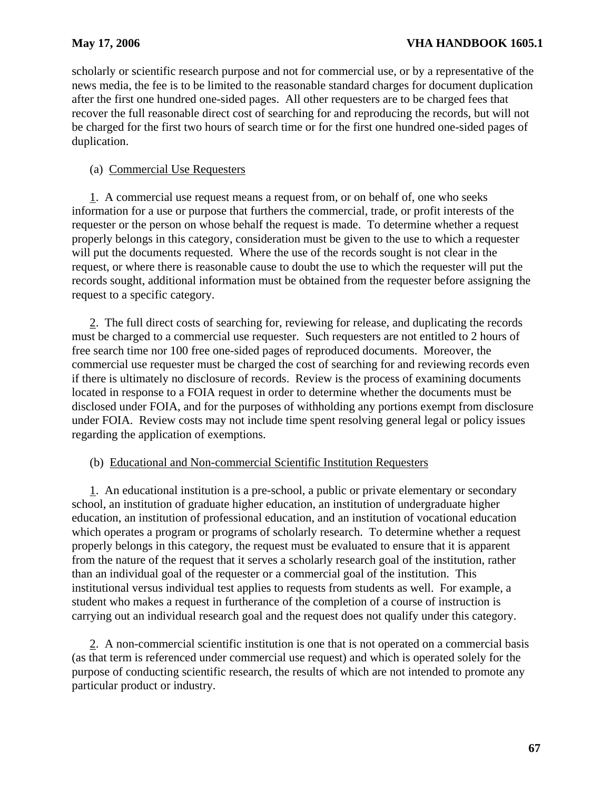scholarly or scientific research purpose and not for commercial use, or by a representative of the news media, the fee is to be limited to the reasonable standard charges for document duplication after the first one hundred one-sided pages. All other requesters are to be charged fees that recover the full reasonable direct cost of searching for and reproducing the records, but will not be charged for the first two hours of search time or for the first one hundred one-sided pages of duplication.

# (a) Commercial Use Requesters

request, or where there is reasonable cause to doubt the use to which the requester will put the request to a specific category. 1. A commercial use request means a request from, or on behalf of, one who seeks information for a use or purpose that furthers the commercial, trade, or profit interests of the requester or the person on whose behalf the request is made. To determine whether a request properly belongs in this category, consideration must be given to the use to which a requester will put the documents requested. Where the use of the records sought is not clear in the records sought, additional information must be obtained from the requester before assigning the

2. The full direct costs of searching for, reviewing for release, and duplicating the records must be charged to a commercial use requester. Such requesters are not entitled to 2 hours of free search time nor 100 free one-sided pages of reproduced documents. Moreover, the commercial use requester must be charged the cost of searching for and reviewing records even if there is ultimately no disclosure of records. Review is the process of examining documents located in response to a FOIA request in order to determine whether the documents must be disclosed under FOIA, and for the purposes of withholding any portions exempt from disclosure under FOIA. Review costs may not include time spent resolving general legal or policy issues regarding the application of exemptions.

## (b) Educational and Non-commercial Scientific Institution Requesters

school, an institution of graduate higher education, an institution of undergraduate higher education, an institution of professional education, and an institution of vocational education than an individual goal of the requester or a commercial goal of the institution. This carrying out an individual research goal and the request does not qualify under this category. 1. An educational institution is a pre-school, a public or private elementary or secondary which operates a program or programs of scholarly research. To determine whether a request properly belongs in this category, the request must be evaluated to ensure that it is apparent from the nature of the request that it serves a scholarly research goal of the institution, rather institutional versus individual test applies to requests from students as well. For example, a student who makes a request in furtherance of the completion of a course of instruction is

2. A non-commercial scientific institution is one that is not operated on a commercial basis (as that term is referenced under commercial use request) and which is operated solely for the purpose of conducting scientific research, the results of which are not intended to promote any particular product or industry.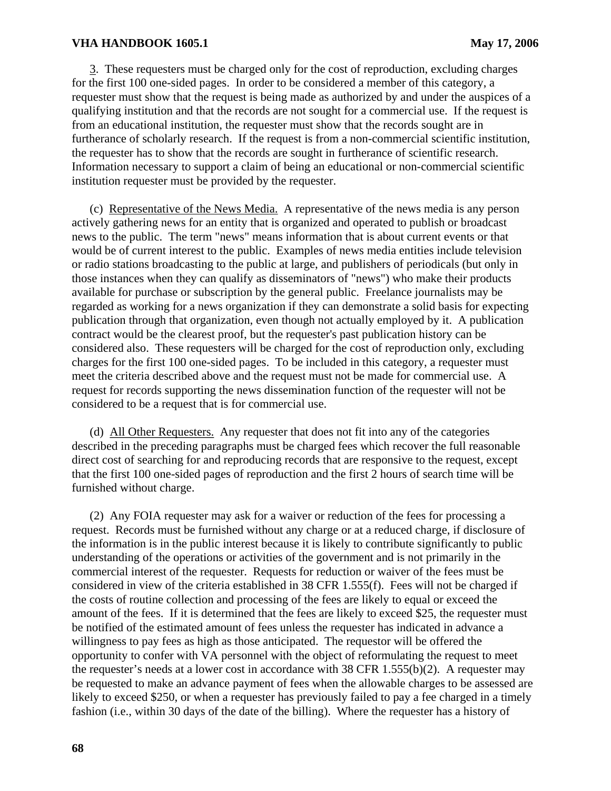3. These requesters must be charged only for the cost of reproduction, excluding charges for the first 100 one-sided pages. In order to be considered a member of this category, a requester must show that the request is being made as authorized by and under the auspices of a qualifying institution and that the records are not sought for a commercial use. If the request is from an educational institution, the requester must show that the records sought are in furtherance of scholarly research. If the request is from a non-commercial scientific institution, the requester has to show that the records are sought in furtherance of scientific research. Information necessary to support a claim of being an educational or non-commercial scientific institution requester must be provided by the requester.

(c) Representative of the News Media. A representative of the news media is any person actively gathering news for an entity that is organized and operated to publish or broadcast news to the public. The term "news" means information that is about current events or that would be of current interest to the public. Examples of news media entities include television or radio stations broadcasting to the public at large, and publishers of periodicals (but only in those instances when they can qualify as disseminators of "news") who make their products available for purchase or subscription by the general public. Freelance journalists may be regarded as working for a news organization if they can demonstrate a solid basis for expecting publication through that organization, even though not actually employed by it. A publication contract would be the clearest proof, but the requester's past publication history can be considered also. These requesters will be charged for the cost of reproduction only, excluding charges for the first 100 one-sided pages. To be included in this category, a requester must meet the criteria described above and the request must not be made for commercial use. A request for records supporting the news dissemination function of the requester will not be considered to be a request that is for commercial use.

(d) All Other Requesters. Any requester that does not fit into any of the categories described in the preceding paragraphs must be charged fees which recover the full reasonable direct cost of searching for and reproducing records that are responsive to the request, except that the first 100 one-sided pages of reproduction and the first 2 hours of search time will be furnished without charge.

(2) Any FOIA requester may ask for a waiver or reduction of the fees for processing a request. Records must be furnished without any charge or at a reduced charge, if disclosure of the information is in the public interest because it is likely to contribute significantly to public understanding of the operations or activities of the government and is not primarily in the commercial interest of the requester. Requests for reduction or waiver of the fees must be considered in view of the criteria established in 38 CFR 1.555(f). Fees will not be charged if the costs of routine collection and processing of the fees are likely to equal or exceed the amount of the fees. If it is determined that the fees are likely to exceed \$25, the requester must be notified of the estimated amount of fees unless the requester has indicated in advance a willingness to pay fees as high as those anticipated. The requestor will be offered the opportunity to confer with VA personnel with the object of reformulating the request to meet the requester's needs at a lower cost in accordance with 38 CFR 1.555(b)(2). A requester may be requested to make an advance payment of fees when the allowable charges to be assessed are likely to exceed \$250, or when a requester has previously failed to pay a fee charged in a timely fashion (i.e., within 30 days of the date of the billing). Where the requester has a history of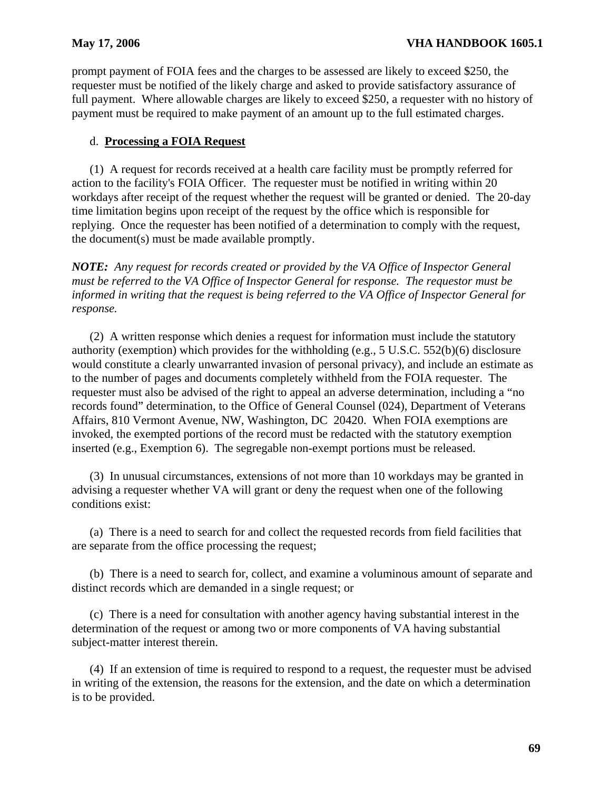prompt payment of FOIA fees and the charges to be assessed are likely to exceed \$250, the requester must be notified of the likely charge and asked to provide satisfactory assurance of full payment. Where allowable charges are likely to exceed \$250, a requester with no history of payment must be required to make payment of an amount up to the full estimated charges.

# d. **Processing a FOIA Request**

(1) A request for records received at a health care facility must be promptly referred for action to the facility's FOIA Officer. The requester must be notified in writing within 20 workdays after receipt of the request whether the request will be granted or denied. The 20-day time limitation begins upon receipt of the request by the office which is responsible for replying. Once the requester has been notified of a determination to comply with the request, the document(s) must be made available promptly.

*NOTE: Any request for records created or provided by the VA Office of Inspector General must be referred to the VA Office of Inspector General for response. The requestor must be informed in writing that the request is being referred to the VA Office of Inspector General for response.* 

(2) A written response which denies a request for information must include the statutory authority (exemption) which provides for the withholding (e.g., 5 U.S.C. 552(b)(6) disclosure would constitute a clearly unwarranted invasion of personal privacy), and include an estimate as to the number of pages and documents completely withheld from the FOIA requester. The requester must also be advised of the right to appeal an adverse determination, including a "no records found" determination, to the Office of General Counsel (024), Department of Veterans Affairs, 810 Vermont Avenue, NW, Washington, DC 20420. When FOIA exemptions are invoked, the exempted portions of the record must be redacted with the statutory exemption inserted (e.g., Exemption 6). The segregable non-exempt portions must be released.

(3) In unusual circumstances, extensions of not more than 10 workdays may be granted in advising a requester whether VA will grant or deny the request when one of the following conditions exist:

(a) There is a need to search for and collect the requested records from field facilities that are separate from the office processing the request;

(b) There is a need to search for, collect, and examine a voluminous amount of separate and distinct records which are demanded in a single request; or

(c) There is a need for consultation with another agency having substantial interest in the determination of the request or among two or more components of VA having substantial subject-matter interest therein.

(4) If an extension of time is required to respond to a request, the requester must be advised in writing of the extension, the reasons for the extension, and the date on which a determination is to be provided.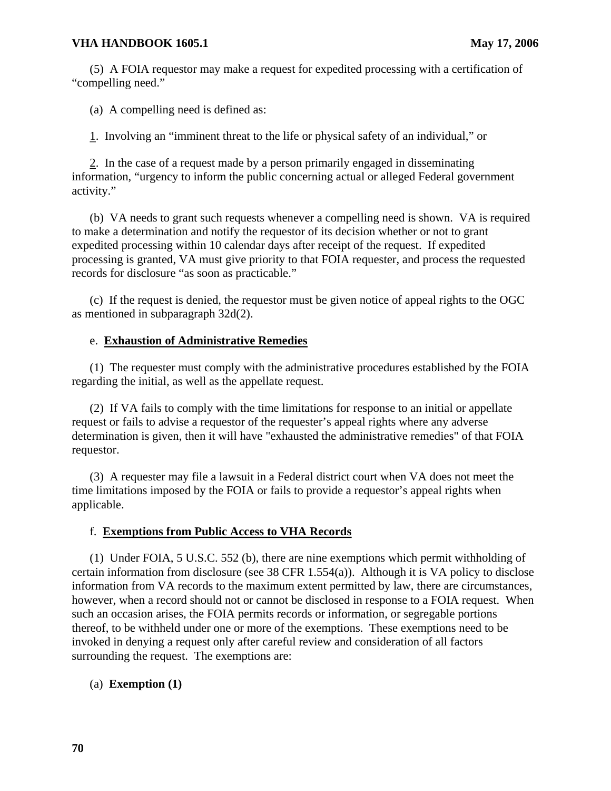(5) A FOIA requestor may make a request for expedited processing with a certification of "compelling need."

(a) A compelling need is defined as:

1. Involving an "imminent threat to the life or physical safety of an individual," or

2. In the case of a request made by a person primarily engaged in disseminating information, "urgency to inform the public concerning actual or alleged Federal government activity."

(b) VA needs to grant such requests whenever a compelling need is shown. VA is required to make a determination and notify the requestor of its decision whether or not to grant expedited processing within 10 calendar days after receipt of the request. If expedited processing is granted, VA must give priority to that FOIA requester, and process the requested records for disclosure "as soon as practicable."

(c) If the request is denied, the requestor must be given notice of appeal rights to the OGC as mentioned in subparagraph 32d(2).

## e. **Exhaustion of Administrative Remedies**

(1) The requester must comply with the administrative procedures established by the FOIA regarding the initial, as well as the appellate request.

(2) If VA fails to comply with the time limitations for response to an initial or appellate request or fails to advise a requestor of the requester's appeal rights where any adverse determination is given, then it will have "exhausted the administrative remedies" of that FOIA requestor.

(3) A requester may file a lawsuit in a Federal district court when VA does not meet the time limitations imposed by the FOIA or fails to provide a requestor's appeal rights when applicable.

#### f. **Exemptions from Public Access to VHA Records**

(1) Under FOIA, 5 U.S.C. 552 (b), there are nine exemptions which permit withholding of certain information from disclosure (see 38 CFR 1.554(a)). Although it is VA policy to disclose information from VA records to the maximum extent permitted by law, there are circumstances, however, when a record should not or cannot be disclosed in response to a FOIA request. When such an occasion arises, the FOIA permits records or information, or segregable portions thereof, to be withheld under one or more of the exemptions. These exemptions need to be invoked in denying a request only after careful review and consideration of all factors surrounding the request. The exemptions are:

## (a) **Exemption (1)**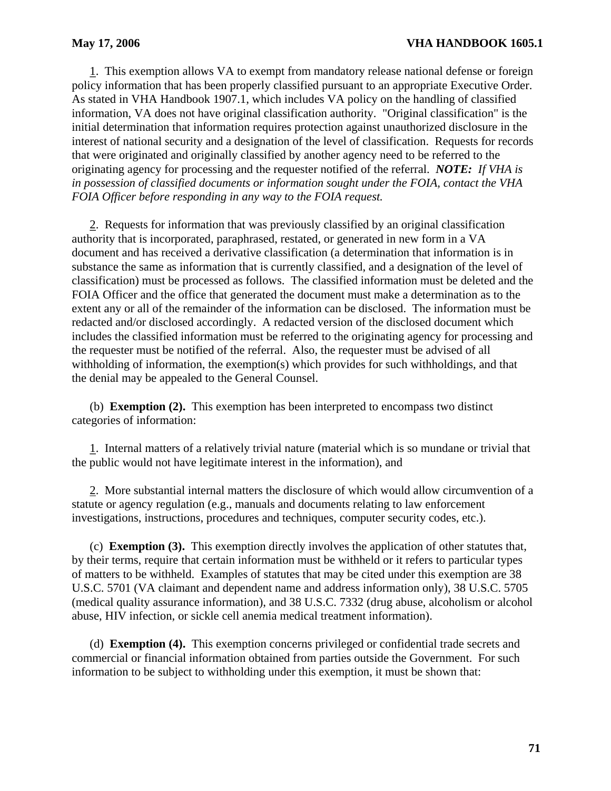1. This exemption allows VA to exempt from mandatory release national defense or foreign policy information that has been properly classified pursuant to an appropriate Executive Order. As stated in VHA Handbook 1907.1, which includes VA policy on the handling of classified information, VA does not have original classification authority. "Original classification" is the initial determination that information requires protection against unauthorized disclosure in the interest of national security and a designation of the level of classification. Requests for records that were originated and originally classified by another agency need to be referred to the originating agency for processing and the requester notified of the referral. *NOTE: If VHA is in possession of classified documents or information sought under the FOIA, contact the VHA FOIA Officer before responding in any way to the FOIA request.* 

2. Requests for information that was previously classified by an original classification authority that is incorporated, paraphrased, restated, or generated in new form in a VA document and has received a derivative classification (a determination that information is in substance the same as information that is currently classified, and a designation of the level of classification) must be processed as follows. The classified information must be deleted and the FOIA Officer and the office that generated the document must make a determination as to the extent any or all of the remainder of the information can be disclosed. The information must be redacted and/or disclosed accordingly. A redacted version of the disclosed document which includes the classified information must be referred to the originating agency for processing and the requester must be notified of the referral. Also, the requester must be advised of all withholding of information, the exemption(s) which provides for such withholdings, and that the denial may be appealed to the General Counsel.

(b) **Exemption (2).** This exemption has been interpreted to encompass two distinct categories of information:

1. Internal matters of a relatively trivial nature (material which is so mundane or trivial that the public would not have legitimate interest in the information), and

2. More substantial internal matters the disclosure of which would allow circumvention of a statute or agency regulation (e.g., manuals and documents relating to law enforcement investigations, instructions, procedures and techniques, computer security codes, etc.).

(c) **Exemption (3).** This exemption directly involves the application of other statutes that, by their terms, require that certain information must be withheld or it refers to particular types of matters to be withheld. Examples of statutes that may be cited under this exemption are 38 U.S.C. 5701 (VA claimant and dependent name and address information only), 38 U.S.C. 5705 (medical quality assurance information), and 38 U.S.C. 7332 (drug abuse, alcoholism or alcohol abuse, HIV infection, or sickle cell anemia medical treatment information).

(d) **Exemption (4).** This exemption concerns privileged or confidential trade secrets and commercial or financial information obtained from parties outside the Government. For such information to be subject to withholding under this exemption, it must be shown that: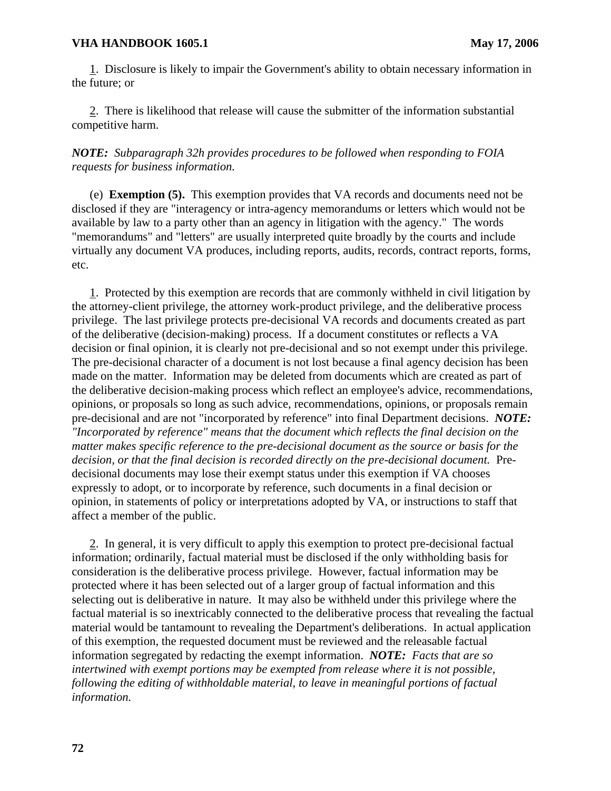1. Disclosure is likely to impair the Government's ability to obtain necessary information in the future; or

2. There is likelihood that release will cause the submitter of the information substantial competitive harm.

*NOTE: Subparagraph 32h provides procedures to be followed when responding to FOIA requests for business information.* 

(e) **Exemption (5).** This exemption provides that VA records and documents need not be disclosed if they are "interagency or intra-agency memorandums or letters which would not be available by law to a party other than an agency in litigation with the agency." The words "memorandums" and "letters" are usually interpreted quite broadly by the courts and include virtually any document VA produces, including reports, audits, records, contract reports, forms, etc.

1. Protected by this exemption are records that are commonly withheld in civil litigation by the attorney-client privilege, the attorney work-product privilege, and the deliberative process privilege. The last privilege protects pre-decisional VA records and documents created as part of the deliberative (decision-making) process. If a document constitutes or reflects a VA decision or final opinion, it is clearly not pre-decisional and so not exempt under this privilege. The pre-decisional character of a document is not lost because a final agency decision has been made on the matter. Information may be deleted from documents which are created as part of the deliberative decision-making process which reflect an employee's advice, recommendations, opinions, or proposals so long as such advice, recommendations, opinions, or proposals remain pre-decisional and are not "incorporated by reference" into final Department decisions. *NOTE: "Incorporated by reference" means that the document which reflects the final decision on the matter makes specific reference to the pre-decisional document as the source or basis for the decision, or that the final decision is recorded directly on the pre-decisional document.* Predecisional documents may lose their exempt status under this exemption if VA chooses expressly to adopt, or to incorporate by reference, such documents in a final decision or opinion, in statements of policy or interpretations adopted by VA, or instructions to staff that affect a member of the public.

2. In general, it is very difficult to apply this exemption to protect pre-decisional factual information; ordinarily, factual material must be disclosed if the only withholding basis for consideration is the deliberative process privilege. However, factual information may be protected where it has been selected out of a larger group of factual information and this selecting out is deliberative in nature. It may also be withheld under this privilege where the factual material is so inextricably connected to the deliberative process that revealing the factual material would be tantamount to revealing the Department's deliberations. In actual application of this exemption, the requested document must be reviewed and the releasable factual information segregated by redacting the exempt information. *NOTE: Facts that are so intertwined with exempt portions may be exempted from release where it is not possible, following the editing of withholdable material, to leave in meaningful portions of factual information.*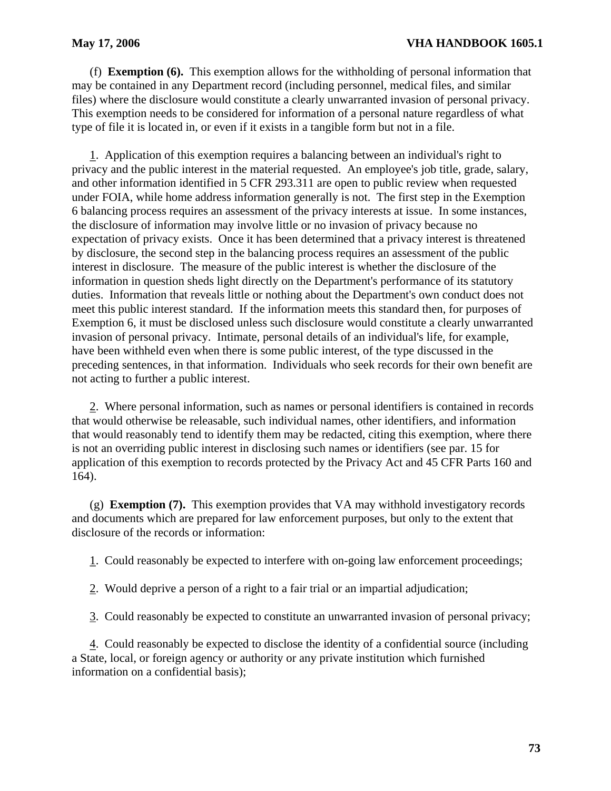(f) **Exemption (6).** This exemption allows for the withholding of personal information that may be contained in any Department record (including personnel, medical files, and similar files) where the disclosure would constitute a clearly unwarranted invasion of personal privacy. This exemption needs to be considered for information of a personal nature regardless of what type of file it is located in, or even if it exists in a tangible form but not in a file.

1. Application of this exemption requires a balancing between an individual's right to privacy and the public interest in the material requested. An employee's job title, grade, salary, and other information identified in 5 CFR 293.311 are open to public review when requested under FOIA, while home address information generally is not. The first step in the Exemption 6 balancing process requires an assessment of the privacy interests at issue. In some instances, the disclosure of information may involve little or no invasion of privacy because no expectation of privacy exists. Once it has been determined that a privacy interest is threatened by disclosure, the second step in the balancing process requires an assessment of the public interest in disclosure. The measure of the public interest is whether the disclosure of the information in question sheds light directly on the Department's performance of its statutory duties. Information that reveals little or nothing about the Department's own conduct does not meet this public interest standard. If the information meets this standard then, for purposes of Exemption 6, it must be disclosed unless such disclosure would constitute a clearly unwarranted invasion of personal privacy. Intimate, personal details of an individual's life, for example, have been withheld even when there is some public interest, of the type discussed in the preceding sentences, in that information. Individuals who seek records for their own benefit are not acting to further a public interest.

2. Where personal information, such as names or personal identifiers is contained in records that would otherwise be releasable, such individual names, other identifiers, and information that would reasonably tend to identify them may be redacted, citing this exemption, where there is not an overriding public interest in disclosing such names or identifiers (see par. 15 for application of this exemption to records protected by the Privacy Act and 45 CFR Parts 160 and 164).

(g) **Exemption (7).** This exemption provides that VA may withhold investigatory records and documents which are prepared for law enforcement purposes, but only to the extent that disclosure of the records or information:

1. Could reasonably be expected to interfere with on-going law enforcement proceedings;

- 2. Would deprive a person of a right to a fair trial or an impartial adjudication;
- 3. Could reasonably be expected to constitute an unwarranted invasion of personal privacy;

4. Could reasonably be expected to disclose the identity of a confidential source (including a State, local, or foreign agency or authority or any private institution which furnished information on a confidential basis);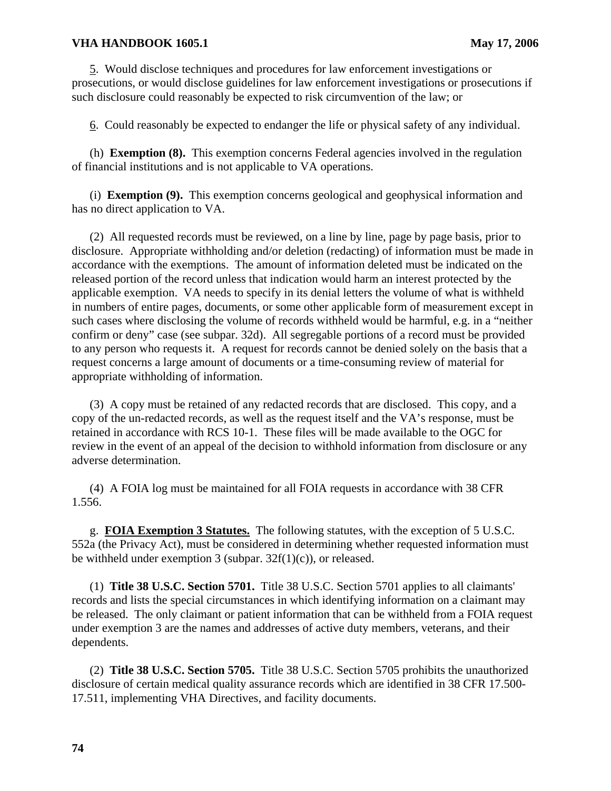5. Would disclose techniques and procedures for law enforcement investigations or prosecutions, or would disclose guidelines for law enforcement investigations or prosecutions if such disclosure could reasonably be expected to risk circumvention of the law; or

6. Could reasonably be expected to endanger the life or physical safety of any individual.

(h) **Exemption (8).** This exemption concerns Federal agencies involved in the regulation of financial institutions and is not applicable to VA operations.

(i) **Exemption (9).** This exemption concerns geological and geophysical information and has no direct application to VA.

(2) All requested records must be reviewed, on a line by line, page by page basis, prior to disclosure. Appropriate withholding and/or deletion (redacting) of information must be made in accordance with the exemptions. The amount of information deleted must be indicated on the released portion of the record unless that indication would harm an interest protected by the applicable exemption. VA needs to specify in its denial letters the volume of what is withheld in numbers of entire pages, documents, or some other applicable form of measurement except in such cases where disclosing the volume of records withheld would be harmful, e.g. in a "neither confirm or deny" case (see subpar. 32d). All segregable portions of a record must be provided to any person who requests it. A request for records cannot be denied solely on the basis that a request concerns a large amount of documents or a time-consuming review of material for appropriate withholding of information.

(3) A copy must be retained of any redacted records that are disclosed. This copy, and a copy of the un-redacted records, as well as the request itself and the VA's response, must be retained in accordance with RCS 10-1. These files will be made available to the OGC for review in the event of an appeal of the decision to withhold information from disclosure or any adverse determination.

(4) A FOIA log must be maintained for all FOIA requests in accordance with 38 CFR 1.556.

g. **FOIA Exemption 3 Statutes.** The following statutes, with the exception of 5 U.S.C. 552a (the Privacy Act), must be considered in determining whether requested information must be withheld under exemption 3 (subpar.  $32f(1)(c)$ ), or released.

(1) **Title 38 U.S.C. Section 5701.** Title 38 U.S.C. Section 5701 applies to all claimants' records and lists the special circumstances in which identifying information on a claimant may be released. The only claimant or patient information that can be withheld from a FOIA request under exemption 3 are the names and addresses of active duty members, veterans, and their dependents.

(2) **Title 38 U.S.C. Section 5705.** Title 38 U.S.C. Section 5705 prohibits the unauthorized disclosure of certain medical quality assurance records which are identified in 38 CFR 17.500- 17.511, implementing VHA Directives, and facility documents.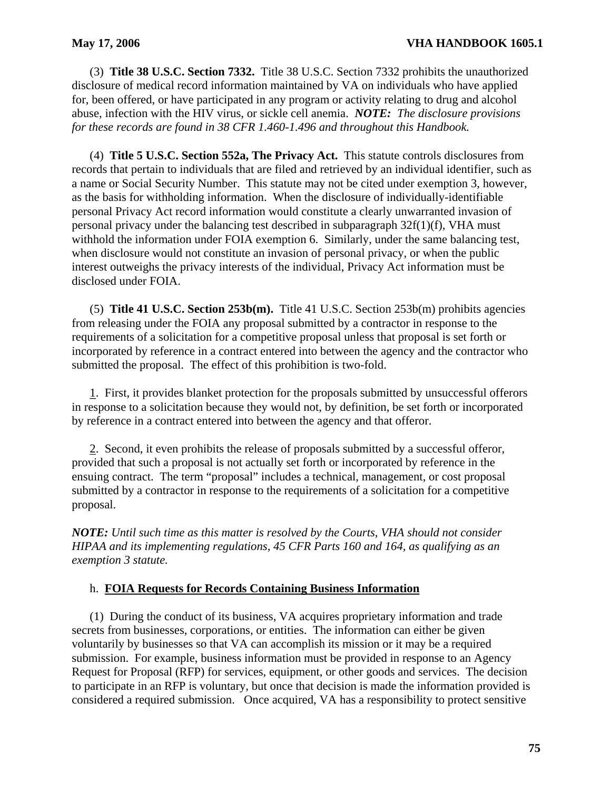(3) **Title 38 U.S.C. Section 7332.** Title 38 U.S.C. Section 7332 prohibits the unauthorized disclosure of medical record information maintained by VA on individuals who have applied for, been offered, or have participated in any program or activity relating to drug and alcohol abuse, infection with the HIV virus, or sickle cell anemia. *NOTE: The disclosure provisions for these records are found in 38 CFR 1.460-1.496 and throughout this Handbook.* 

(4) **Title 5 U.S.C. Section 552a, The Privacy Act.** This statute controls disclosures from records that pertain to individuals that are filed and retrieved by an individual identifier, such as a name or Social Security Number. This statute may not be cited under exemption 3, however, as the basis for withholding information. When the disclosure of individually-identifiable personal Privacy Act record information would constitute a clearly unwarranted invasion of personal privacy under the balancing test described in subparagraph 32f(1)(f), VHA must withhold the information under FOIA exemption 6. Similarly, under the same balancing test, when disclosure would not constitute an invasion of personal privacy, or when the public interest outweighs the privacy interests of the individual, Privacy Act information must be disclosed under FOIA.

(5) **Title 41 U.S.C. Section 253b(m).** Title 41 U.S.C. Section 253b(m) prohibits agencies from releasing under the FOIA any proposal submitted by a contractor in response to the requirements of a solicitation for a competitive proposal unless that proposal is set forth or incorporated by reference in a contract entered into between the agency and the contractor who submitted the proposal. The effect of this prohibition is two-fold.

in response to a solicitation because they would not, by definition, be set forth or incorporated by reference in a contract entered into between the agency and that offeror. 1. First, it provides blanket protection for the proposals submitted by unsuccessful offerors

provided that such a proposal is not actually set forth or incorporated by reference in the proposal. 2. Second, it even prohibits the release of proposals submitted by a successful offeror, ensuing contract. The term "proposal" includes a technical, management, or cost proposal submitted by a contractor in response to the requirements of a solicitation for a competitive

*NOTE: Until such time as this matter is resolved by the Courts, VHA should not consider HIPAA and its implementing regulations, 45 CFR Parts 160 and 164, as qualifying as an exemption 3 statute.* 

## h. **FOIA Requests for Records Containing Business Information**

(1) During the conduct of its business, VA acquires proprietary information and trade secrets from businesses, corporations, or entities. The information can either be given voluntarily by businesses so that VA can accomplish its mission or it may be a required submission. For example, business information must be provided in response to an Agency Request for Proposal (RFP) for services, equipment, or other goods and services. The decision to participate in an RFP is voluntary, but once that decision is made the information provided is considered a required submission. Once acquired, VA has a responsibility to protect sensitive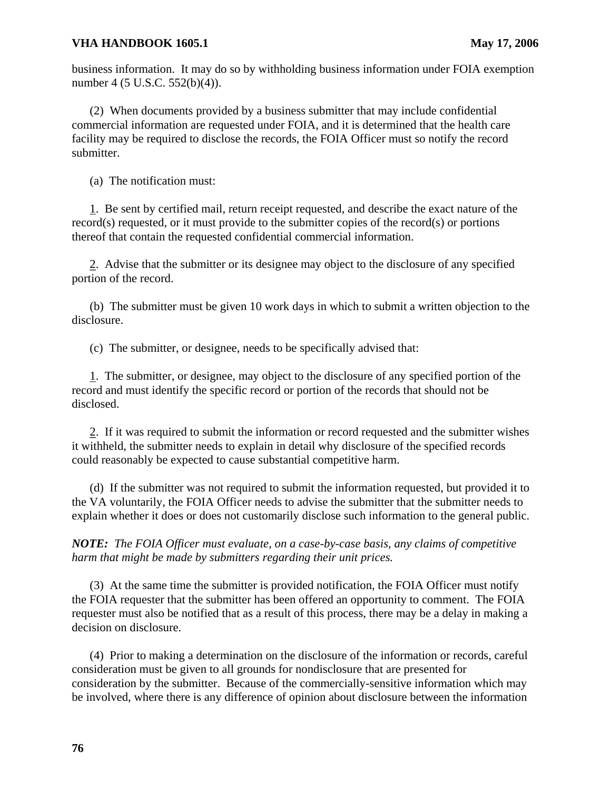business information. It may do so by withholding business information under FOIA exemption number 4 (5 U.S.C. 552(b)(4)).

(2) When documents provided by a business submitter that may include confidential commercial information are requested under FOIA, and it is determined that the health care facility may be required to disclose the records, the FOIA Officer must so notify the record submitter.

(a) The notification must:

1. Be sent by certified mail, return receipt requested, and describe the exact nature of the record(s) requested, or it must provide to the submitter copies of the record(s) or portions thereof that contain the requested confidential commercial information.

2. Advise that the submitter or its designee may object to the disclosure of any specified portion of the record.

(b) The submitter must be given 10 work days in which to submit a written objection to the disclosure.

(c) The submitter, or designee, needs to be specifically advised that:

1. The submitter, or designee, may object to the disclosure of any specified portion of the record and must identify the specific record or portion of the records that should not be disclosed.

2. If it was required to submit the information or record requested and the submitter wishes it withheld, the submitter needs to explain in detail why disclosure of the specified records could reasonably be expected to cause substantial competitive harm.

(d) If the submitter was not required to submit the information requested, but provided it to the VA voluntarily, the FOIA Officer needs to advise the submitter that the submitter needs to explain whether it does or does not customarily disclose such information to the general public.

*NOTE: The FOIA Officer must evaluate, on a case-by-case basis, any claims of competitive harm that might be made by submitters regarding their unit prices.* 

(3) At the same time the submitter is provided notification, the FOIA Officer must notify the FOIA requester that the submitter has been offered an opportunity to comment. The FOIA requester must also be notified that as a result of this process, there may be a delay in making a decision on disclosure.

(4) Prior to making a determination on the disclosure of the information or records, careful consideration must be given to all grounds for nondisclosure that are presented for consideration by the submitter. Because of the commercially-sensitive information which may be involved, where there is any difference of opinion about disclosure between the information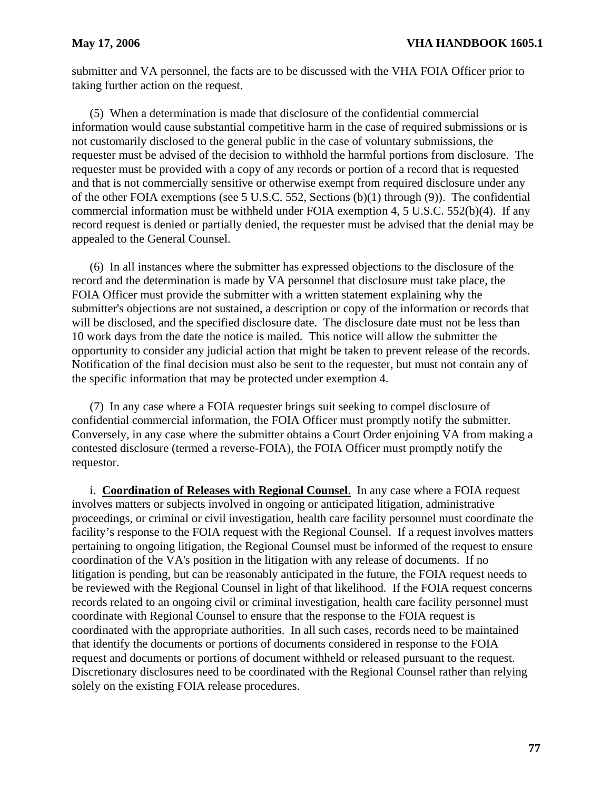submitter and VA personnel, the facts are to be discussed with the VHA FOIA Officer prior to taking further action on the request.

(5) When a determination is made that disclosure of the confidential commercial information would cause substantial competitive harm in the case of required submissions or is not customarily disclosed to the general public in the case of voluntary submissions, the requester must be advised of the decision to withhold the harmful portions from disclosure. The requester must be provided with a copy of any records or portion of a record that is requested and that is not commercially sensitive or otherwise exempt from required disclosure under any of the other FOIA exemptions (see 5 U.S.C. 552, Sections (b)(1) through (9)). The confidential commercial information must be withheld under FOIA exemption 4, 5 U.S.C. 552(b)(4). If any record request is denied or partially denied, the requester must be advised that the denial may be appealed to the General Counsel.

(6) In all instances where the submitter has expressed objections to the disclosure of the record and the determination is made by VA personnel that disclosure must take place, the FOIA Officer must provide the submitter with a written statement explaining why the submitter's objections are not sustained, a description or copy of the information or records that will be disclosed, and the specified disclosure date. The disclosure date must not be less than 10 work days from the date the notice is mailed. This notice will allow the submitter the opportunity to consider any judicial action that might be taken to prevent release of the records. Notification of the final decision must also be sent to the requester, but must not contain any of the specific information that may be protected under exemption 4.

(7) In any case where a FOIA requester brings suit seeking to compel disclosure of confidential commercial information, the FOIA Officer must promptly notify the submitter. Conversely, in any case where the submitter obtains a Court Order enjoining VA from making a contested disclosure (termed a reverse-FOIA), the FOIA Officer must promptly notify the requestor.

i. **Coordination of Releases with Regional Counsel**. In any case where a FOIA request involves matters or subjects involved in ongoing or anticipated litigation, administrative proceedings, or criminal or civil investigation, health care facility personnel must coordinate the facility's response to the FOIA request with the Regional Counsel. If a request involves matters pertaining to ongoing litigation, the Regional Counsel must be informed of the request to ensure coordination of the VA's position in the litigation with any release of documents. If no litigation is pending, but can be reasonably anticipated in the future, the FOIA request needs to be reviewed with the Regional Counsel in light of that likelihood. If the FOIA request concerns records related to an ongoing civil or criminal investigation, health care facility personnel must coordinate with Regional Counsel to ensure that the response to the FOIA request is coordinated with the appropriate authorities. In all such cases, records need to be maintained that identify the documents or portions of documents considered in response to the FOIA request and documents or portions of document withheld or released pursuant to the request. Discretionary disclosures need to be coordinated with the Regional Counsel rather than relying solely on the existing FOIA release procedures.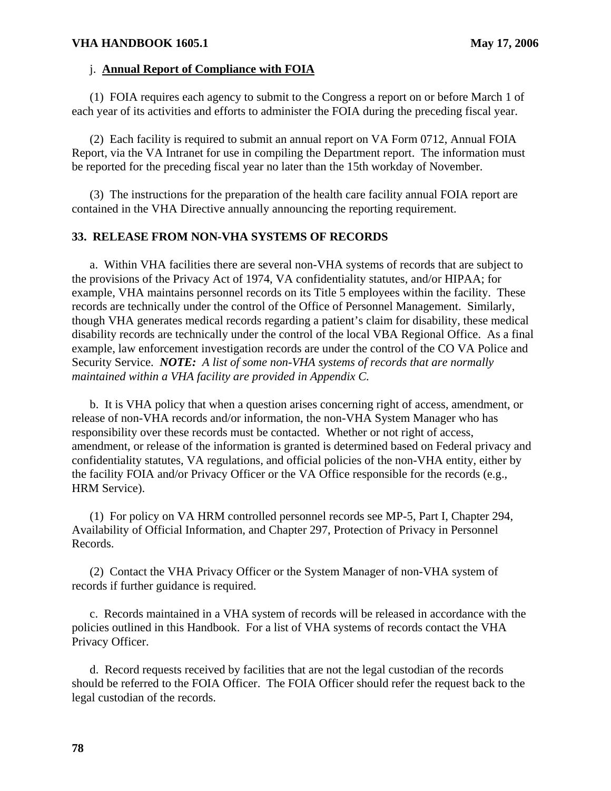#### j. **Annual Report of Compliance with FOIA**

(1) FOIA requires each agency to submit to the Congress a report on or before March 1 of each year of its activities and efforts to administer the FOIA during the preceding fiscal year.

(2) Each facility is required to submit an annual report on VA Form 0712, Annual FOIA Report, via the VA Intranet for use in compiling the Department report. The information must be reported for the preceding fiscal year no later than the 15th workday of November.

(3) The instructions for the preparation of the health care facility annual FOIA report are contained in the VHA Directive annually announcing the reporting requirement.

#### **33. RELEASE FROM NON-VHA SYSTEMS OF RECORDS**

a. Within VHA facilities there are several non-VHA systems of records that are subject to the provisions of the Privacy Act of 1974, VA confidentiality statutes, and/or HIPAA; for example, VHA maintains personnel records on its Title 5 employees within the facility. These records are technically under the control of the Office of Personnel Management. Similarly, though VHA generates medical records regarding a patient's claim for disability, these medical disability records are technically under the control of the local VBA Regional Office. As a final example, law enforcement investigation records are under the control of the CO VA Police and Security Service. *NOTE: A list of some non-VHA systems of records that are normally maintained within a VHA facility are provided in Appendix C.* 

b. It is VHA policy that when a question arises concerning right of access, amendment, or release of non-VHA records and/or information, the non-VHA System Manager who has responsibility over these records must be contacted. Whether or not right of access, amendment, or release of the information is granted is determined based on Federal privacy and confidentiality statutes, VA regulations, and official policies of the non-VHA entity, either by the facility FOIA and/or Privacy Officer or the VA Office responsible for the records (e.g., HRM Service).

(1) For policy on VA HRM controlled personnel records see MP-5, Part I, Chapter 294, Availability of Official Information, and Chapter 297, Protection of Privacy in Personnel Records.

(2) Contact the VHA Privacy Officer or the System Manager of non-VHA system of records if further guidance is required.

c. Records maintained in a VHA system of records will be released in accordance with the policies outlined in this Handbook. For a list of VHA systems of records contact the VHA Privacy Officer.

d. Record requests received by facilities that are not the legal custodian of the records should be referred to the FOIA Officer. The FOIA Officer should refer the request back to the legal custodian of the records.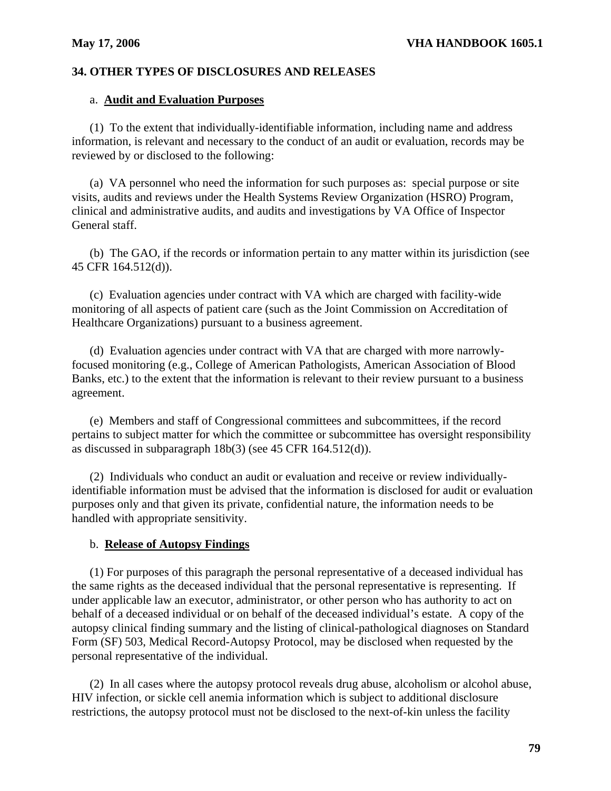# **34. OTHER TYPES OF DISCLOSURES AND RELEASES**

## a. **Audit and Evaluation Purposes**

(1) To the extent that individually-identifiable information, including name and address information, is relevant and necessary to the conduct of an audit or evaluation, records may be reviewed by or disclosed to the following:

(a) VA personnel who need the information for such purposes as: special purpose or site visits, audits and reviews under the Health Systems Review Organization (HSRO) Program, clinical and administrative audits, and audits and investigations by VA Office of Inspector General staff.

(b) The GAO, if the records or information pertain to any matter within its jurisdiction (see 45 CFR 164.512(d)).

(c) Evaluation agencies under contract with VA which are charged with facility-wide monitoring of all aspects of patient care (such as the Joint Commission on Accreditation of Healthcare Organizations) pursuant to a business agreement.

(d) Evaluation agencies under contract with VA that are charged with more narrowlyfocused monitoring (e.g., College of American Pathologists, American Association of Blood Banks, etc.) to the extent that the information is relevant to their review pursuant to a business agreement.

(e) Members and staff of Congressional committees and subcommittees, if the record pertains to subject matter for which the committee or subcommittee has oversight responsibility as discussed in subparagraph 18b(3) (see 45 CFR 164.512(d)).

(2) Individuals who conduct an audit or evaluation and receive or review individuallyidentifiable information must be advised that the information is disclosed for audit or evaluation purposes only and that given its private, confidential nature, the information needs to be handled with appropriate sensitivity.

## b. **Release of Autopsy Findings**

(1) For purposes of this paragraph the personal representative of a deceased individual has the same rights as the deceased individual that the personal representative is representing. If under applicable law an executor, administrator, or other person who has authority to act on behalf of a deceased individual or on behalf of the deceased individual's estate. A copy of the autopsy clinical finding summary and the listing of clinical-pathological diagnoses on Standard Form (SF) 503, Medical Record-Autopsy Protocol, may be disclosed when requested by the personal representative of the individual.

(2) In all cases where the autopsy protocol reveals drug abuse, alcoholism or alcohol abuse, HIV infection, or sickle cell anemia information which is subject to additional disclosure restrictions, the autopsy protocol must not be disclosed to the next-of-kin unless the facility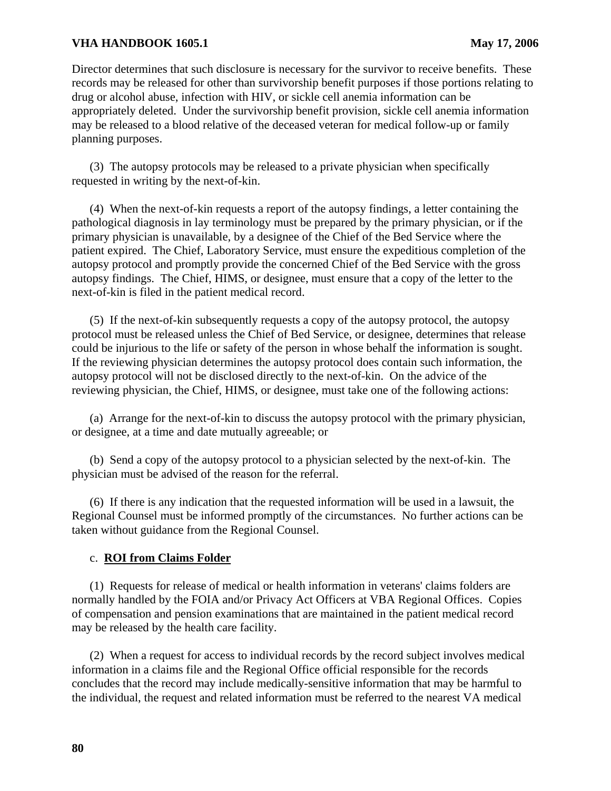Director determines that such disclosure is necessary for the survivor to receive benefits. These records may be released for other than survivorship benefit purposes if those portions relating to drug or alcohol abuse, infection with HIV, or sickle cell anemia information can be appropriately deleted. Under the survivorship benefit provision, sickle cell anemia information may be released to a blood relative of the deceased veteran for medical follow-up or family planning purposes.

(3) The autopsy protocols may be released to a private physician when specifically requested in writing by the next-of-kin.

(4) When the next-of-kin requests a report of the autopsy findings, a letter containing the pathological diagnosis in lay terminology must be prepared by the primary physician, or if the primary physician is unavailable, by a designee of the Chief of the Bed Service where the patient expired. The Chief, Laboratory Service, must ensure the expeditious completion of the autopsy protocol and promptly provide the concerned Chief of the Bed Service with the gross autopsy findings. The Chief, HIMS, or designee, must ensure that a copy of the letter to the next-of-kin is filed in the patient medical record.

(5) If the next-of-kin subsequently requests a copy of the autopsy protocol, the autopsy protocol must be released unless the Chief of Bed Service, or designee, determines that release could be injurious to the life or safety of the person in whose behalf the information is sought. If the reviewing physician determines the autopsy protocol does contain such information, the autopsy protocol will not be disclosed directly to the next-of-kin. On the advice of the reviewing physician, the Chief, HIMS, or designee, must take one of the following actions:

(a) Arrange for the next-of-kin to discuss the autopsy protocol with the primary physician, or designee, at a time and date mutually agreeable; or

(b) Send a copy of the autopsy protocol to a physician selected by the next-of-kin. The physician must be advised of the reason for the referral.

(6) If there is any indication that the requested information will be used in a lawsuit, the Regional Counsel must be informed promptly of the circumstances. No further actions can be taken without guidance from the Regional Counsel.

## c. **ROI from Claims Folder**

(1) Requests for release of medical or health information in veterans' claims folders are normally handled by the FOIA and/or Privacy Act Officers at VBA Regional Offices. Copies of compensation and pension examinations that are maintained in the patient medical record may be released by the health care facility.

(2) When a request for access to individual records by the record subject involves medical information in a claims file and the Regional Office official responsible for the records concludes that the record may include medically-sensitive information that may be harmful to the individual, the request and related information must be referred to the nearest VA medical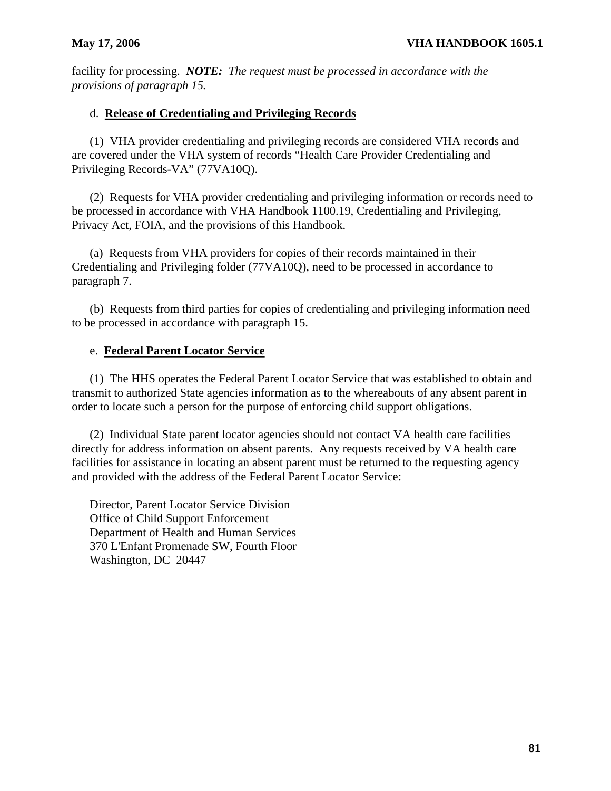facility for processing. *NOTE: The request must be processed in accordance with the provisions of paragraph 15.* 

# d. **Release of Credentialing and Privileging Records**

(1) VHA provider credentialing and privileging records are considered VHA records and are covered under the VHA system of records "Health Care Provider Credentialing and Privileging Records-VA" (77VA10Q).

(2) Requests for VHA provider credentialing and privileging information or records need to be processed in accordance with VHA Handbook 1100.19, Credentialing and Privileging, Privacy Act, FOIA, and the provisions of this Handbook.

(a) Requests from VHA providers for copies of their records maintained in their Credentialing and Privileging folder (77VA10Q), need to be processed in accordance to paragraph 7.

(b) Requests from third parties for copies of credentialing and privileging information need to be processed in accordance with paragraph 15.

# e. **Federal Parent Locator Service**

(1) The HHS operates the Federal Parent Locator Service that was established to obtain and transmit to authorized State agencies information as to the whereabouts of any absent parent in order to locate such a person for the purpose of enforcing child support obligations.

(2) Individual State parent locator agencies should not contact VA health care facilities directly for address information on absent parents. Any requests received by VA health care facilities for assistance in locating an absent parent must be returned to the requesting agency and provided with the address of the Federal Parent Locator Service:

Director, Parent Locator Service Division Office of Child Support Enforcement Department of Health and Human Services 370 L'Enfant Promenade SW, Fourth Floor Washington, DC 20447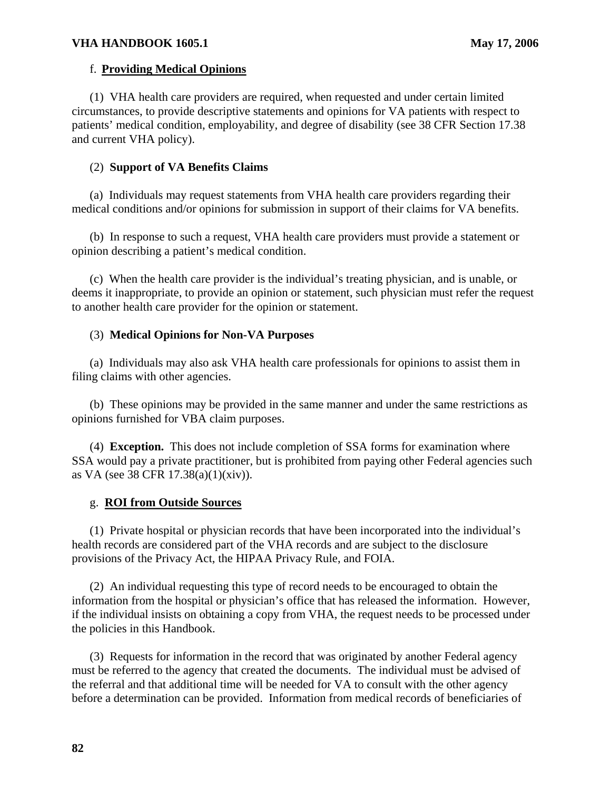## f. **Providing Medical Opinions**

(1) VHA health care providers are required, when requested and under certain limited circumstances, to provide descriptive statements and opinions for VA patients with respect to patients' medical condition, employability, and degree of disability (see 38 CFR Section 17.38 and current VHA policy).

## (2) **Support of VA Benefits Claims**

(a) Individuals may request statements from VHA health care providers regarding their medical conditions and/or opinions for submission in support of their claims for VA benefits.

(b) In response to such a request, VHA health care providers must provide a statement or opinion describing a patient's medical condition.

(c) When the health care provider is the individual's treating physician, and is unable, or deems it inappropriate, to provide an opinion or statement, such physician must refer the request to another health care provider for the opinion or statement.

## (3) **Medical Opinions for Non-VA Purposes**

(a) Individuals may also ask VHA health care professionals for opinions to assist them in filing claims with other agencies.

(b) These opinions may be provided in the same manner and under the same restrictions as opinions furnished for VBA claim purposes.

(4) **Exception.** This does not include completion of SSA forms for examination where SSA would pay a private practitioner, but is prohibited from paying other Federal agencies such as VA (see 38 CFR 17.38(a)(1)(xiv)).

## g. **ROI from Outside Sources**

(1) Private hospital or physician records that have been incorporated into the individual's health records are considered part of the VHA records and are subject to the disclosure provisions of the Privacy Act, the HIPAA Privacy Rule, and FOIA.

(2) An individual requesting this type of record needs to be encouraged to obtain the information from the hospital or physician's office that has released the information. However, if the individual insists on obtaining a copy from VHA, the request needs to be processed under the policies in this Handbook.

(3) Requests for information in the record that was originated by another Federal agency must be referred to the agency that created the documents. The individual must be advised of the referral and that additional time will be needed for VA to consult with the other agency before a determination can be provided. Information from medical records of beneficiaries of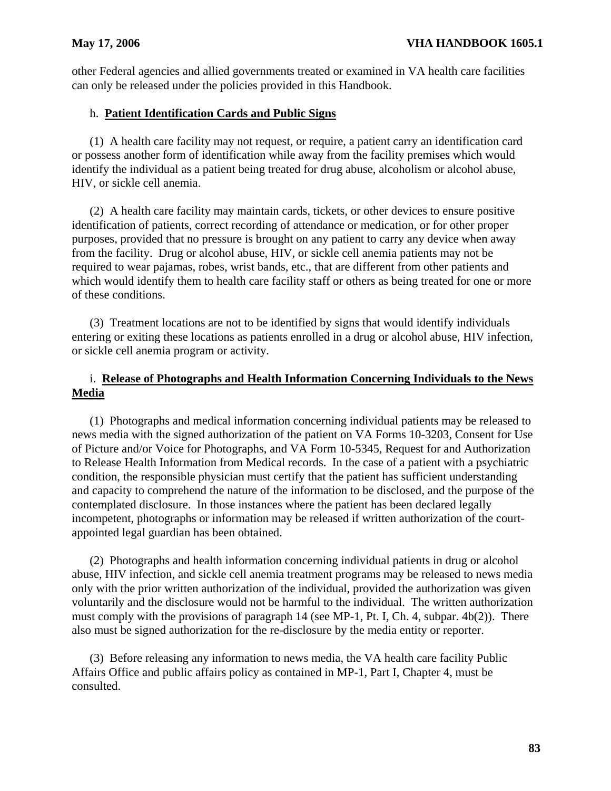other Federal agencies and allied governments treated or examined in VA health care facilities can only be released under the policies provided in this Handbook.

# h. **Patient Identification Cards and Public Signs**

(1) A health care facility may not request, or require, a patient carry an identification card or possess another form of identification while away from the facility premises which would identify the individual as a patient being treated for drug abuse, alcoholism or alcohol abuse, HIV, or sickle cell anemia.

(2) A health care facility may maintain cards, tickets, or other devices to ensure positive identification of patients, correct recording of attendance or medication, or for other proper purposes, provided that no pressure is brought on any patient to carry any device when away from the facility. Drug or alcohol abuse, HIV, or sickle cell anemia patients may not be required to wear pajamas, robes, wrist bands, etc., that are different from other patients and which would identify them to health care facility staff or others as being treated for one or more of these conditions.

(3) Treatment locations are not to be identified by signs that would identify individuals entering or exiting these locations as patients enrolled in a drug or alcohol abuse, HIV infection, or sickle cell anemia program or activity.

# i. **Release of Photographs and Health Information Concerning Individuals to the News Media**

(1) Photographs and medical information concerning individual patients may be released to news media with the signed authorization of the patient on VA Forms 10-3203, Consent for Use of Picture and/or Voice for Photographs, and VA Form 10-5345, Request for and Authorization to Release Health Information from Medical records. In the case of a patient with a psychiatric condition, the responsible physician must certify that the patient has sufficient understanding and capacity to comprehend the nature of the information to be disclosed, and the purpose of the contemplated disclosure. In those instances where the patient has been declared legally incompetent, photographs or information may be released if written authorization of the courtappointed legal guardian has been obtained.

(2) Photographs and health information concerning individual patients in drug or alcohol abuse, HIV infection, and sickle cell anemia treatment programs may be released to news media only with the prior written authorization of the individual, provided the authorization was given voluntarily and the disclosure would not be harmful to the individual. The written authorization must comply with the provisions of paragraph 14 (see MP-1, Pt. I, Ch. 4, subpar. 4b(2)). There also must be signed authorization for the re-disclosure by the media entity or reporter.

(3) Before releasing any information to news media, the VA health care facility Public Affairs Office and public affairs policy as contained in MP-1, Part I, Chapter 4, must be consulted.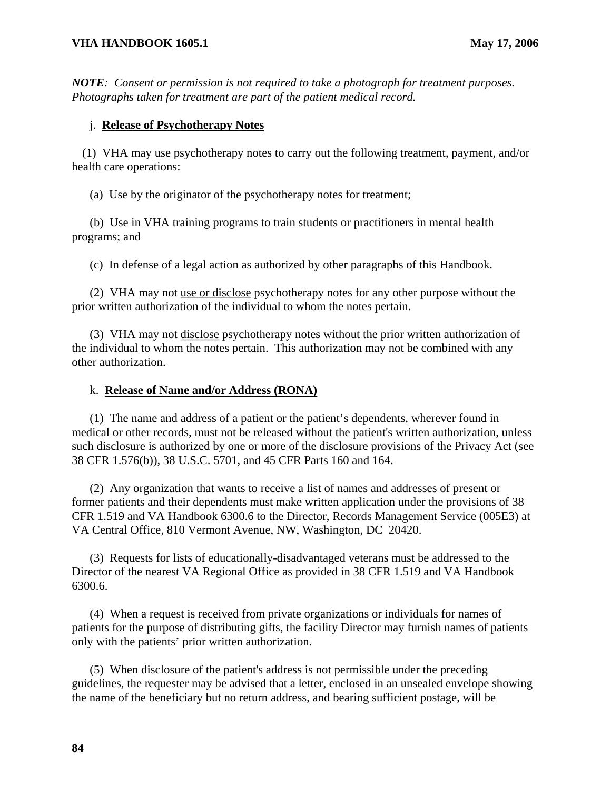*NOTE: Consent or permission is not required to take a photograph for treatment purposes. Photographs taken for treatment are part of the patient medical record.* 

## j. **Release of Psychotherapy Notes**

 (1) VHA may use psychotherapy notes to carry out the following treatment, payment, and/or health care operations:

(a) Use by the originator of the psychotherapy notes for treatment;

(b) Use in VHA training programs to train students or practitioners in mental health programs; and

(c) In defense of a legal action as authorized by other paragraphs of this Handbook.

(2) VHA may not use or disclose psychotherapy notes for any other purpose without the prior written authorization of the individual to whom the notes pertain.

other authorization. (3) VHA may not disclose psychotherapy notes without the prior written authorization of the individual to whom the notes pertain. This authorization may not be combined with any

#### k. **Release of Name and/or Address (RONA)**

(1) The name and address of a patient or the patient's dependents, wherever found in medical or other records, must not be released without the patient's written authorization, unless such disclosure is authorized by one or more of the disclosure provisions of the Privacy Act (see 38 CFR 1.576(b)), 38 U.S.C. 5701, and 45 CFR Parts 160 and 164.

(2) Any organization that wants to receive a list of names and addresses of present or former patients and their dependents must make written application under the provisions of 38 CFR 1.519 and VA Handbook 6300.6 to the Director, Records Management Service (005E3) at VA Central Office, 810 Vermont Avenue, NW, Washington, DC 20420.

(3) Requests for lists of educationally-disadvantaged veterans must be addressed to the Director of the nearest VA Regional Office as provided in 38 CFR 1.519 and VA Handbook 6300.6.

(4) When a request is received from private organizations or individuals for names of patients for the purpose of distributing gifts, the facility Director may furnish names of patients only with the patients' prior written authorization.

(5) When disclosure of the patient's address is not permissible under the preceding guidelines, the requester may be advised that a letter, enclosed in an unsealed envelope showing the name of the beneficiary but no return address, and bearing sufficient postage, will be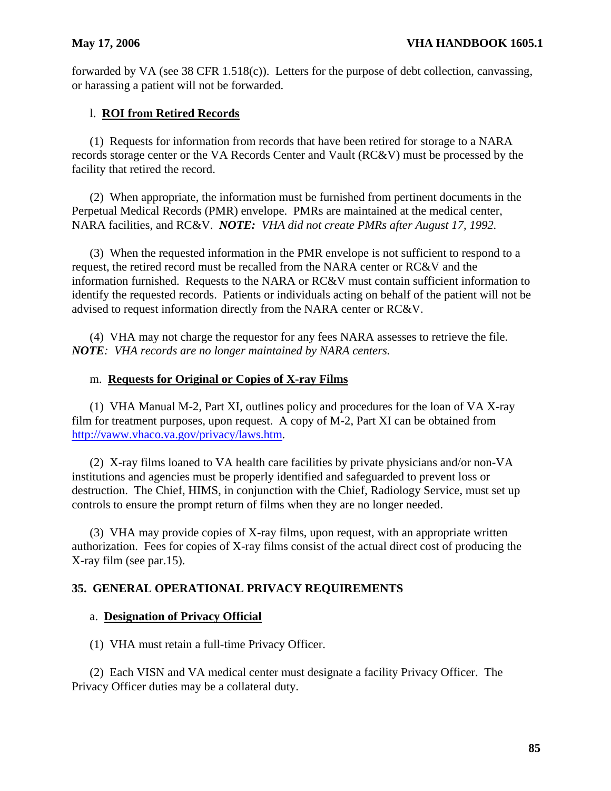forwarded by VA (see 38 CFR 1.518(c)). Letters for the purpose of debt collection, canvassing, or harassing a patient will not be forwarded.

# l. **ROI from Retired Records**

(1) Requests for information from records that have been retired for storage to a NARA records storage center or the VA Records Center and Vault (RC&V) must be processed by the facility that retired the record.

(2) When appropriate, the information must be furnished from pertinent documents in the Perpetual Medical Records (PMR) envelope. PMRs are maintained at the medical center, NARA facilities, and RC&V. *NOTE: VHA did not create PMRs after August 17, 1992.* 

(3) When the requested information in the PMR envelope is not sufficient to respond to a request, the retired record must be recalled from the NARA center or RC&V and the information furnished. Requests to the NARA or RC&V must contain sufficient information to identify the requested records. Patients or individuals acting on behalf of the patient will not be advised to request information directly from the NARA center or RC&V.

(4) VHA may not charge the requestor for any fees NARA assesses to retrieve the file. *NOTE: VHA records are no longer maintained by NARA centers.* 

# m. **Requests for Original or Copies of X-ray Films**

(1) VHA Manual M-2, Part XI, outlines policy and procedures for the loan of VA X-ray film for treatment purposes, upon request. A copy of M-2, Part XI can be obtained from [http://vaww.vhaco.va.gov/privacy/laws.htm.](http://vaww.vhaco.va.gov/privacy/laws.htm) 

(2) X-ray films loaned to VA health care facilities by private physicians and/or non-VA institutions and agencies must be properly identified and safeguarded to prevent loss or destruction. The Chief, HIMS, in conjunction with the Chief, Radiology Service, must set up controls to ensure the prompt return of films when they are no longer needed.

(3) VHA may provide copies of X-ray films, upon request, with an appropriate written authorization. Fees for copies of X-ray films consist of the actual direct cost of producing the X-ray film (see par.15).

# **35. GENERAL OPERATIONAL PRIVACY REQUIREMENTS**

# a. **Designation of Privacy Official**

(1) VHA must retain a full-time Privacy Officer.

(2) Each VISN and VA medical center must designate a facility Privacy Officer. The Privacy Officer duties may be a collateral duty.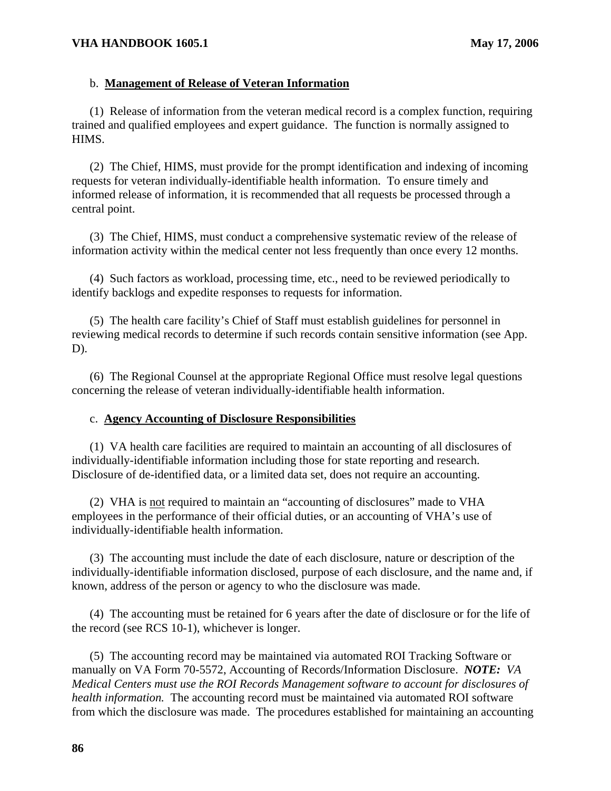## b. **Management of Release of Veteran Information**

(1) Release of information from the veteran medical record is a complex function, requiring trained and qualified employees and expert guidance. The function is normally assigned to HIMS.

(2) The Chief, HIMS, must provide for the prompt identification and indexing of incoming requests for veteran individually-identifiable health information. To ensure timely and informed release of information, it is recommended that all requests be processed through a central point.

(3) The Chief, HIMS, must conduct a comprehensive systematic review of the release of information activity within the medical center not less frequently than once every 12 months.

(4) Such factors as workload, processing time, etc., need to be reviewed periodically to identify backlogs and expedite responses to requests for information.

(5) The health care facility's Chief of Staff must establish guidelines for personnel in reviewing medical records to determine if such records contain sensitive information (see App. D).

(6) The Regional Counsel at the appropriate Regional Office must resolve legal questions concerning the release of veteran individually-identifiable health information.

#### c. **Agency Accounting of Disclosure Responsibilities**

(1) VA health care facilities are required to maintain an accounting of all disclosures of individually-identifiable information including those for state reporting and research. Disclosure of de-identified data, or a limited data set, does not require an accounting.

(2) VHA is not required to maintain an "accounting of disclosures" made to VHA employees in the performance of their official duties, or an accounting of VHA's use of individually-identifiable health information.

(3) The accounting must include the date of each disclosure, nature or description of the individually-identifiable information disclosed, purpose of each disclosure, and the name and, if known, address of the person or agency to who the disclosure was made.

(4) The accounting must be retained for 6 years after the date of disclosure or for the life of the record (see RCS 10-1), whichever is longer.

(5) The accounting record may be maintained via automated ROI Tracking Software or manually on VA Form 70-5572, Accounting of Records/Information Disclosure. *NOTE: VA Medical Centers must use the ROI Records Management software to account for disclosures of health information.* The accounting record must be maintained via automated ROI software from which the disclosure was made. The procedures established for maintaining an accounting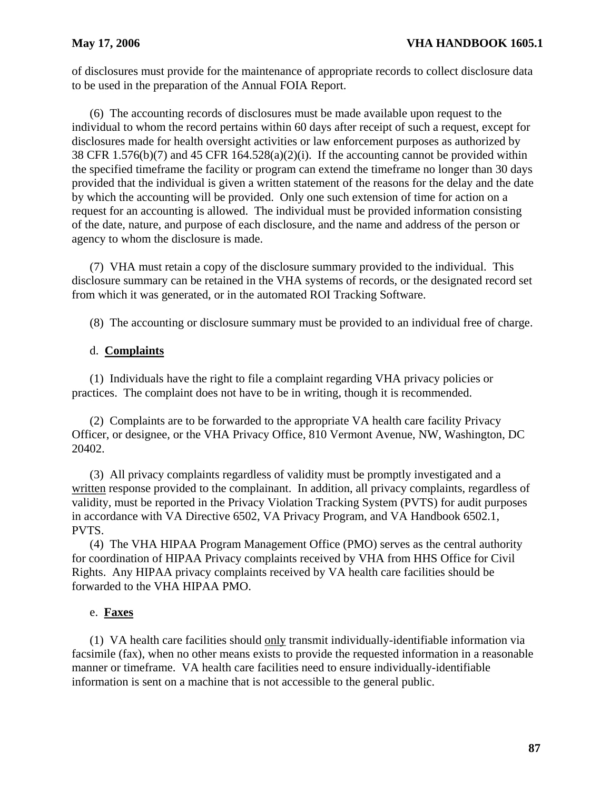of disclosures must provide for the maintenance of appropriate records to collect disclosure data to be used in the preparation of the Annual FOIA Report.

(6) The accounting records of disclosures must be made available upon request to the individual to whom the record pertains within 60 days after receipt of such a request, except for disclosures made for health oversight activities or law enforcement purposes as authorized by 38 CFR 1.576(b)(7) and 45 CFR 164.528(a)(2)(i). If the accounting cannot be provided within the specified timeframe the facility or program can extend the timeframe no longer than 30 days provided that the individual is given a written statement of the reasons for the delay and the date by which the accounting will be provided. Only one such extension of time for action on a request for an accounting is allowed. The individual must be provided information consisting of the date, nature, and purpose of each disclosure, and the name and address of the person or agency to whom the disclosure is made.

(7) VHA must retain a copy of the disclosure summary provided to the individual. This disclosure summary can be retained in the VHA systems of records, or the designated record set from which it was generated, or in the automated ROI Tracking Software.

(8) The accounting or disclosure summary must be provided to an individual free of charge.

## d. **Complaints**

(1) Individuals have the right to file a complaint regarding VHA privacy policies or practices. The complaint does not have to be in writing, though it is recommended.

(2) Complaints are to be forwarded to the appropriate VA health care facility Privacy Officer, or designee, or the VHA Privacy Office, 810 Vermont Avenue, NW, Washington, DC 20402.

(3) All privacy complaints regardless of validity must be promptly investigated and a written response provided to the complainant. In addition, all privacy complaints, regardless of validity, must be reported in the Privacy Violation Tracking System (PVTS) for audit purposes in accordance with VA Directive 6502, VA Privacy Program, and VA Handbook 6502.1, PVTS.

(4) The VHA HIPAA Program Management Office (PMO) serves as the central authority for coordination of HIPAA Privacy complaints received by VHA from HHS Office for Civil Rights. Any HIPAA privacy complaints received by VA health care facilities should be forwarded to the VHA HIPAA PMO.

## e. **Faxes**

(1) VA health care facilities should only transmit individually-identifiable information via facsimile (fax), when no other means exists to provide the requested information in a reasonable manner or timeframe. VA health care facilities need to ensure individually-identifiable information is sent on a machine that is not accessible to the general public.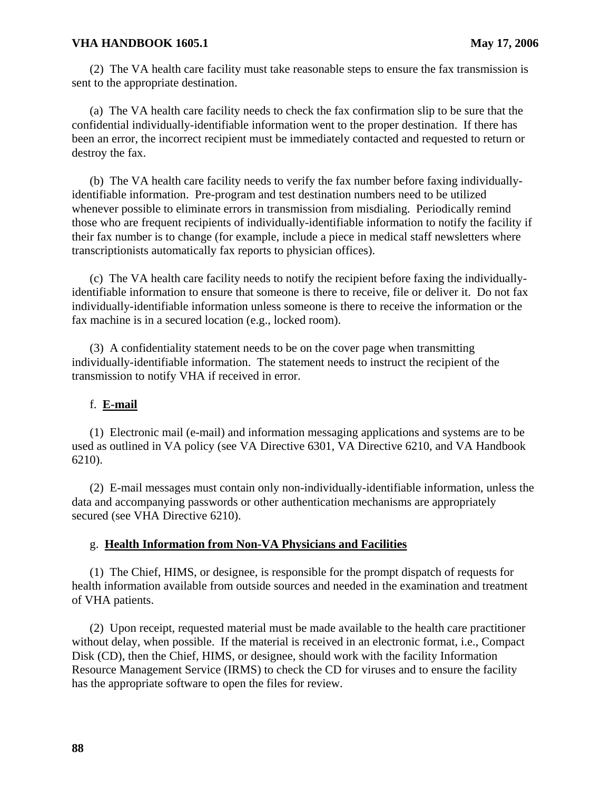(2) The VA health care facility must take reasonable steps to ensure the fax transmission is sent to the appropriate destination.

(a) The VA health care facility needs to check the fax confirmation slip to be sure that the confidential individually-identifiable information went to the proper destination. If there has been an error, the incorrect recipient must be immediately contacted and requested to return or destroy the fax.

(b) The VA health care facility needs to verify the fax number before faxing individuallyidentifiable information. Pre-program and test destination numbers need to be utilized whenever possible to eliminate errors in transmission from misdialing. Periodically remind those who are frequent recipients of individually-identifiable information to notify the facility if their fax number is to change (for example, include a piece in medical staff newsletters where transcriptionists automatically fax reports to physician offices).

(c) The VA health care facility needs to notify the recipient before faxing the individuallyidentifiable information to ensure that someone is there to receive, file or deliver it. Do not fax individually-identifiable information unless someone is there to receive the information or the fax machine is in a secured location (e.g., locked room).

(3) A confidentiality statement needs to be on the cover page when transmitting individually-identifiable information. The statement needs to instruct the recipient of the transmission to notify VHA if received in error.

## f. **E-mail**

(1) Electronic mail (e-mail) and information messaging applications and systems are to be used as outlined in VA policy (see VA Directive 6301, VA Directive 6210, and VA Handbook 6210).

(2) E-mail messages must contain only non-individually-identifiable information, unless the data and accompanying passwords or other authentication mechanisms are appropriately secured (see VHA Directive 6210).

## g. **Health Information from Non-VA Physicians and Facilities**

(1) The Chief, HIMS, or designee, is responsible for the prompt dispatch of requests for health information available from outside sources and needed in the examination and treatment of VHA patients.

(2) Upon receipt, requested material must be made available to the health care practitioner without delay, when possible. If the material is received in an electronic format, i.e., Compact Disk (CD), then the Chief, HIMS, or designee, should work with the facility Information Resource Management Service (IRMS) to check the CD for viruses and to ensure the facility has the appropriate software to open the files for review.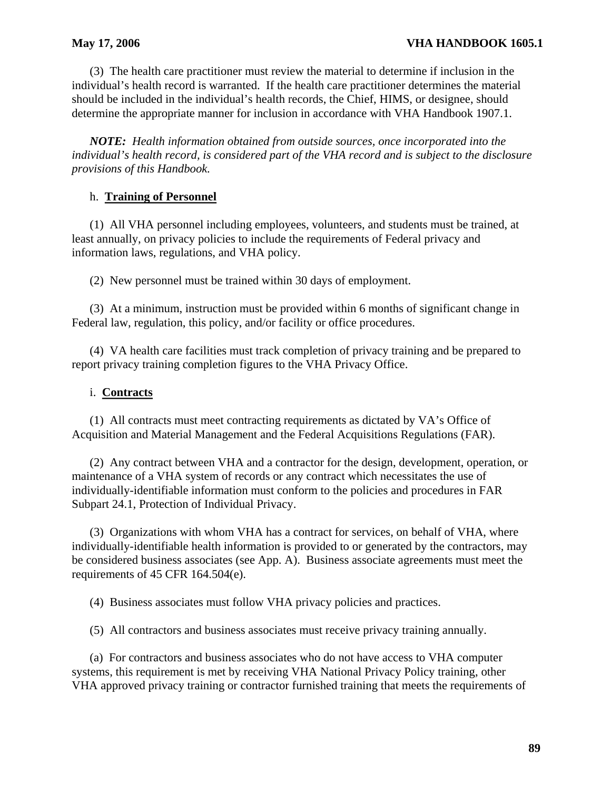(3) The health care practitioner must review the material to determine if inclusion in the individual's health record is warranted. If the health care practitioner determines the material should be included in the individual's health records, the Chief, HIMS, or designee, should determine the appropriate manner for inclusion in accordance with VHA Handbook 1907.1.

*NOTE: Health information obtained from outside sources, once incorporated into the individual's health record, is considered part of the VHA record and is subject to the disclosure provisions of this Handbook.* 

# h. **Training of Personnel**

(1) All VHA personnel including employees, volunteers, and students must be trained, at least annually, on privacy policies to include the requirements of Federal privacy and information laws, regulations, and VHA policy.

(2) New personnel must be trained within 30 days of employment.

(3) At a minimum, instruction must be provided within 6 months of significant change in Federal law, regulation, this policy, and/or facility or office procedures.

(4) VA health care facilities must track completion of privacy training and be prepared to report privacy training completion figures to the VHA Privacy Office.

# i. **Contracts**

(1) All contracts must meet contracting requirements as dictated by VA's Office of Acquisition and Material Management and the Federal Acquisitions Regulations (FAR).

(2) Any contract between VHA and a contractor for the design, development, operation, or maintenance of a VHA system of records or any contract which necessitates the use of individually-identifiable information must conform to the policies and procedures in FAR Subpart 24.1, Protection of Individual Privacy.

(3) Organizations with whom VHA has a contract for services, on behalf of VHA, where individually-identifiable health information is provided to or generated by the contractors, may be considered business associates (see App. A). Business associate agreements must meet the requirements of 45 CFR 164.504(e).

(4) Business associates must follow VHA privacy policies and practices.

(5) All contractors and business associates must receive privacy training annually.

(a) For contractors and business associates who do not have access to VHA computer systems, this requirement is met by receiving VHA National Privacy Policy training, other VHA approved privacy training or contractor furnished training that meets the requirements of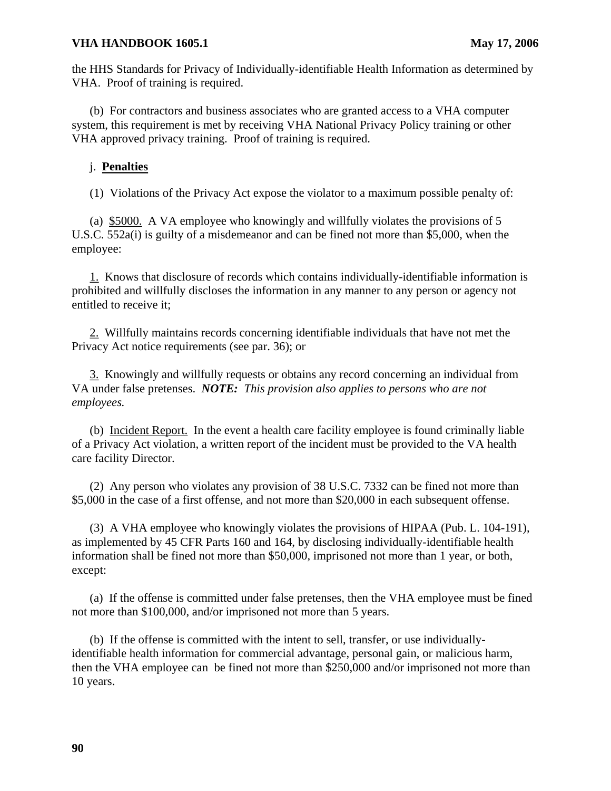the HHS Standards for Privacy of Individually-identifiable Health Information as determined by VHA. Proof of training is required.

(b) For contractors and business associates who are granted access to a VHA computer system, this requirement is met by receiving VHA National Privacy Policy training or other VHA approved privacy training. Proof of training is required.

## j. **Penalties**

(1) Violations of the Privacy Act expose the violator to a maximum possible penalty of:

(a) \$5000. A VA employee who knowingly and willfully violates the provisions of 5 U.S.C. 552a(i) is guilty of a misdemeanor and can be fined not more than \$5,000, when the employee:

1. Knows that disclosure of records which contains individually-identifiable information is prohibited and willfully discloses the information in any manner to any person or agency not entitled to receive it;

2. Willfully maintains records concerning identifiable individuals that have not met the Privacy Act notice requirements (see par. 36); or

3. Knowingly and willfully requests or obtains any record concerning an individual from VA under false pretenses. *NOTE: This provision also applies to persons who are not employees.* 

(b) Incident Report. In the event a health care facility employee is found criminally liable of a Privacy Act violation, a written report of the incident must be provided to the VA health care facility Director.

(2) Any person who violates any provision of 38 U.S.C. 7332 can be fined not more than \$5,000 in the case of a first offense, and not more than \$20,000 in each subsequent offense.

(3) A VHA employee who knowingly violates the provisions of HIPAA (Pub. L. 104-191), as implemented by 45 CFR Parts 160 and 164, by disclosing individually-identifiable health information shall be fined not more than \$50,000, imprisoned not more than 1 year, or both, except:

(a) If the offense is committed under false pretenses, then the VHA employee must be fined not more than \$100,000, and/or imprisoned not more than 5 years.

(b) If the offense is committed with the intent to sell, transfer, or use individuallyidentifiable health information for commercial advantage, personal gain, or malicious harm, then the VHA employee can be fined not more than \$250,000 and/or imprisoned not more than 10 years.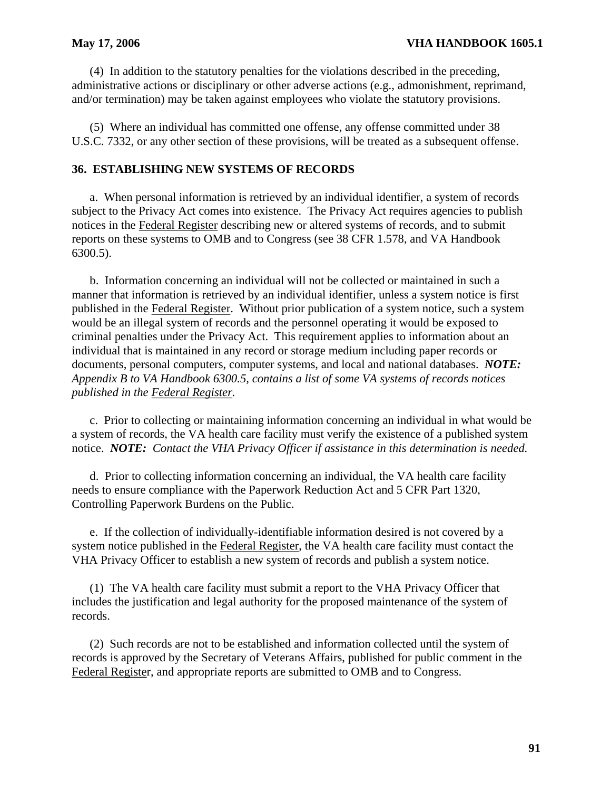(4) In addition to the statutory penalties for the violations described in the preceding, administrative actions or disciplinary or other adverse actions (e.g., admonishment, reprimand, and/or termination) may be taken against employees who violate the statutory provisions.

(5) Where an individual has committed one offense, any offense committed under 38 U.S.C. 7332, or any other section of these provisions, will be treated as a subsequent offense.

## **36. ESTABLISHING NEW SYSTEMS OF RECORDS**

a. When personal information is retrieved by an individual identifier, a system of records subject to the Privacy Act comes into existence. The Privacy Act requires agencies to publish notices in the Federal Register describing new or altered systems of records, and to submit reports on these systems to OMB and to Congress (see 38 CFR 1.578, and VA Handbook 6300.5).

b. Information concerning an individual will not be collected or maintained in such a manner that information is retrieved by an individual identifier, unless a system notice is first published in the Federal Register. Without prior publication of a system notice, such a system would be an illegal system of records and the personnel operating it would be exposed to criminal penalties under the Privacy Act. This requirement applies to information about an individual that is maintained in any record or storage medium including paper records or documents, personal computers, computer systems, and local and national databases. *NOTE: Appendix B to VA Handbook 6300.5, contains a list of some VA systems of records notices published in the Federal Register.* 

c. Prior to collecting or maintaining information concerning an individual in what would be a system of records, the VA health care facility must verify the existence of a published system notice. *NOTE: Contact the VHA Privacy Officer if assistance in this determination is needed.* 

d. Prior to collecting information concerning an individual, the VA health care facility needs to ensure compliance with the Paperwork Reduction Act and 5 CFR Part 1320, Controlling Paperwork Burdens on the Public.

e. If the collection of individually-identifiable information desired is not covered by a system notice published in the Federal Register, the VA health care facility must contact the VHA Privacy Officer to establish a new system of records and publish a system notice.

(1) The VA health care facility must submit a report to the VHA Privacy Officer that includes the justification and legal authority for the proposed maintenance of the system of records.

(2) Such records are not to be established and information collected until the system of records is approved by the Secretary of Veterans Affairs, published for public comment in the Federal Register, and appropriate reports are submitted to OMB and to Congress.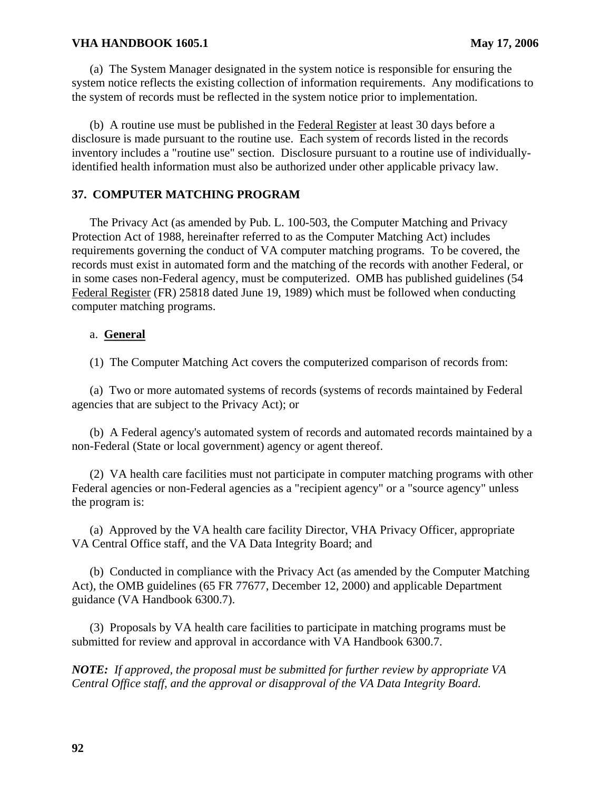(a) The System Manager designated in the system notice is responsible for ensuring the system notice reflects the existing collection of information requirements. Any modifications to the system of records must be reflected in the system notice prior to implementation.

(b) A routine use must be published in the Federal Register at least 30 days before a disclosure is made pursuant to the routine use. Each system of records listed in the records inventory includes a "routine use" section. Disclosure pursuant to a routine use of individuallyidentified health information must also be authorized under other applicable privacy law.

# **37. COMPUTER MATCHING PROGRAM**

The Privacy Act (as amended by Pub. L. 100-503, the Computer Matching and Privacy Protection Act of 1988, hereinafter referred to as the Computer Matching Act) includes requirements governing the conduct of VA computer matching programs. To be covered, the records must exist in automated form and the matching of the records with another Federal, or in some cases non-Federal agency, must be computerized. OMB has published guidelines (54 Federal Register (FR) 25818 dated June 19, 1989) which must be followed when conducting computer matching programs.

## a. **General**

(1) The Computer Matching Act covers the computerized comparison of records from:

(a) Two or more automated systems of records (systems of records maintained by Federal agencies that are subject to the Privacy Act); or

(b) A Federal agency's automated system of records and automated records maintained by a non-Federal (State or local government) agency or agent thereof.

(2) VA health care facilities must not participate in computer matching programs with other Federal agencies or non-Federal agencies as a "recipient agency" or a "source agency" unless the program is:

(a) Approved by the VA health care facility Director, VHA Privacy Officer, appropriate VA Central Office staff, and the VA Data Integrity Board; and

(b) Conducted in compliance with the Privacy Act (as amended by the Computer Matching Act), the OMB guidelines (65 FR 77677, December 12, 2000) and applicable Department guidance (VA Handbook 6300.7).

(3) Proposals by VA health care facilities to participate in matching programs must be submitted for review and approval in accordance with VA Handbook 6300.7.

*NOTE: If approved, the proposal must be submitted for further review by appropriate VA Central Office staff, and the approval or disapproval of the VA Data Integrity Board.*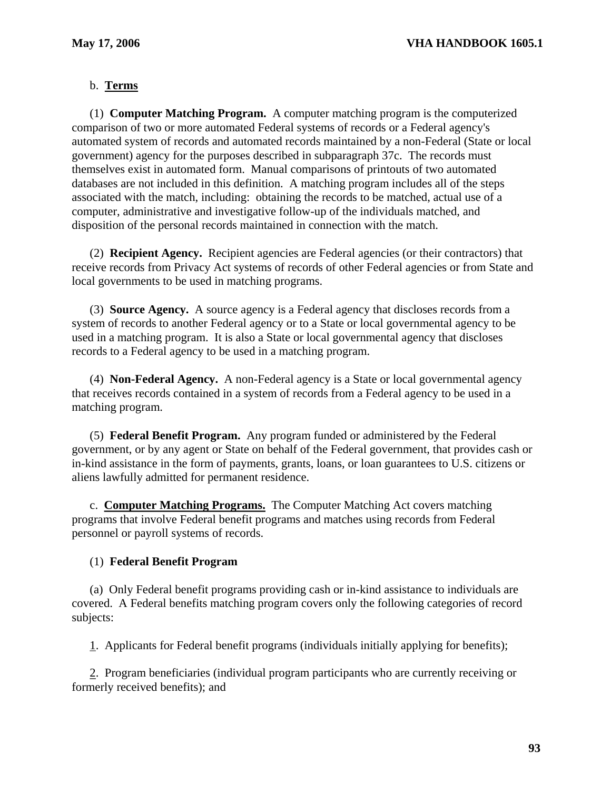# b. **Terms**

(1) **Computer Matching Program.** A computer matching program is the computerized comparison of two or more automated Federal systems of records or a Federal agency's automated system of records and automated records maintained by a non-Federal (State or local government) agency for the purposes described in subparagraph 37c. The records must themselves exist in automated form. Manual comparisons of printouts of two automated databases are not included in this definition. A matching program includes all of the steps associated with the match, including: obtaining the records to be matched, actual use of a computer, administrative and investigative follow-up of the individuals matched, and disposition of the personal records maintained in connection with the match.

(2) **Recipient Agency.** Recipient agencies are Federal agencies (or their contractors) that receive records from Privacy Act systems of records of other Federal agencies or from State and local governments to be used in matching programs.

(3) **Source Agency.** A source agency is a Federal agency that discloses records from a system of records to another Federal agency or to a State or local governmental agency to be used in a matching program. It is also a State or local governmental agency that discloses records to a Federal agency to be used in a matching program.

(4) **Non-Federal Agency.** A non-Federal agency is a State or local governmental agency that receives records contained in a system of records from a Federal agency to be used in a matching program.

(5) **Federal Benefit Program.** Any program funded or administered by the Federal government, or by any agent or State on behalf of the Federal government, that provides cash or in-kind assistance in the form of payments, grants, loans, or loan guarantees to U.S. citizens or aliens lawfully admitted for permanent residence.

c. **Computer Matching Programs.** The Computer Matching Act covers matching programs that involve Federal benefit programs and matches using records from Federal personnel or payroll systems of records.

#### (1) **Federal Benefit Program**

(a) Only Federal benefit programs providing cash or in-kind assistance to individuals are covered. A Federal benefits matching program covers only the following categories of record subjects:

1. Applicants for Federal benefit programs (individuals initially applying for benefits);

2. Program beneficiaries (individual program participants who are currently receiving or formerly received benefits); and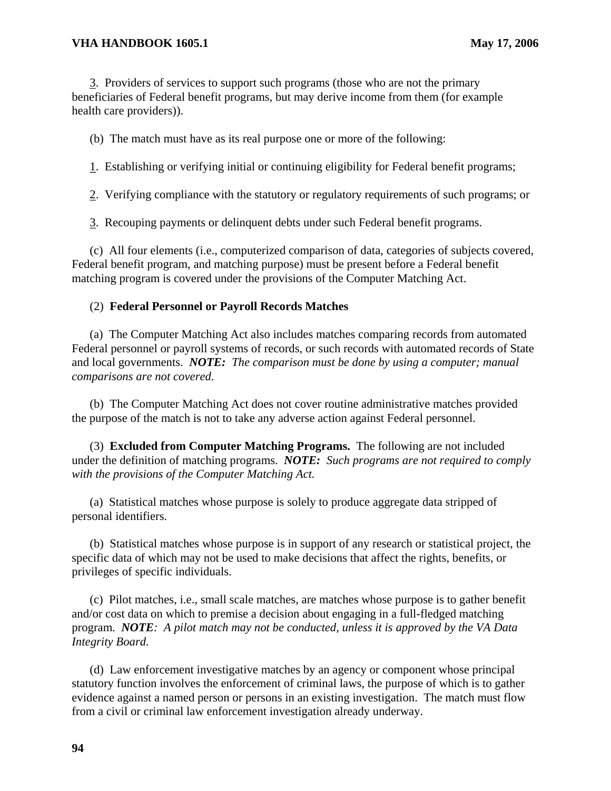3. Providers of services to support such programs (those who are not the primary beneficiaries of Federal benefit programs, but may derive income from them (for example health care providers)).

(b) The match must have as its real purpose one or more of the following:

1. Establishing or verifying initial or continuing eligibility for Federal benefit programs;

2. Verifying compliance with the statutory or regulatory requirements of such programs; or

3. Recouping payments or delinquent debts under such Federal benefit programs.

(c) All four elements (i.e., computerized comparison of data, categories of subjects covered, Federal benefit program, and matching purpose) must be present before a Federal benefit matching program is covered under the provisions of the Computer Matching Act.

## (2) **Federal Personnel or Payroll Records Matches**

(a) The Computer Matching Act also includes matches comparing records from automated Federal personnel or payroll systems of records, or such records with automated records of State and local governments. *NOTE: The comparison must be done by using a computer; manual comparisons are not covered.* 

(b) The Computer Matching Act does not cover routine administrative matches provided the purpose of the match is not to take any adverse action against Federal personnel.

(3) **Excluded from Computer Matching Programs.** The following are not included under the definition of matching programs. *NOTE: Such programs are not required to comply with the provisions of the Computer Matching Act.* 

(a) Statistical matches whose purpose is solely to produce aggregate data stripped of personal identifiers.

(b) Statistical matches whose purpose is in support of any research or statistical project, the specific data of which may not be used to make decisions that affect the rights, benefits, or privileges of specific individuals.

(c) Pilot matches, i.e., small scale matches, are matches whose purpose is to gather benefit and/or cost data on which to premise a decision about engaging in a full-fledged matching program. *NOTE: A pilot match may not be conducted, unless it is approved by the VA Data Integrity Board.* 

(d) Law enforcement investigative matches by an agency or component whose principal statutory function involves the enforcement of criminal laws, the purpose of which is to gather evidence against a named person or persons in an existing investigation. The match must flow from a civil or criminal law enforcement investigation already underway.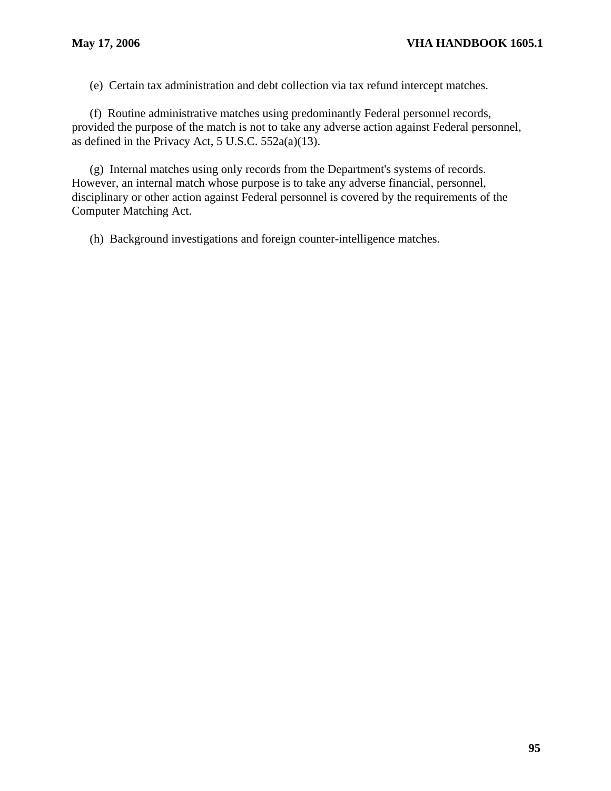(e) Certain tax administration and debt collection via tax refund intercept matches.

(f) Routine administrative matches using predominantly Federal personnel records, provided the purpose of the match is not to take any adverse action against Federal personnel, as defined in the Privacy Act, 5 U.S.C. 552a(a)(13).

(g) Internal matches using only records from the Department's systems of records. However, an internal match whose purpose is to take any adverse financial, personnel, disciplinary or other action against Federal personnel is covered by the requirements of the Computer Matching Act.

(h) Background investigations and foreign counter-intelligence matches.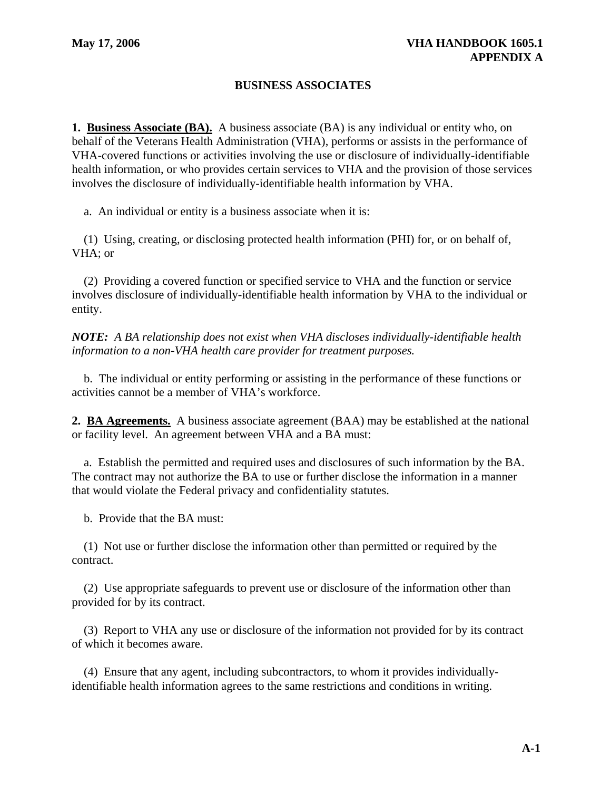# **BUSINESS ASSOCIATES**

**1. Business Associate (BA).** A business associate (BA) is any individual or entity who, on behalf of the Veterans Health Administration (VHA), performs or assists in the performance of VHA-covered functions or activities involving the use or disclosure of individually-identifiable health information, or who provides certain services to VHA and the provision of those services involves the disclosure of individually-identifiable health information by VHA.

a. An individual or entity is a business associate when it is:

(1) Using, creating, or disclosing protected health information (PHI) for, or on behalf of, VHA; or

(2) Providing a covered function or specified service to VHA and the function or service involves disclosure of individually-identifiable health information by VHA to the individual or entity.

*NOTE: A BA relationship does not exist when VHA discloses individually-identifiable health information to a non-VHA health care provider for treatment purposes.* 

b. The individual or entity performing or assisting in the performance of these functions or activities cannot be a member of VHA's workforce.

**2. BA Agreements.** A business associate agreement (BAA) may be established at the national or facility level. An agreement between VHA and a BA must:

a. Establish the permitted and required uses and disclosures of such information by the BA. The contract may not authorize the BA to use or further disclose the information in a manner that would violate the Federal privacy and confidentiality statutes.

b. Provide that the BA must:

(1) Not use or further disclose the information other than permitted or required by the contract.

(2) Use appropriate safeguards to prevent use or disclosure of the information other than provided for by its contract.

(3) Report to VHA any use or disclosure of the information not provided for by its contract of which it becomes aware.

(4) Ensure that any agent, including subcontractors, to whom it provides individuallyidentifiable health information agrees to the same restrictions and conditions in writing.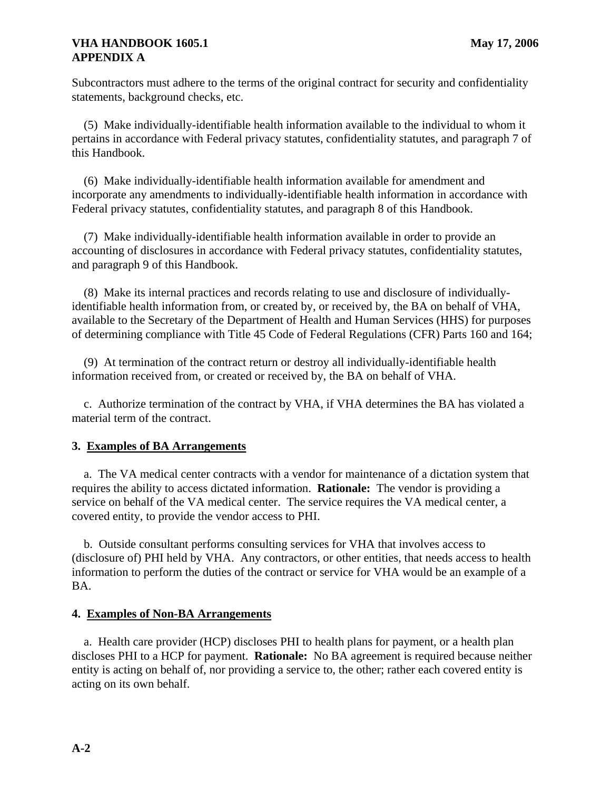# **VHA HANDBOOK 1605.1** May 17, 2006 **APPENDIX A**

Subcontractors must adhere to the terms of the original contract for security and confidentiality statements, background checks, etc.

(5) Make individually-identifiable health information available to the individual to whom it pertains in accordance with Federal privacy statutes, confidentiality statutes, and paragraph 7 of this Handbook.

(6) Make individually-identifiable health information available for amendment and incorporate any amendments to individually-identifiable health information in accordance with Federal privacy statutes, confidentiality statutes, and paragraph 8 of this Handbook.

(7) Make individually-identifiable health information available in order to provide an accounting of disclosures in accordance with Federal privacy statutes, confidentiality statutes, and paragraph 9 of this Handbook.

(8) Make its internal practices and records relating to use and disclosure of individuallyidentifiable health information from, or created by, or received by, the BA on behalf of VHA, available to the Secretary of the Department of Health and Human Services (HHS) for purposes of determining compliance with Title 45 Code of Federal Regulations (CFR) Parts 160 and 164;

(9) At termination of the contract return or destroy all individually-identifiable health information received from, or created or received by, the BA on behalf of VHA.

c. Authorize termination of the contract by VHA, if VHA determines the BA has violated a material term of the contract.

# **3. Examples of BA Arrangements**

a. The VA medical center contracts with a vendor for maintenance of a dictation system that requires the ability to access dictated information. **Rationale:** The vendor is providing a service on behalf of the VA medical center. The service requires the VA medical center, a covered entity, to provide the vendor access to PHI.

b. Outside consultant performs consulting services for VHA that involves access to (disclosure of) PHI held by VHA. Any contractors, or other entities, that needs access to health information to perform the duties of the contract or service for VHA would be an example of a BA.

## **4. Examples of Non-BA Arrangements**

a. Health care provider (HCP) discloses PHI to health plans for payment, or a health plan discloses PHI to a HCP for payment. **Rationale:** No BA agreement is required because neither entity is acting on behalf of, nor providing a service to, the other; rather each covered entity is acting on its own behalf.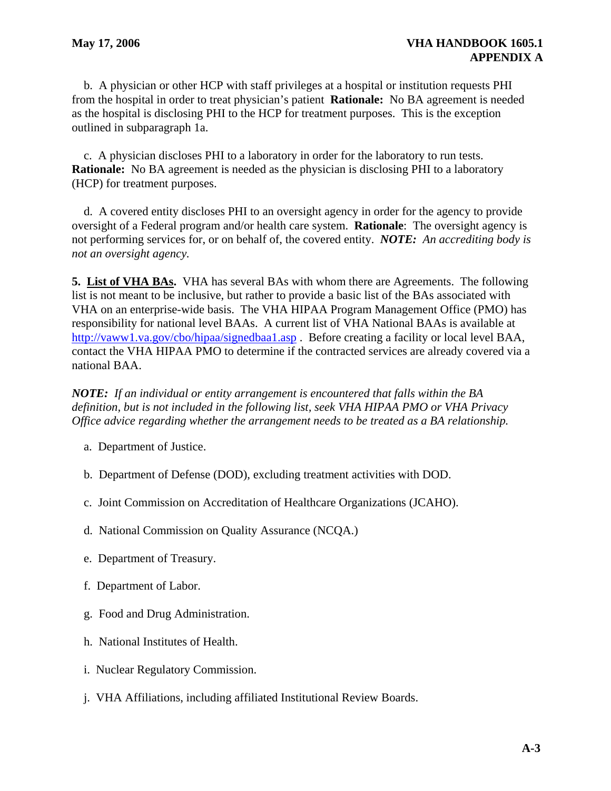b. A physician or other HCP with staff privileges at a hospital or institution requests PHI from the hospital in order to treat physician's patient **Rationale:** No BA agreement is needed as the hospital is disclosing PHI to the HCP for treatment purposes. This is the exception outlined in subparagraph 1a.

c. A physician discloses PHI to a laboratory in order for the laboratory to run tests. **Rationale:** No BA agreement is needed as the physician is disclosing PHI to a laboratory (HCP) for treatment purposes.

d. A covered entity discloses PHI to an oversight agency in order for the agency to provide oversight of a Federal program and/or health care system. **Rationale**: The oversight agency is not performing services for, or on behalf of, the covered entity. *NOTE: An accrediting body is not an oversight agency.* 

**5. List of VHA BAs.** VHA has several BAs with whom there are Agreements. The following list is not meant to be inclusive, but rather to provide a basic list of the BAs associated with VHA on an enterprise-wide basis. The VHA HIPAA Program Management Office (PMO) has responsibility for national level BAAs. A current list of VHA National BAAs is available at <http://vaww1.va.gov/cbo/hipaa/signedbaa1.asp>. Before creating a facility or local level BAA, contact the VHA HIPAA PMO to determine if the contracted services are already covered via a national BAA.

*NOTE: If an individual or entity arrangement is encountered that falls within the BA definition, but is not included in the following list, seek VHA HIPAA PMO or VHA Privacy Office advice regarding whether the arrangement needs to be treated as a BA relationship.* 

- a. Department of Justice.
- b. Department of Defense (DOD), excluding treatment activities with DOD.
- c. Joint Commission on Accreditation of Healthcare Organizations (JCAHO).
- d. National Commission on Quality Assurance (NCQA.)
- e. Department of Treasury.
- f. Department of Labor.
- g. Food and Drug Administration.
- h. National Institutes of Health.
- i. Nuclear Regulatory Commission.
- j. VHA Affiliations, including affiliated Institutional Review Boards.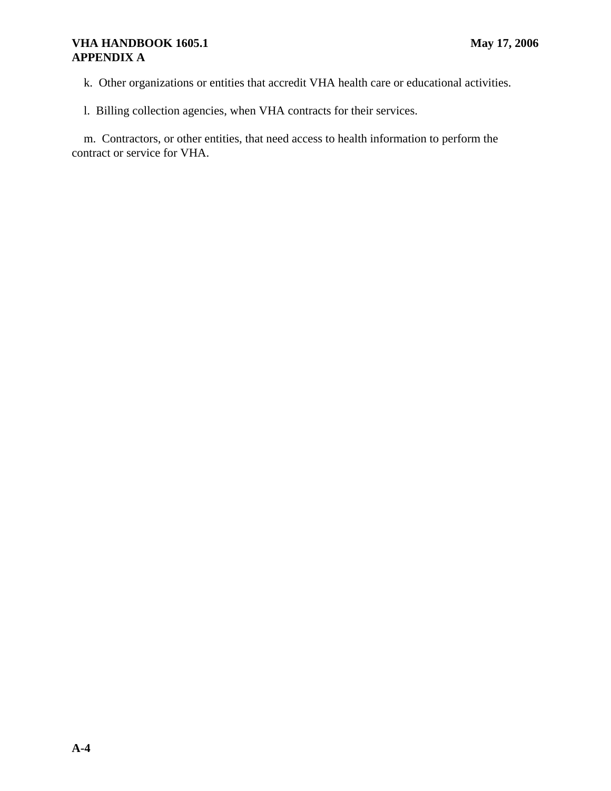# **VHA HANDBOOK 1605.1** May 17, 2006 **APPENDIX A**

k. Other organizations or entities that accredit VHA health care or educational activities.

l. Billing collection agencies, when VHA contracts for their services.

m. Contractors, or other entities, that need access to health information to perform the contract or service for VHA.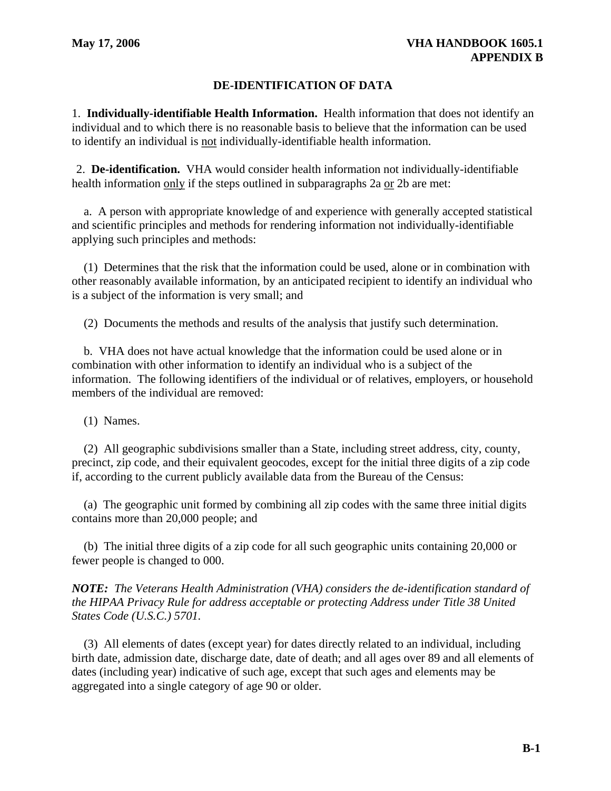# **DE-IDENTIFICATION OF DATA**

1. **Individually-identifiable Health Information.** Health information that does not identify an individual and to which there is no reasonable basis to believe that the information can be used to identify an individual is not individually-identifiable health information.

2. **De-identification.**  VHA would consider health information not individually-identifiable health information only if the steps outlined in subparagraphs 2a or 2b are met:

a. A person with appropriate knowledge of and experience with generally accepted statistical and scientific principles and methods for rendering information not individually-identifiable applying such principles and methods:

(1) Determines that the risk that the information could be used, alone or in combination with other reasonably available information, by an anticipated recipient to identify an individual who is a subject of the information is very small; and

(2) Documents the methods and results of the analysis that justify such determination.

b. VHA does not have actual knowledge that the information could be used alone or in combination with other information to identify an individual who is a subject of the information. The following identifiers of the individual or of relatives, employers, or household members of the individual are removed:

(1) Names.

(2) All geographic subdivisions smaller than a State, including street address, city, county, precinct, zip code, and their equivalent geocodes, except for the initial three digits of a zip code if, according to the current publicly available data from the Bureau of the Census:

(a) The geographic unit formed by combining all zip codes with the same three initial digits contains more than 20,000 people; and

(b) The initial three digits of a zip code for all such geographic units containing 20,000 or fewer people is changed to 000.

*NOTE: The Veterans Health Administration (VHA) considers the de-identification standard of the HIPAA Privacy Rule for address acceptable or protecting Address under Title 38 United States Code (U.S.C.) 5701.* 

(3) All elements of dates (except year) for dates directly related to an individual, including birth date, admission date, discharge date, date of death; and all ages over 89 and all elements of dates (including year) indicative of such age, except that such ages and elements may be aggregated into a single category of age 90 or older.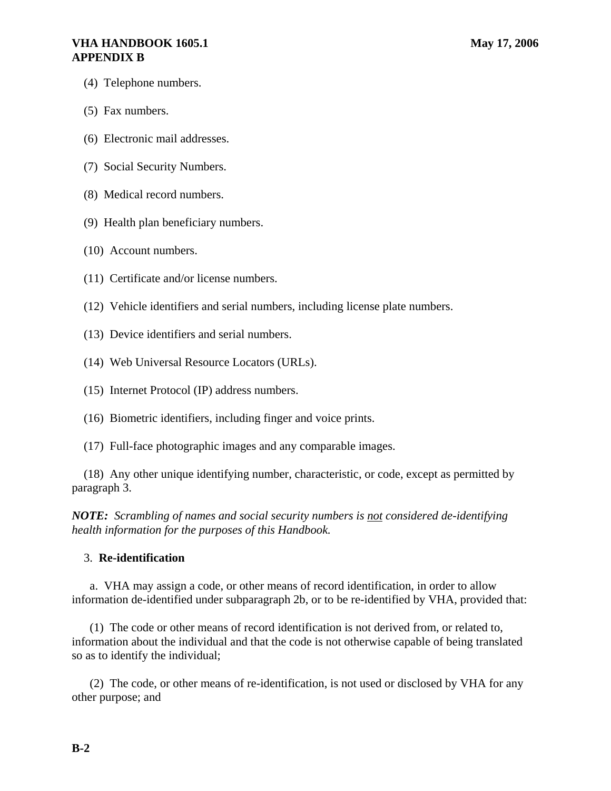## **VHA HANDBOOK 1605.1** May 17, 2006 **APPENDIX B**

- (4) Telephone numbers.
- (5) Fax numbers.
- (6) Electronic mail addresses.
- (7) Social Security Numbers.
- (8) Medical record numbers.
- (9) Health plan beneficiary numbers.
- (10) Account numbers.
- (11) Certificate and/or license numbers.
- (12) Vehicle identifiers and serial numbers, including license plate numbers.
- (13) Device identifiers and serial numbers.
- (14) Web Universal Resource Locators (URLs).
- (15) Internet Protocol (IP) address numbers.
- (16) Biometric identifiers, including finger and voice prints.
- (17) Full-face photographic images and any comparable images.

(18) Any other unique identifying number, characteristic, or code, except as permitted by paragraph 3.

*NOTE: Scrambling of names and social security numbers is not considered de-identifying health information for the purposes of this Handbook.* 

#### 3. **Re-identification**

a. VHA may assign a code, or other means of record identification, in order to allow information de-identified under subparagraph 2b, or to be re-identified by VHA, provided that:

(1) The code or other means of record identification is not derived from, or related to, information about the individual and that the code is not otherwise capable of being translated so as to identify the individual;

(2) The code, or other means of re-identification, is not used or disclosed by VHA for any other purpose; and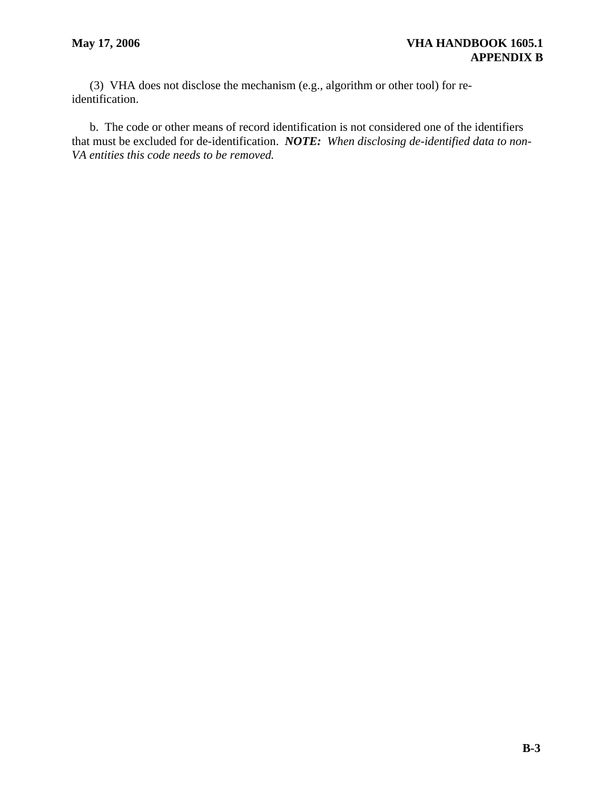(3) VHA does not disclose the mechanism (e.g., algorithm or other tool) for reidentification.

b. The code or other means of record identification is not considered one of the identifiers that must be excluded for de-identification. *NOTE: When disclosing de-identified data to non-VA entities this code needs to be removed.*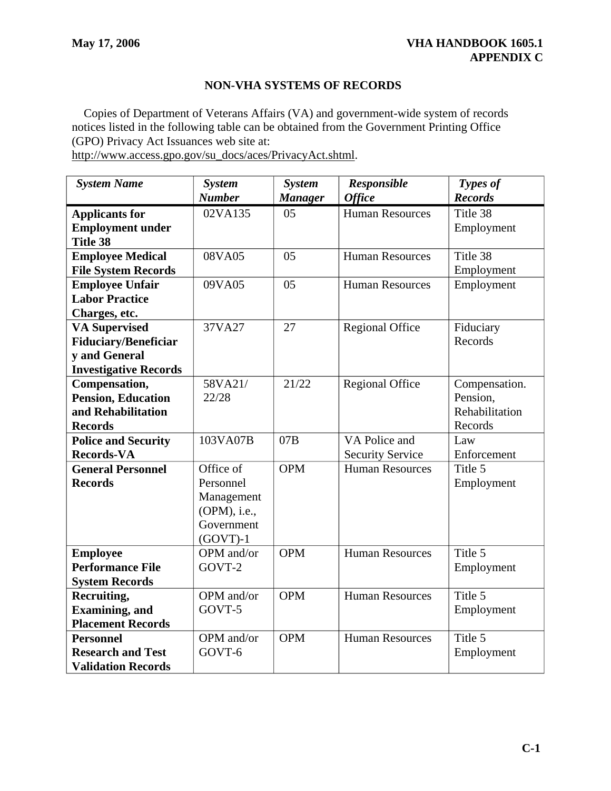# **NON-VHA SYSTEMS OF RECORDS**

Copies of Department of Veterans Affairs (VA) and government-wide system of records notices listed in the following table can be obtained from the Government Printing Office (GPO) Privacy Act Issuances web site at: http://www.access.gpo.gov/su\_docs/aces/PrivacyAct.shtml.

| <b>System Name</b>           | <b>System</b><br><b>Number</b> | <b>System</b><br><b>Manager</b> | Responsible<br><b>Office</b> | Types of<br><b>Records</b> |
|------------------------------|--------------------------------|---------------------------------|------------------------------|----------------------------|
| <b>Applicants for</b>        | 02VA135                        | 0 <sub>5</sub>                  | <b>Human Resources</b>       | Title 38                   |
| <b>Employment under</b>      |                                |                                 |                              | Employment                 |
| <b>Title 38</b>              |                                |                                 |                              |                            |
| <b>Employee Medical</b>      | 08VA05                         | 05                              | <b>Human Resources</b>       | Title 38                   |
| <b>File System Records</b>   |                                |                                 |                              | Employment                 |
| <b>Employee Unfair</b>       | 09VA05                         | 05                              | <b>Human Resources</b>       | Employment                 |
| <b>Labor Practice</b>        |                                |                                 |                              |                            |
| Charges, etc.                |                                |                                 |                              |                            |
| <b>VA Supervised</b>         | 37VA27                         | 27                              | <b>Regional Office</b>       | Fiduciary                  |
| <b>Fiduciary/Beneficiar</b>  |                                |                                 |                              | Records                    |
| y and General                |                                |                                 |                              |                            |
| <b>Investigative Records</b> |                                |                                 |                              |                            |
| Compensation,                | 58VA21/                        | 21/22                           | <b>Regional Office</b>       | Compensation.              |
| <b>Pension, Education</b>    | 22/28                          |                                 |                              | Pension,                   |
| and Rehabilitation           |                                |                                 |                              | Rehabilitation             |
| <b>Records</b>               |                                |                                 |                              | Records                    |
| <b>Police and Security</b>   | 103VA07B                       | 07B                             | VA Police and                | Law                        |
| <b>Records-VA</b>            |                                |                                 | <b>Security Service</b>      | Enforcement                |
| <b>General Personnel</b>     | Office of                      | <b>OPM</b>                      | <b>Human Resources</b>       | Title 5                    |
| <b>Records</b>               | Personnel                      |                                 |                              | Employment                 |
|                              | Management                     |                                 |                              |                            |
|                              | (OPM), i.e.,                   |                                 |                              |                            |
|                              | Government                     |                                 |                              |                            |
|                              | $(GOVT)-1$                     |                                 |                              |                            |
| <b>Employee</b>              | OPM and/or                     | <b>OPM</b>                      | <b>Human Resources</b>       | Title 5                    |
| <b>Performance File</b>      | GOVT-2                         |                                 |                              | Employment                 |
| <b>System Records</b>        |                                |                                 |                              |                            |
| Recruiting,                  | OPM and/or                     | <b>OPM</b>                      | <b>Human Resources</b>       | Title 5                    |
| <b>Examining</b> , and       | GOVT-5                         |                                 |                              | Employment                 |
| <b>Placement Records</b>     |                                |                                 |                              |                            |
| <b>Personnel</b>             | OPM and/or                     | <b>OPM</b>                      | <b>Human Resources</b>       | Title 5                    |
| <b>Research and Test</b>     | GOVT-6                         |                                 |                              | Employment                 |
| <b>Validation Records</b>    |                                |                                 |                              |                            |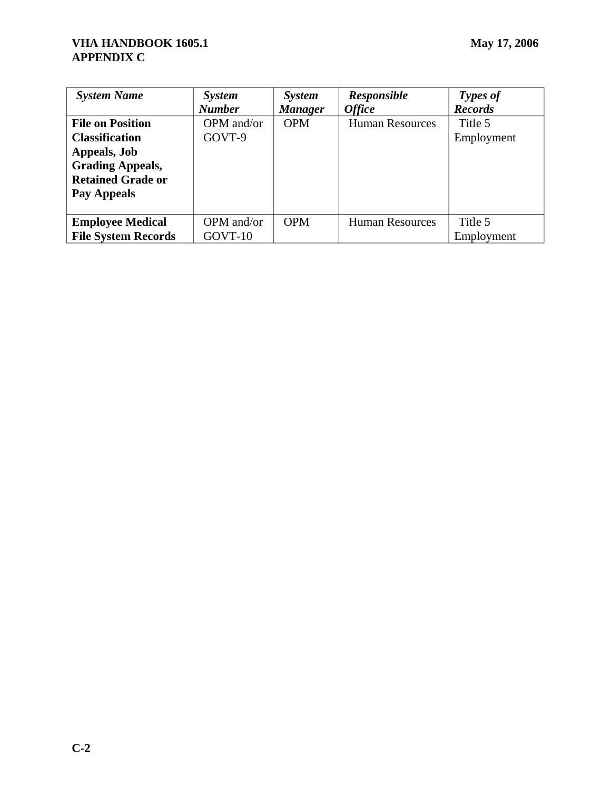| <b>System Name</b>         | <b>System</b> | <b>System</b>  | <b>Responsible</b>     | Types of       |
|----------------------------|---------------|----------------|------------------------|----------------|
|                            | <b>Number</b> | <b>Manager</b> | <b>Office</b>          | <b>Records</b> |
| <b>File on Position</b>    | OPM and/or    | <b>OPM</b>     | <b>Human Resources</b> | Title 5        |
| <b>Classification</b>      | GOVT-9        |                |                        | Employment     |
| Appeals, Job               |               |                |                        |                |
| <b>Grading Appeals,</b>    |               |                |                        |                |
| <b>Retained Grade or</b>   |               |                |                        |                |
| Pay Appeals                |               |                |                        |                |
|                            |               |                |                        |                |
| <b>Employee Medical</b>    | OPM and/or    | <b>OPM</b>     | <b>Human Resources</b> | Title 5        |
| <b>File System Records</b> | GOVT-10       |                |                        | Employment     |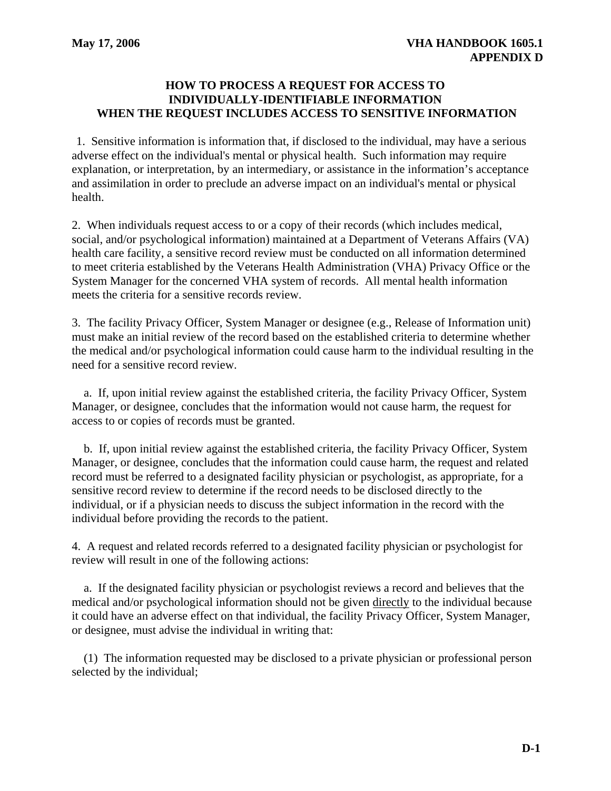#### **HOW TO PROCESS A REQUEST FOR ACCESS TO INDIVIDUALLY-IDENTIFIABLE INFORMATION WHEN THE REQUEST INCLUDES ACCESS TO SENSITIVE INFORMATION**

1. Sensitive information is information that, if disclosed to the individual, may have a serious adverse effect on the individual's mental or physical health. Such information may require explanation, or interpretation, by an intermediary, or assistance in the information's acceptance and assimilation in order to preclude an adverse impact on an individual's mental or physical health.

2. When individuals request access to or a copy of their records (which includes medical, social, and/or psychological information) maintained at a Department of Veterans Affairs (VA) health care facility, a sensitive record review must be conducted on all information determined to meet criteria established by the Veterans Health Administration (VHA) Privacy Office or the System Manager for the concerned VHA system of records. All mental health information meets the criteria for a sensitive records review.

3. The facility Privacy Officer, System Manager or designee (e.g., Release of Information unit) must make an initial review of the record based on the established criteria to determine whether the medical and/or psychological information could cause harm to the individual resulting in the need for a sensitive record review.

a. If, upon initial review against the established criteria, the facility Privacy Officer, System Manager, or designee, concludes that the information would not cause harm, the request for access to or copies of records must be granted.

b. If, upon initial review against the established criteria, the facility Privacy Officer, System Manager, or designee, concludes that the information could cause harm, the request and related record must be referred to a designated facility physician or psychologist, as appropriate, for a sensitive record review to determine if the record needs to be disclosed directly to the individual, or if a physician needs to discuss the subject information in the record with the individual before providing the records to the patient.

4. A request and related records referred to a designated facility physician or psychologist for review will result in one of the following actions:

a. If the designated facility physician or psychologist reviews a record and believes that the medical and/or psychological information should not be given directly to the individual because it could have an adverse effect on that individual, the facility Privacy Officer, System Manager, or designee, must advise the individual in writing that:

(1) The information requested may be disclosed to a private physician or professional person selected by the individual;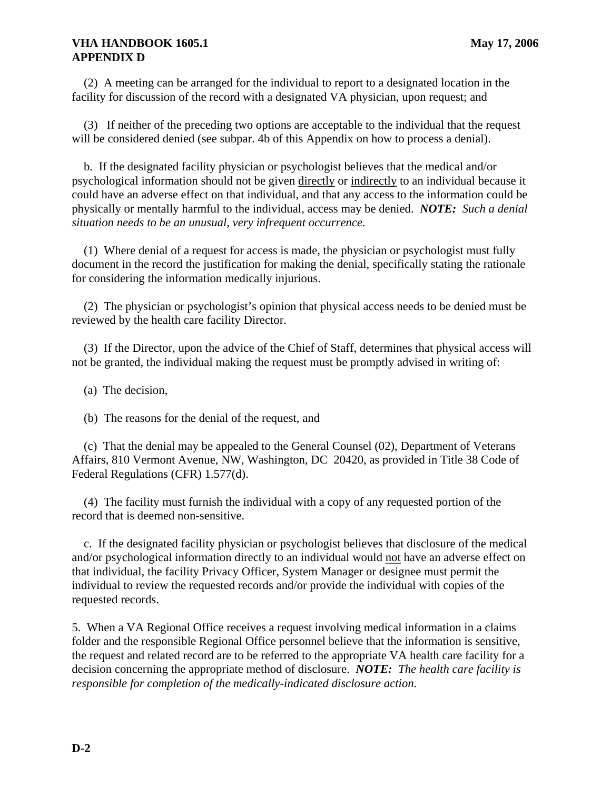### **VHA HANDBOOK 1605.1** May 17, 2006 **APPENDIX D**

(2) A meeting can be arranged for the individual to report to a designated location in the facility for discussion of the record with a designated VA physician, upon request; and

(3) If neither of the preceding two options are acceptable to the individual that the request will be considered denied (see subpar. 4b of this Appendix on how to process a denial).

b. If the designated facility physician or psychologist believes that the medical and/or psychological information should not be given directly or indirectly to an individual because it could have an adverse effect on that individual, and that any access to the information could be physically or mentally harmful to the individual, access may be denied. *NOTE: Such a denial situation needs to be an unusual, very infrequent occurrence.* 

(1) Where denial of a request for access is made, the physician or psychologist must fully document in the record the justification for making the denial, specifically stating the rationale for considering the information medically injurious.

(2) The physician or psychologist's opinion that physical access needs to be denied must be reviewed by the health care facility Director.

(3) If the Director, upon the advice of the Chief of Staff, determines that physical access will not be granted, the individual making the request must be promptly advised in writing of:

(a) The decision,

(b) The reasons for the denial of the request, and

(c) That the denial may be appealed to the General Counsel (02), Department of Veterans Affairs, 810 Vermont Avenue, NW, Washington, DC 20420, as provided in Title 38 Code of Federal Regulations (CFR) 1.577(d).

(4) The facility must furnish the individual with a copy of any requested portion of the record that is deemed non-sensitive.

c. If the designated facility physician or psychologist believes that disclosure of the medical and/or psychological information directly to an individual would not have an adverse effect on that individual, the facility Privacy Officer, System Manager or designee must permit the individual to review the requested records and/or provide the individual with copies of the requested records.

5. When a VA Regional Office receives a request involving medical information in a claims folder and the responsible Regional Office personnel believe that the information is sensitive, the request and related record are to be referred to the appropriate VA health care facility for a decision concerning the appropriate method of disclosure. *NOTE: The health care facility is responsible for completion of the medically-indicated disclosure action.*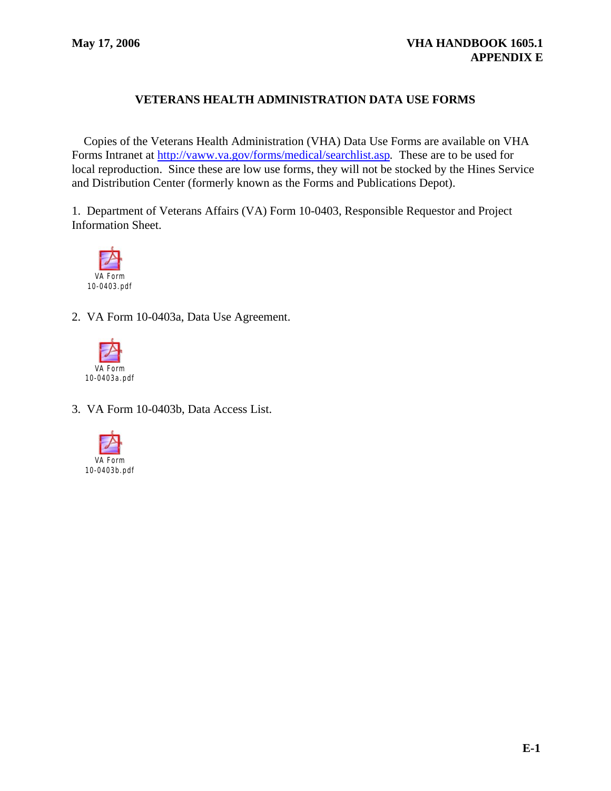# **VETERANS HEALTH ADMINISTRATION DATA USE FORMS**

Copies of the Veterans Health Administration (VHA) Data Use Forms are available on VHA Forms Intranet at <http://vaww.va.gov/forms/medical/searchlist.asp>*.* These are to be used for local reproduction. Since these are low use forms, they will not be stocked by the Hines Service and Distribution Center (formerly known as the Forms and Publications Depot).

1. Department of Veterans Affairs (VA) Form 10-0403, Responsible Requestor and Project Information Sheet.



2. VA Form 10-0403a, Data Use Agreement.



3. VA Form 10-0403b, Data Access List.

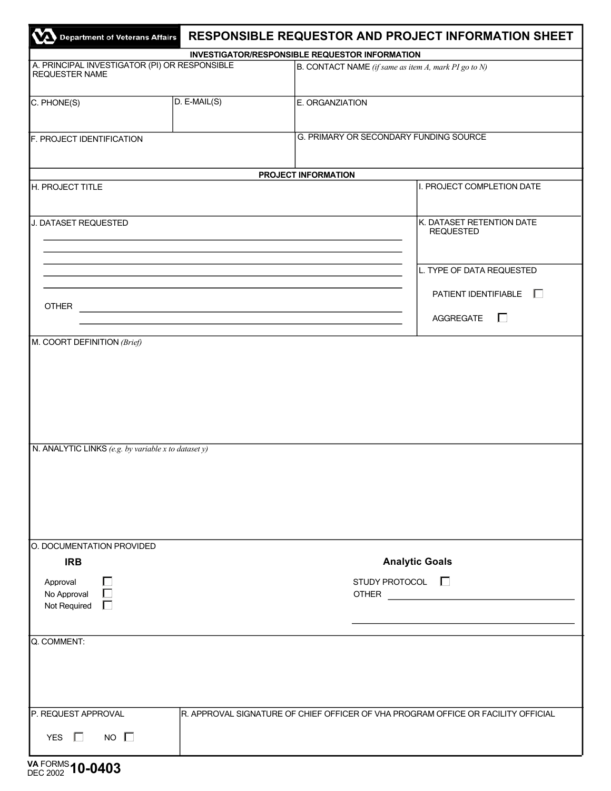|                                                                                                 |                | RESPONSIBLE REQUESTOR AND PROJECT INFORMATION SHEET<br>Department of Veterans Affairs |  |  |
|-------------------------------------------------------------------------------------------------|----------------|---------------------------------------------------------------------------------------|--|--|
|                                                                                                 |                | <b>INVESTIGATOR/RESPONSIBLE REQUESTOR INFORMATION</b>                                 |  |  |
| A. PRINCIPAL INVESTIGATOR (PI) OR RESPONSIBLE<br><b>REQUESTER NAME</b>                          |                | $\vert$ B. CONTACT NAME (if same as item A, mark PI go to N)                          |  |  |
| C. PHONE(S)                                                                                     | $D. E-MAIL(S)$ | E. ORGANZIATION                                                                       |  |  |
| F. PROJECT IDENTIFICATION                                                                       |                | G. PRIMARY OR SECONDARY FUNDING SOURCE                                                |  |  |
|                                                                                                 |                | PROJECT INFORMATION                                                                   |  |  |
| H. PROJECT TITLE                                                                                |                | I. PROJECT COMPLETION DATE                                                            |  |  |
| J. DATASET REQUESTED                                                                            |                | K. DATASET RETENTION DATE<br><b>REQUESTED</b>                                         |  |  |
|                                                                                                 |                | L. TYPE OF DATA REQUESTED                                                             |  |  |
| <b>OTHER</b>                                                                                    |                | PATIENT IDENTIFIABLE<br>AGGREGATE<br>$\mathbf{L}$                                     |  |  |
|                                                                                                 |                |                                                                                       |  |  |
|                                                                                                 |                |                                                                                       |  |  |
|                                                                                                 |                |                                                                                       |  |  |
| <b>IRB</b><br>Approval<br>No Approval<br>Not Required                                           |                | <b>Analytic Goals</b><br>STUDY PROTOCOL $\Box$<br><b>OTHER</b>                        |  |  |
| N. ANALYTIC LINKS (e.g. by variable x to dataset y)<br>O. DOCUMENTATION PROVIDED<br>Q. COMMENT: |                |                                                                                       |  |  |

**VA** FORMS DEC 2002 **10-0403**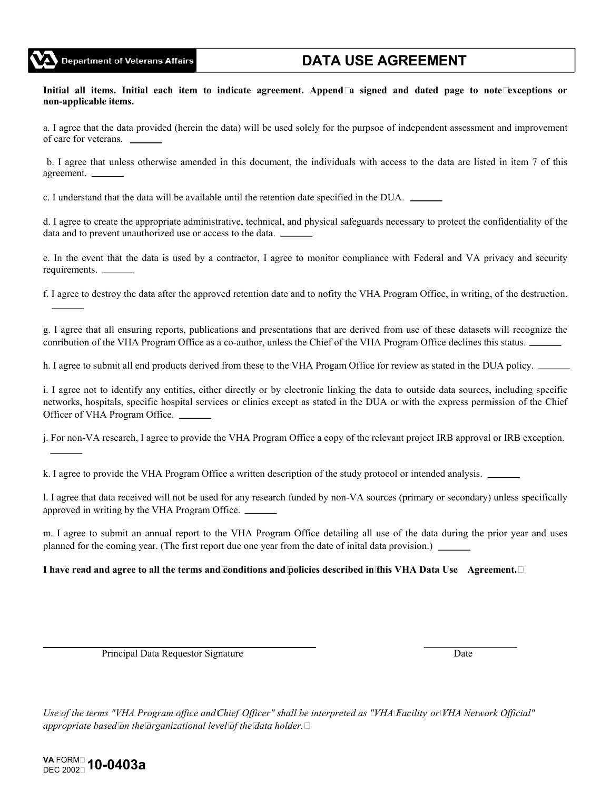

**Initial all items. Initial each item to indicate agreement. Append a signed and dated page to note exceptions or non-applicable items.**

a. I agree that the data provided (herein the data) will be used solely for the purpsoe of independent assessment and improvement of care for veterans.

b. I agree that unless otherwise amended in this document, the individuals with access to the data are listed in item 7 of this agreement.

c. I understand that the data will be available until the retention date specified in the DUA.

d. I agree to create the appropriate administrative, technical, and physical safeguards necessary to protect the confidentiality of the data and to prevent unauthorized use or access to the data.

e. In the event that the data is used by a contractor, I agree to monitor compliance with Federal and VA privacy and security requirements.

f. I agree to destroy the data after the approved retention date and to nofity the VHA Program Office, in writing, of the destruction.

g. I agree that all ensuring reports, publications and presentations that are derived from use of these datasets will recognize the conribution of the VHA Program Office as a co-author, unless the Chief of the VHA Program Office declines this status.

h. I agree to submit all end products derived from these to the VHA Progam Office for review as stated in the DUA policy.

i. I agree not to identify any entities, either directly or by electronic linking the data to outside data sources, including specific networks, hospitals, specific hospital services or clinics except as stated in the DUA or with the express permission of the Chief Officer of VHA Program Office.

j. For non-VA research, I agree to provide the VHA Program Office a copy of the relevant project IRB approval or IRB exception.

k. I agree to provide the VHA Program Office a written description of the study protocol or intended analysis.

l. I agree that data received will not be used for any research funded by non-VA sources (primary or secondary) unless specifically approved in writing by the VHA Program Office.

m. I agree to submit an annual report to the VHA Program Office detailing all use of the data during the prior year and uses planned for the coming year. (The first report due one year from the date of inital data provision.)

#### **I have read and agree to all the terms and conditions and policies described in this VHA Data Use Agreement.**

Principal Data Requestor Signature Date

Use of the Terms "VHA Program office and Chief Officer" shall be interpreted as "VHA Facility or WHA Network Official" *appropriate based on the organizational level of the data holder.*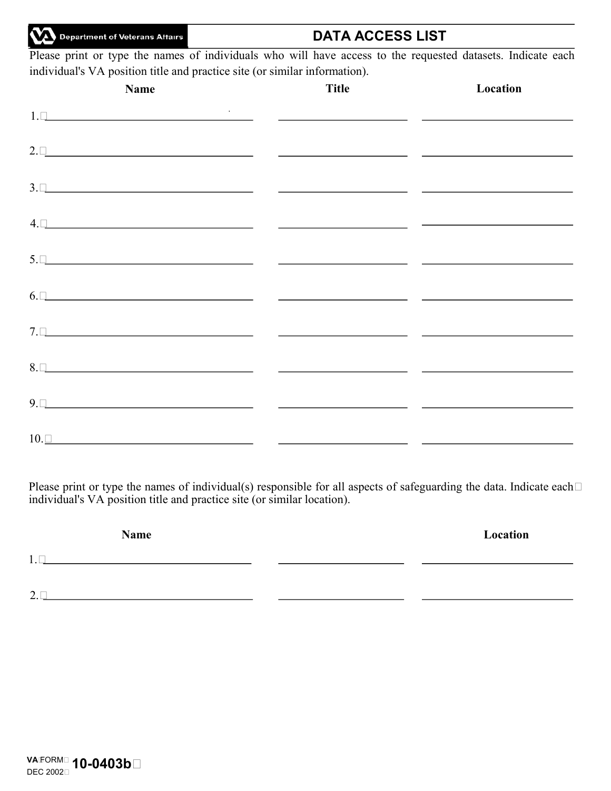Department of Veterans Attairs

Please print or type the names of individuals who will have access to the requested datasets. Indicate each individual's VA position title and practice site (or similar information).

**DATA ACCESS LIST**

| Name                                                                                                                                                                                                                            | <b>Title</b> | Location |
|---------------------------------------------------------------------------------------------------------------------------------------------------------------------------------------------------------------------------------|--------------|----------|
|                                                                                                                                                                                                                                 |              |          |
| $2. \Box$                                                                                                                                                                                                                       |              |          |
| $\overline{3.1}$                                                                                                                                                                                                                |              |          |
| $4. \Box$                                                                                                                                                                                                                       |              |          |
| 5. Qualifying the contract of the contract of the contract of the contract of the contract of the contract of the contract of the contract of the contract of the contract of the contract of the contract of the contract of t |              |          |
| $\overline{6}$ . $\Box$                                                                                                                                                                                                         |              |          |
| <u> 7. Questions de la component de la component de la component de la component de la component de la component de la component de la component de la component de la component de la compo</u>                                |              |          |
| $8. \Box$                                                                                                                                                                                                                       |              |          |
|                                                                                                                                                                                                                                 |              |          |
| $10. \Box$                                                                                                                                                                                                                      |              |          |

Please print or type the names of individual(s) responsible for all aspects of safeguarding the data. Indicate each $\Box$ individual's VA position title and practice site (or similar location).

| Name                                            | Location |
|-------------------------------------------------|----------|
| $\sim$<br>1.<br>. .                             |          |
|                                                 |          |
| 2 <sub>1</sub><br>$\overline{\phantom{a}}$<br>∽ |          |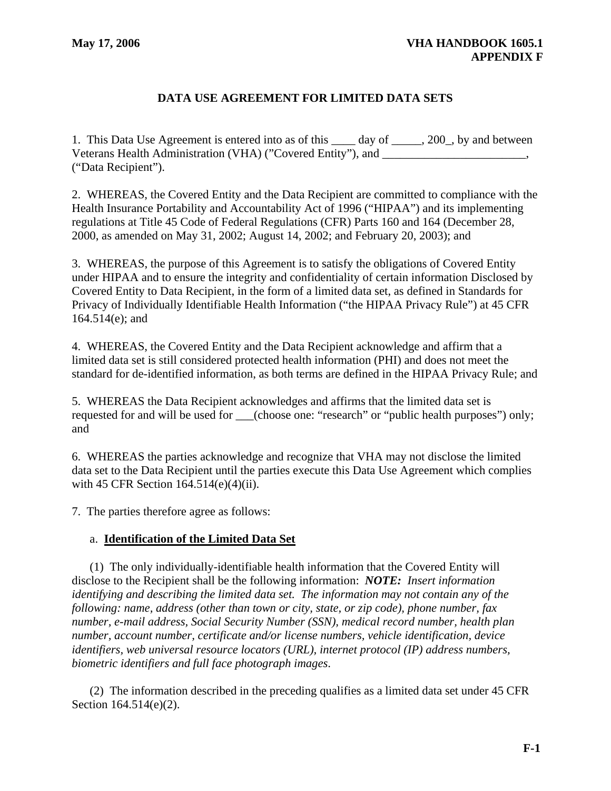## **DATA USE AGREEMENT FOR LIMITED DATA SETS**

1. This Data Use Agreement is entered into as of this \_\_\_\_ day of \_\_\_\_\_, 200\_, by and between Veterans Health Administration (VHA) ("Covered Entity"), and \_\_\_\_\_\_\_\_\_\_\_\_\_\_\_\_\_\_\_\_, ("Data Recipient").

2. WHEREAS, the Covered Entity and the Data Recipient are committed to compliance with the Health Insurance Portability and Accountability Act of 1996 ("HIPAA") and its implementing regulations at Title 45 Code of Federal Regulations (CFR) Parts 160 and 164 (December 28, 2000, as amended on May 31, 2002; August 14, 2002; and February 20, 2003); and

3. WHEREAS, the purpose of this Agreement is to satisfy the obligations of Covered Entity under HIPAA and to ensure the integrity and confidentiality of certain information Disclosed by Covered Entity to Data Recipient, in the form of a limited data set, as defined in Standards for Privacy of Individually Identifiable Health Information ("the HIPAA Privacy Rule") at 45 CFR 164.514(e); and

4. WHEREAS, the Covered Entity and the Data Recipient acknowledge and affirm that a limited data set is still considered protected health information (PHI) and does not meet the standard for de-identified information, as both terms are defined in the HIPAA Privacy Rule; and

5. WHEREAS the Data Recipient acknowledges and affirms that the limited data set is requested for and will be used for \_\_\_(choose one: "research" or "public health purposes") only; and

6. WHEREAS the parties acknowledge and recognize that VHA may not disclose the limited data set to the Data Recipient until the parties execute this Data Use Agreement which complies with 45 CFR Section 164.514(e)(4)(ii).

7. The parties therefore agree as follows:

#### a. **Identification of the Limited Data Set**

(1) The only individually-identifiable health information that the Covered Entity will disclose to the Recipient shall be the following information: *NOTE: Insert information identifying and describing the limited data set. The information may not contain any of the following: name, address (other than town or city, state, or zip code), phone number, fax number, e-mail address, Social Security Number (SSN), medical record number, health plan number, account number, certificate and/or license numbers, vehicle identification, device identifiers, web universal resource locators (URL), internet protocol (IP) address numbers, biometric identifiers and full face photograph images*.

(2) The information described in the preceding qualifies as a limited data set under 45 CFR Section 164.514(e)(2).